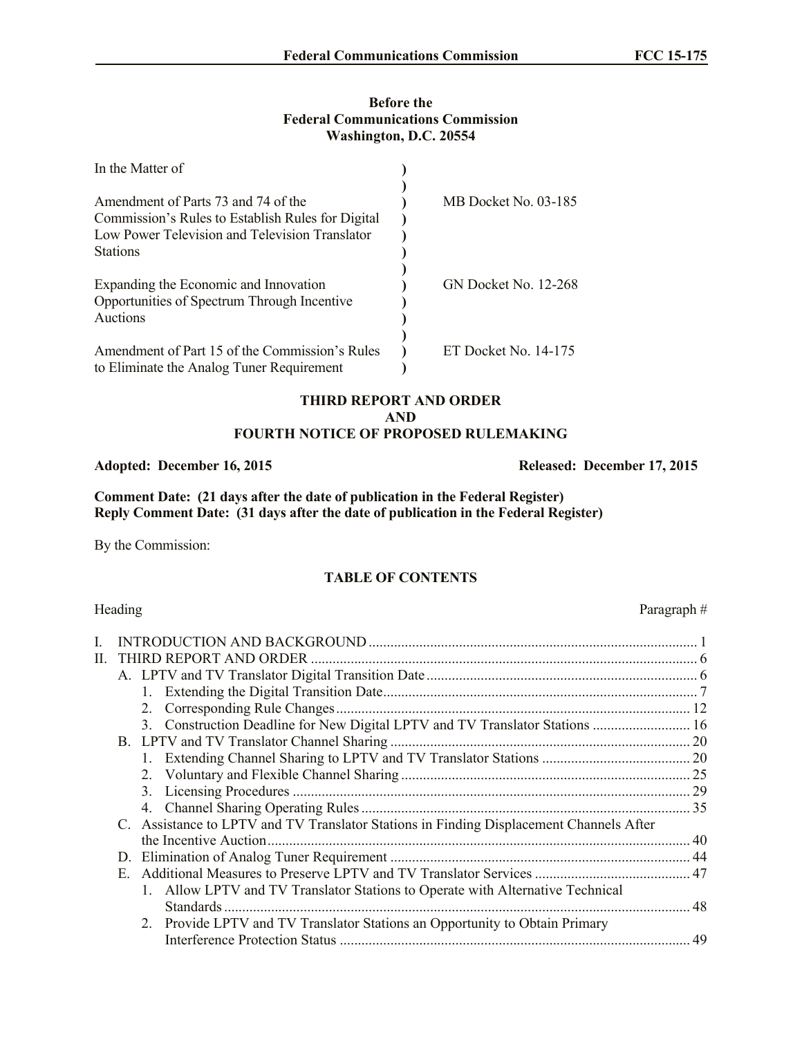#### **Before the Federal Communications Commission Washington, D.C. 20554**

| In the Matter of                                                                                                                           |                             |
|--------------------------------------------------------------------------------------------------------------------------------------------|-----------------------------|
| Amendment of Parts 73 and 74 of the<br>Commission's Rules to Establish Rules for Digital<br>Low Power Television and Television Translator | MB Docket No. 03-185        |
| <b>Stations</b><br>Expanding the Economic and Innovation<br>Opportunities of Spectrum Through Incentive<br>Auctions                        | <b>GN Docket No. 12-268</b> |
| Amendment of Part 15 of the Commission's Rules<br>to Eliminate the Analog Tuner Requirement                                                | ET Docket No. 14-175        |

#### **THIRD REPORT AND ORDER AND FOURTH NOTICE OF PROPOSED RULEMAKING**

**Comment Date: (21 days after the date of publication in the Federal Register) Reply Comment Date: (31 days after the date of publication in the Federal Register)**

By the Commission:

# **TABLE OF CONTENTS**

#### Heading Paragraph #

| 3. Construction Deadline for New Digital LPTV and TV Translator Stations  16 |                                                                                                                                                                                                                                                                                          |
|------------------------------------------------------------------------------|------------------------------------------------------------------------------------------------------------------------------------------------------------------------------------------------------------------------------------------------------------------------------------------|
|                                                                              |                                                                                                                                                                                                                                                                                          |
|                                                                              |                                                                                                                                                                                                                                                                                          |
| 2.                                                                           |                                                                                                                                                                                                                                                                                          |
| 3.                                                                           |                                                                                                                                                                                                                                                                                          |
|                                                                              |                                                                                                                                                                                                                                                                                          |
|                                                                              |                                                                                                                                                                                                                                                                                          |
|                                                                              |                                                                                                                                                                                                                                                                                          |
|                                                                              |                                                                                                                                                                                                                                                                                          |
|                                                                              |                                                                                                                                                                                                                                                                                          |
|                                                                              |                                                                                                                                                                                                                                                                                          |
|                                                                              |                                                                                                                                                                                                                                                                                          |
|                                                                              |                                                                                                                                                                                                                                                                                          |
|                                                                              |                                                                                                                                                                                                                                                                                          |
|                                                                              | THIRD REPORT AND ORDER<br>C. Assistance to LPTV and TV Translator Stations in Finding Displacement Channels After<br>D.<br>1. Allow LPTV and TV Translator Stations to Operate with Alternative Technical<br>2. Provide LPTV and TV Translator Stations an Opportunity to Obtain Primary |

**Adopted: December 16, 2015 Released: December 17, 2015**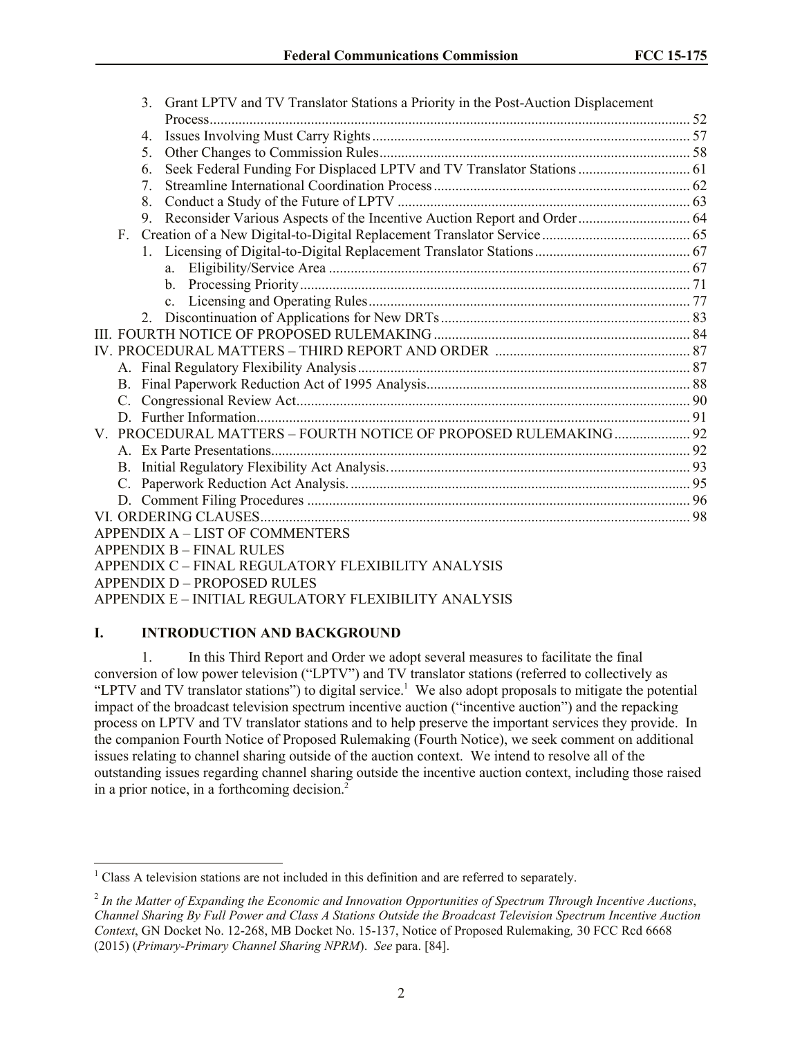| Grant LPTV and TV Translator Stations a Priority in the Post-Auction Displacement<br>3. |  |
|-----------------------------------------------------------------------------------------|--|
|                                                                                         |  |
| 4.                                                                                      |  |
| 5.                                                                                      |  |
| Seek Federal Funding For Displaced LPTV and TV Translator Stations  61<br>6.            |  |
| $7_{\scriptscriptstyle{\ddot{\phantom{1}}}}$                                            |  |
| 8.                                                                                      |  |
| 9.                                                                                      |  |
| $F_{\perp}$                                                                             |  |
|                                                                                         |  |
|                                                                                         |  |
|                                                                                         |  |
|                                                                                         |  |
| $\mathbf{2}$                                                                            |  |
|                                                                                         |  |
|                                                                                         |  |
|                                                                                         |  |
|                                                                                         |  |
|                                                                                         |  |
|                                                                                         |  |
| V. PROCEDURAL MATTERS - FOURTH NOTICE OF PROPOSED RULEMAKING 92                         |  |
|                                                                                         |  |
|                                                                                         |  |
|                                                                                         |  |
|                                                                                         |  |
|                                                                                         |  |
| <b>APPENDIX A - LIST OF COMMENTERS</b>                                                  |  |
| <b>APPENDIX B - FINAL RULES</b>                                                         |  |
| APPENDIX C – FINAL REGULATORY FLEXIBILITY ANALYSIS                                      |  |
| <b>APPENDIX D - PROPOSED RULES</b>                                                      |  |
| APPENDIX E – INITIAL REGULATORY FLEXIBILITY ANALYSIS                                    |  |

### **I. INTRODUCTION AND BACKGROUND**

l

1. In this Third Report and Order we adopt several measures to facilitate the final conversion of low power television ("LPTV") and TV translator stations (referred to collectively as "LPTV and TV translator stations") to digital service.<sup>1</sup> We also adopt proposals to mitigate the potential impact of the broadcast television spectrum incentive auction ("incentive auction") and the repacking process on LPTV and TV translator stations and to help preserve the important services they provide. In the companion Fourth Notice of Proposed Rulemaking (Fourth Notice), we seek comment on additional issues relating to channel sharing outside of the auction context. We intend to resolve all of the outstanding issues regarding channel sharing outside the incentive auction context, including those raised in a prior notice, in a forthcoming decision. 2

<sup>&</sup>lt;sup>1</sup> Class A television stations are not included in this definition and are referred to separately.

<sup>2</sup> *In the Matter of Expanding the Economic and Innovation Opportunities of Spectrum Through Incentive Auctions*, *Channel Sharing By Full Power and Class A Stations Outside the Broadcast Television Spectrum Incentive Auction Context*, GN Docket No. 12-268, MB Docket No. 15-137, Notice of Proposed Rulemaking*,* 30 FCC Rcd 6668 (2015) (*Primary-Primary Channel Sharing NPRM*). *See* para. [84].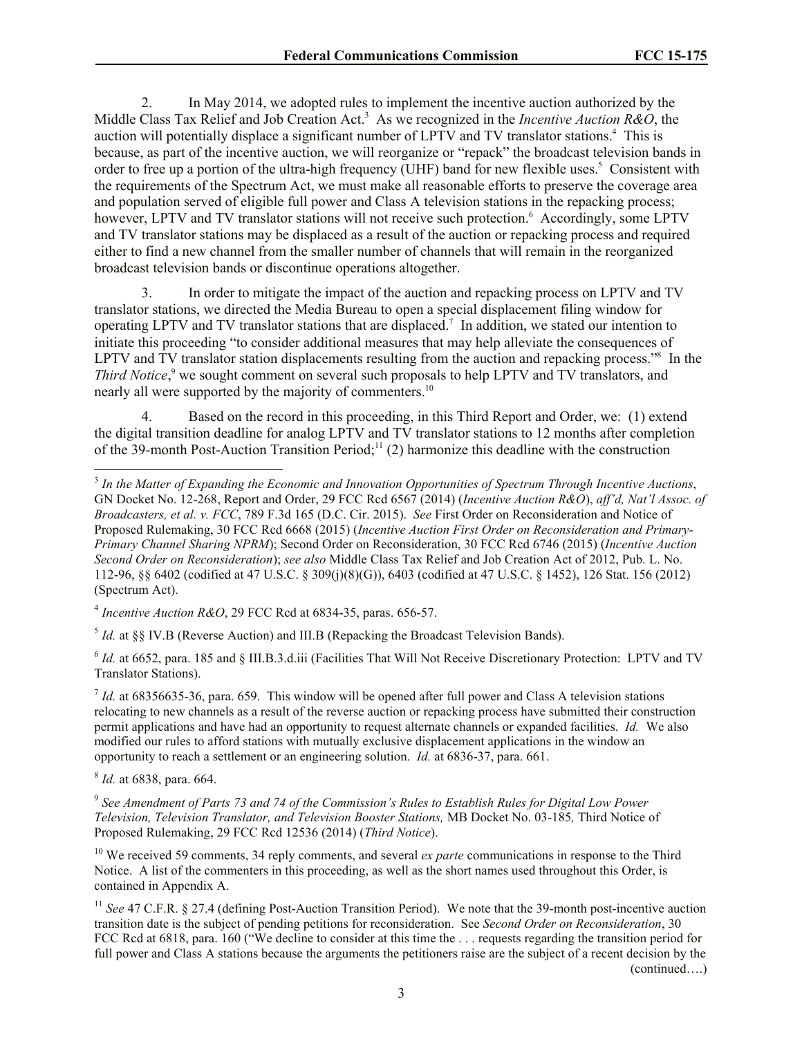2. In May 2014, we adopted rules to implement the incentive auction authorized by the Middle Class Tax Relief and Job Creation Act. 3 As we recognized in the *Incentive Auction R&O*, the auction will potentially displace a significant number of LPTV and TV translator stations.<sup>4</sup> This is because, as part of the incentive auction, we will reorganize or "repack" the broadcast television bands in order to free up a portion of the ultra-high frequency (UHF) band for new flexible uses.<sup>5</sup> Consistent with the requirements of the Spectrum Act, we must make all reasonable efforts to preserve the coverage area and population served of eligible full power and Class A television stations in the repacking process; however, LPTV and TV translator stations will not receive such protection.<sup>6</sup> Accordingly, some LPTV and TV translator stations may be displaced as a result of the auction or repacking process and required either to find a new channel from the smaller number of channels that will remain in the reorganized broadcast television bands or discontinue operations altogether.

3. In order to mitigate the impact of the auction and repacking process on LPTV and TV translator stations, we directed the Media Bureau to open a special displacement filing window for operating LPTV and TV translator stations that are displaced.<sup>7</sup> In addition, we stated our intention to initiate this proceeding "to consider additional measures that may help alleviate the consequences of LPTV and TV translator station displacements resulting from the auction and repacking process."<sup>8</sup> In the *Third Notice*, <sup>9</sup> we sought comment on several such proposals to help LPTV and TV translators, and nearly all were supported by the majority of commenters.<sup>10</sup>

4. Based on the record in this proceeding, in this Third Report and Order, we: (1) extend the digital transition deadline for analog LPTV and TV translator stations to 12 months after completion of the 39-month Post-Auction Transition Period;<sup>11</sup> (2) harmonize this deadline with the construction

4 *Incentive Auction R&O*, 29 FCC Rcd at 6834-35, paras. 656-57.

 $<sup>5</sup>$  *Id.* at §§ IV.B (Reverse Auction) and III.B (Repacking the Broadcast Television Bands).</sup>

 $^6$  *Id.* at 6652, para. 185 and § III.B.3.d.iii (Facilities That Will Not Receive Discretionary Protection: LPTV and TV Translator Stations).

 $<sup>7</sup>$  *Id.* at 68356635-36, para. 659. This window will be opened after full power and Class A television stations</sup> relocating to new channels as a result of the reverse auction or repacking process have submitted their construction permit applications and have had an opportunity to request alternate channels or expanded facilities. *Id.* We also modified our rules to afford stations with mutually exclusive displacement applications in the window an opportunity to reach a settlement or an engineering solution. *Id.* at 6836-37, para. 661.

8 *Id.* at 6838, para. 664.

l

9 *See Amendment of Parts 73 and 74 of the Commission's Rules to Establish Rules for Digital Low Power Television, Television Translator, and Television Booster Stations,* MB Docket No. 03-185*,* Third Notice of Proposed Rulemaking, 29 FCC Rcd 12536 (2014) (*Third Notice*).

<sup>10</sup> We received 59 comments, 34 reply comments, and several *ex parte* communications in response to the Third Notice. A list of the commenters in this proceeding, as well as the short names used throughout this Order, is contained in Appendix A.

<sup>11</sup> *See* 47 C.F.R. § 27.4 (defining Post-Auction Transition Period). We note that the 39-month post-incentive auction transition date is the subject of pending petitions for reconsideration. See *Second Order on Reconsideration*, 30 FCC Rcd at 6818, para. 160 ("We decline to consider at this time the ... requests regarding the transition period for full power and Class A stations because the arguments the petitioners raise are the subject of a recent decision by the (continued….)

<sup>3</sup> *In the Matter of Expanding the Economic and Innovation Opportunities of Spectrum Through Incentive Auctions*, GN Docket No. 12-268, Report and Order, 29 FCC Rcd 6567 (2014) (*Incentive Auction R&O*), *aff'd, Nat'l Assoc. of Broadcasters, et al. v. FCC*, 789 F.3d 165 (D.C. Cir. 2015). *See* First Order on Reconsideration and Notice of Proposed Rulemaking, 30 FCC Rcd 6668 (2015) (*Incentive Auction First Order on Reconsideration and Primary-Primary Channel Sharing NPRM*); Second Order on Reconsideration, 30 FCC Rcd 6746 (2015) (*Incentive Auction Second Order on Reconsideration*); *see also* Middle Class Tax Relief and Job Creation Act of 2012, Pub. L. No. 112-96, §§ 6402 (codified at 47 U.S.C. § 309(j)(8)(G)), 6403 (codified at 47 U.S.C. § 1452), 126 Stat. 156 (2012) (Spectrum Act).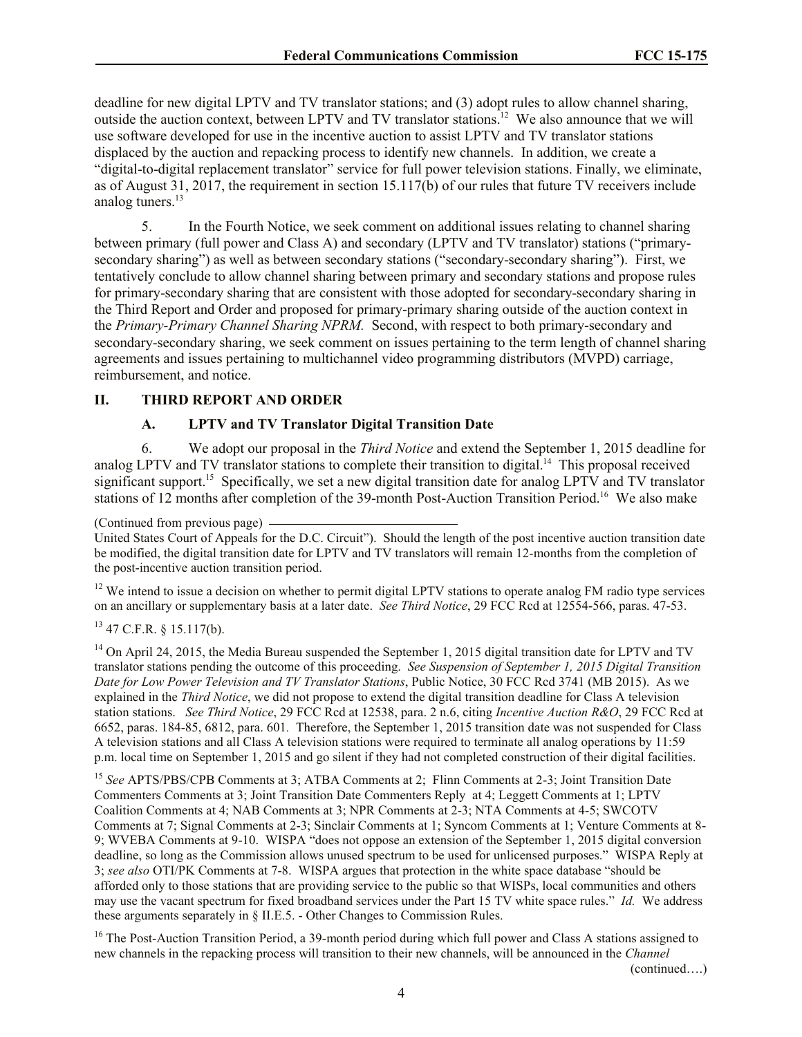deadline for new digital LPTV and TV translator stations; and (3) adopt rules to allow channel sharing, outside the auction context, between LPTV and TV translator stations.<sup>12</sup> We also announce that we will use software developed for use in the incentive auction to assist LPTV and TV translator stations displaced by the auction and repacking process to identify new channels. In addition, we create a "digital-to-digital replacement translator" service for full power television stations. Finally, we eliminate, as of August 31, 2017, the requirement in section 15.117(b) of our rules that future TV receivers include analog tuners.<sup>13</sup>

5. In the Fourth Notice, we seek comment on additional issues relating to channel sharing between primary (full power and Class A) and secondary (LPTV and TV translator) stations ("primarysecondary sharing") as well as between secondary stations ("secondary-secondary sharing"). First, we tentatively conclude to allow channel sharing between primary and secondary stations and propose rules for primary-secondary sharing that are consistent with those adopted for secondary-secondary sharing in the Third Report and Order and proposed for primary-primary sharing outside of the auction context in the *Primary-Primary Channel Sharing NPRM.* Second, with respect to both primary-secondary and secondary-secondary sharing, we seek comment on issues pertaining to the term length of channel sharing agreements and issues pertaining to multichannel video programming distributors (MVPD) carriage, reimbursement, and notice.

#### **II. THIRD REPORT AND ORDER**

#### **A. LPTV and TV Translator Digital Transition Date**

6. We adopt our proposal in the *Third Notice* and extend the September 1, 2015 deadline for analog LPTV and TV translator stations to complete their transition to digital.<sup>14</sup> This proposal received significant support.<sup>15</sup> Specifically, we set a new digital transition date for analog LPTV and TV translator stations of 12 months after completion of the 39-month Post-Auction Transition Period.<sup>16</sup> We also make

 $12$  We intend to issue a decision on whether to permit digital LPTV stations to operate analog FM radio type services on an ancillary or supplementary basis at a later date. *See Third Notice*, 29 FCC Rcd at 12554-566, paras. 47-53.

## $13$  47 C.F.R. § 15.117(b).

<sup>14</sup> On April 24, 2015, the Media Bureau suspended the September 1, 2015 digital transition date for LPTV and TV translator stations pending the outcome of this proceeding. *See Suspension of September 1, 2015 Digital Transition Date for Low Power Television and TV Translator Stations*, Public Notice, 30 FCC Rcd 3741 (MB 2015). As we explained in the *Third Notice*, we did not propose to extend the digital transition deadline for Class A television station stations. *See Third Notice*, 29 FCC Rcd at 12538, para. 2 n.6, citing *Incentive Auction R&O*, 29 FCC Rcd at 6652, paras. 184-85, 6812, para. 601*.* Therefore, the September 1, 2015 transition date was not suspended for Class A television stations and all Class A television stations were required to terminate all analog operations by 11:59 p.m. local time on September 1, 2015 and go silent if they had not completed construction of their digital facilities.

<sup>15</sup> *See* APTS/PBS/CPB Comments at 3; ATBA Comments at 2; Flinn Comments at 2-3; Joint Transition Date Commenters Comments at 3; Joint Transition Date Commenters Reply at 4; Leggett Comments at 1; LPTV Coalition Comments at 4; NAB Comments at 3; NPR Comments at 2-3; NTA Comments at 4-5; SWCOTV Comments at 7; Signal Comments at 2-3; Sinclair Comments at 1; Syncom Comments at 1; Venture Comments at 8- 9; WVEBA Comments at 9-10. WISPA "does not oppose an extension of the September 1, 2015 digital conversion deadline, so long as the Commission allows unused spectrum to be used for unlicensed purposes." WISPA Reply at 3; *see also* OTI/PK Comments at 7-8. WISPA argues that protection in the white space database "should be afforded only to those stations that are providing service to the public so that WISPs, local communities and others may use the vacant spectrum for fixed broadband services under the Part 15 TV white space rules." *Id.* We address these arguments separately in § II.E.5. - Other Changes to Commission Rules.

<sup>16</sup> The Post-Auction Transition Period, a 39-month period during which full power and Class A stations assigned to new channels in the repacking process will transition to their new channels, will be announced in the *Channel* 

(continued….)

<sup>(</sup>Continued from previous page)

United States Court of Appeals for the D.C. Circuit"). Should the length of the post incentive auction transition date be modified, the digital transition date for LPTV and TV translators will remain 12-months from the completion of the post-incentive auction transition period.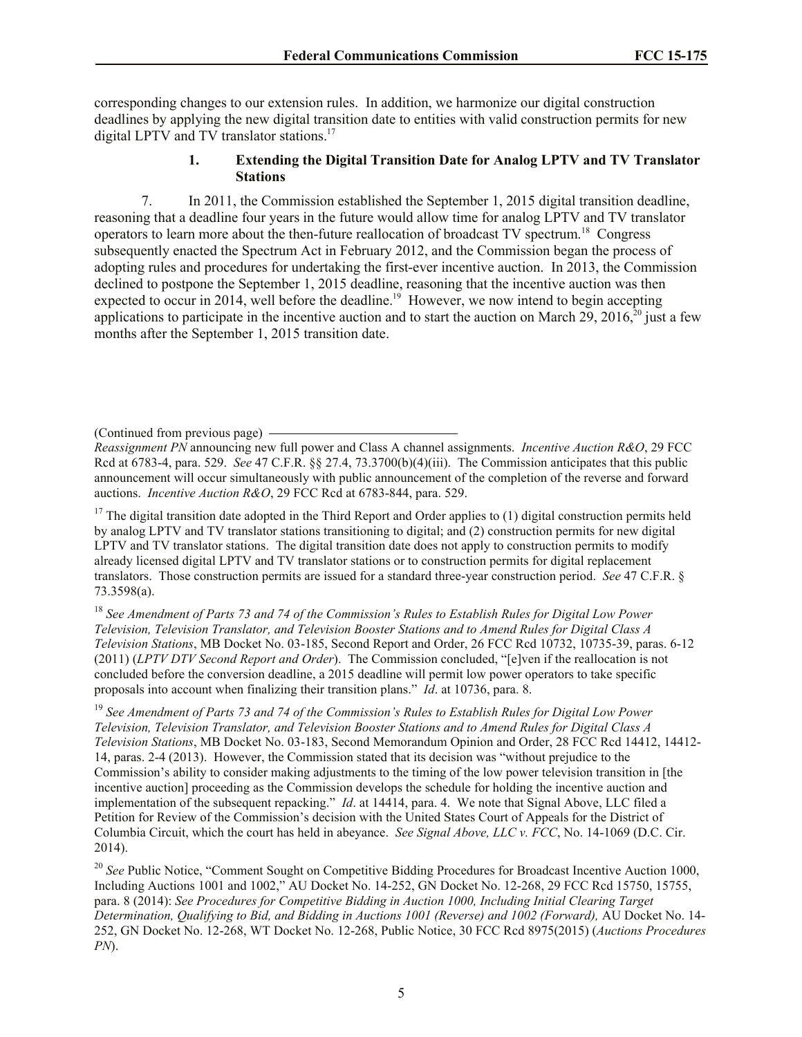corresponding changes to our extension rules. In addition, we harmonize our digital construction deadlines by applying the new digital transition date to entities with valid construction permits for new digital LPTV and TV translator stations.<sup>17</sup>

#### **1. Extending the Digital Transition Date for Analog LPTV and TV Translator Stations**

7. In 2011, the Commission established the September 1, 2015 digital transition deadline, reasoning that a deadline four years in the future would allow time for analog LPTV and TV translator operators to learn more about the then-future reallocation of broadcast TV spectrum.<sup>18</sup> Congress subsequently enacted the Spectrum Act in February 2012, and the Commission began the process of adopting rules and procedures for undertaking the first-ever incentive auction. In 2013, the Commission declined to postpone the September 1, 2015 deadline, reasoning that the incentive auction was then expected to occur in 2014, well before the deadline.<sup>19</sup> However, we now intend to begin accepting applications to participate in the incentive auction and to start the auction on March 29, 2016,<sup>20</sup> just a few months after the September 1, 2015 transition date.

(Continued from previous page)

*Reassignment PN* announcing new full power and Class A channel assignments. *Incentive Auction R&O*, 29 FCC Rcd at 6783-4, para. 529. *See* 47 C.F.R. §§ 27.4, 73.3700(b)(4)(iii). The Commission anticipates that this public announcement will occur simultaneously with public announcement of the completion of the reverse and forward auctions. *Incentive Auction R&O*, 29 FCC Rcd at 6783-844, para. 529.

<sup>17</sup> The digital transition date adopted in the Third Report and Order applies to  $(1)$  digital construction permits held by analog LPTV and TV translator stations transitioning to digital; and (2) construction permits for new digital LPTV and TV translator stations. The digital transition date does not apply to construction permits to modify already licensed digital LPTV and TV translator stations or to construction permits for digital replacement translators. Those construction permits are issued for a standard three-year construction period. *See* 47 C.F.R. § 73.3598(a).

<sup>18</sup> *See Amendment of Parts 73 and 74 of the Commission's Rules to Establish Rules for Digital Low Power Television, Television Translator, and Television Booster Stations and to Amend Rules for Digital Class A Television Stations*, MB Docket No. 03-185, Second Report and Order, 26 FCC Rcd 10732, 10735-39, paras. 6-12 (2011) (*LPTV DTV Second Report and Order*). The Commission concluded, "[e]ven if the reallocation is not concluded before the conversion deadline, a 2015 deadline will permit low power operators to take specific proposals into account when finalizing their transition plans." *Id*. at 10736, para. 8.

<sup>19</sup> *See Amendment of Parts 73 and 74 of the Commission's Rules to Establish Rules for Digital Low Power Television, Television Translator, and Television Booster Stations and to Amend Rules for Digital Class A Television Stations*, MB Docket No. 03-183, Second Memorandum Opinion and Order, 28 FCC Rcd 14412, 14412- 14, paras. 2-4 (2013). However, the Commission stated that its decision was "without prejudice to the Commission's ability to consider making adjustments to the timing of the low power television transition in [the incentive auction] proceeding as the Commission develops the schedule for holding the incentive auction and implementation of the subsequent repacking." *Id*. at 14414, para. 4. We note that Signal Above, LLC filed a Petition for Review of the Commission's decision with the United States Court of Appeals for the District of Columbia Circuit, which the court has held in abeyance. *See Signal Above, LLC v. FCC*, No. 14-1069 (D.C. Cir. 2014).

<sup>20</sup> See Public Notice, "Comment Sought on Competitive Bidding Procedures for Broadcast Incentive Auction 1000, Including Auctions 1001 and 1002," AU Docket No. 14-252, GN Docket No. 12-268, 29 FCC Rcd 15750, 15755, para. 8 (2014): *See Procedures for Competitive Bidding in Auction 1000, Including Initial Clearing Target Determination, Qualifying to Bid, and Bidding in Auctions 1001 (Reverse) and 1002 (Forward),* AU Docket No. 14- 252, GN Docket No. 12-268, WT Docket No. 12-268, Public Notice, 30 FCC Rcd 8975(2015) (*Auctions Procedures PN*).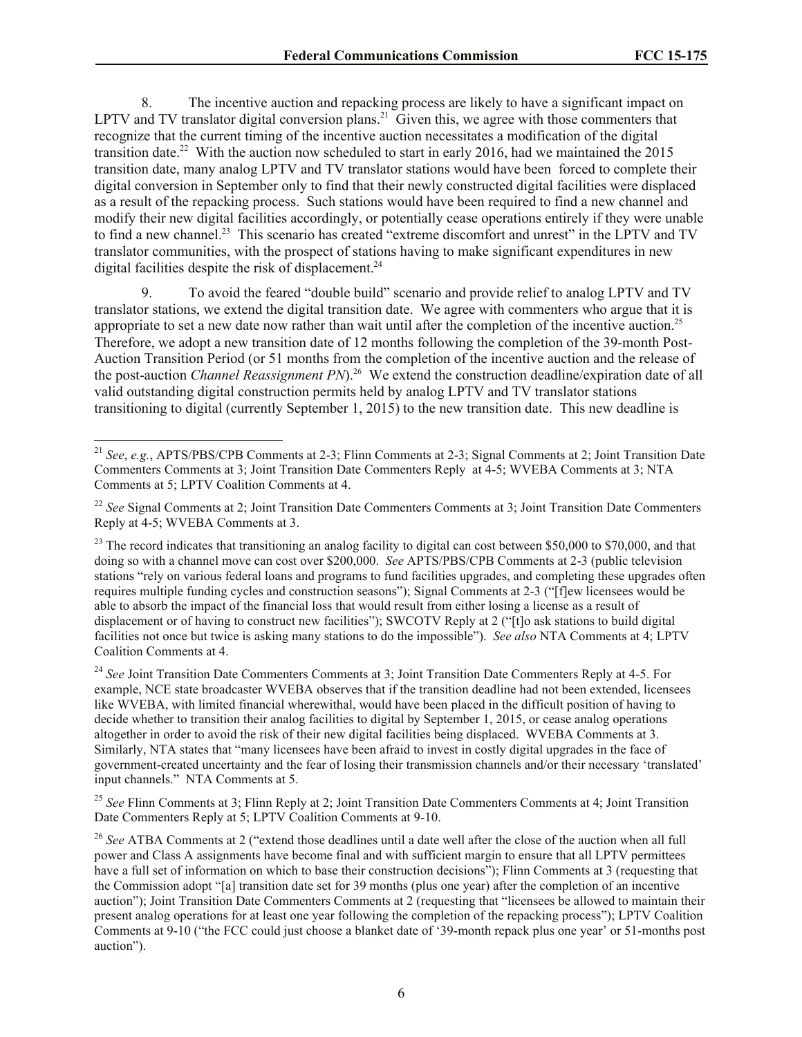8. The incentive auction and repacking process are likely to have a significant impact on LPTV and TV translator digital conversion plans.<sup>21</sup> Given this, we agree with those commenters that recognize that the current timing of the incentive auction necessitates a modification of the digital transition date.<sup>22</sup> With the auction now scheduled to start in early 2016, had we maintained the 2015 transition date, many analog LPTV and TV translator stations would have been forced to complete their digital conversion in September only to find that their newly constructed digital facilities were displaced as a result of the repacking process. Such stations would have been required to find a new channel and modify their new digital facilities accordingly, or potentially cease operations entirely if they were unable to find a new channel.<sup>23</sup> This scenario has created "extreme discomfort and unrest" in the LPTV and TV translator communities, with the prospect of stations having to make significant expenditures in new digital facilities despite the risk of displacement.<sup>24</sup>

9. To avoid the feared "double build" scenario and provide relief to analog LPTV and TV translator stations, we extend the digital transition date. We agree with commenters who argue that it is appropriate to set a new date now rather than wait until after the completion of the incentive auction.<sup>25</sup> Therefore, we adopt a new transition date of 12 months following the completion of the 39-month Post-Auction Transition Period (or 51 months from the completion of the incentive auction and the release of the post-auction *Channel Reassignment PN*).<sup>26</sup> We extend the construction deadline/expiration date of all valid outstanding digital construction permits held by analog LPTV and TV translator stations transitioning to digital (currently September 1, 2015) to the new transition date. This new deadline is

l

<sup>24</sup> See Joint Transition Date Commenters Comments at 3; Joint Transition Date Commenters Reply at 4-5. For example, NCE state broadcaster WVEBA observes that if the transition deadline had not been extended, licensees like WVEBA, with limited financial wherewithal, would have been placed in the difficult position of having to decide whether to transition their analog facilities to digital by September 1, 2015, or cease analog operations altogether in order to avoid the risk of their new digital facilities being displaced. WVEBA Comments at 3. Similarly, NTA states that "many licensees have been afraid to invest in costly digital upgrades in the face of government-created uncertainty and the fear of losing their transmission channels and/or their necessary 'translated' input channels." NTA Comments at 5.

<sup>25</sup> See Flinn Comments at 3; Flinn Reply at 2; Joint Transition Date Commenters Comments at 4; Joint Transition Date Commenters Reply at 5; LPTV Coalition Comments at 9-10.

<sup>26</sup> *See* ATBA Comments at 2 ("extend those deadlines until a date well after the close of the auction when all full power and Class A assignments have become final and with sufficient margin to ensure that all LPTV permittees have a full set of information on which to base their construction decisions"); Flinn Comments at 3 (requesting that the Commission adopt "[a] transition date set for 39 months (plus one year) after the completion of an incentive auction"); Joint Transition Date Commenters Comments at 2 (requesting that "licensees be allowed to maintain their present analog operations for at least one year following the completion of the repacking process"); LPTV Coalition Comments at 9-10 ("the FCC could just choose a blanket date of '39-month repack plus one year' or 51-months post auction").

<sup>21</sup> *See*, *e.g.*, APTS/PBS/CPB Comments at 2-3; Flinn Comments at 2-3; Signal Comments at 2; Joint Transition Date Commenters Comments at 3; Joint Transition Date Commenters Reply at 4-5; WVEBA Comments at 3; NTA Comments at 5; LPTV Coalition Comments at 4.

<sup>&</sup>lt;sup>22</sup> *See* Signal Comments at 2; Joint Transition Date Commenters Comments at 3; Joint Transition Date Commenters Reply at 4-5; WVEBA Comments at 3.

<sup>&</sup>lt;sup>23</sup> The record indicates that transitioning an analog facility to digital can cost between \$50,000 to \$70,000, and that doing so with a channel move can cost over \$200,000. *See* APTS/PBS/CPB Comments at 2-3 (public television stations "rely on various federal loans and programs to fund facilities upgrades, and completing these upgrades often requires multiple funding cycles and construction seasons"); Signal Comments at 2-3 ("[f]ew licensees would be able to absorb the impact of the financial loss that would result from either losing a license as a result of displacement or of having to construct new facilities"); SWCOTV Reply at 2 ("[t]o ask stations to build digital facilities not once but twice is asking many stations to do the impossible"). *See also* NTA Comments at 4; LPTV Coalition Comments at 4.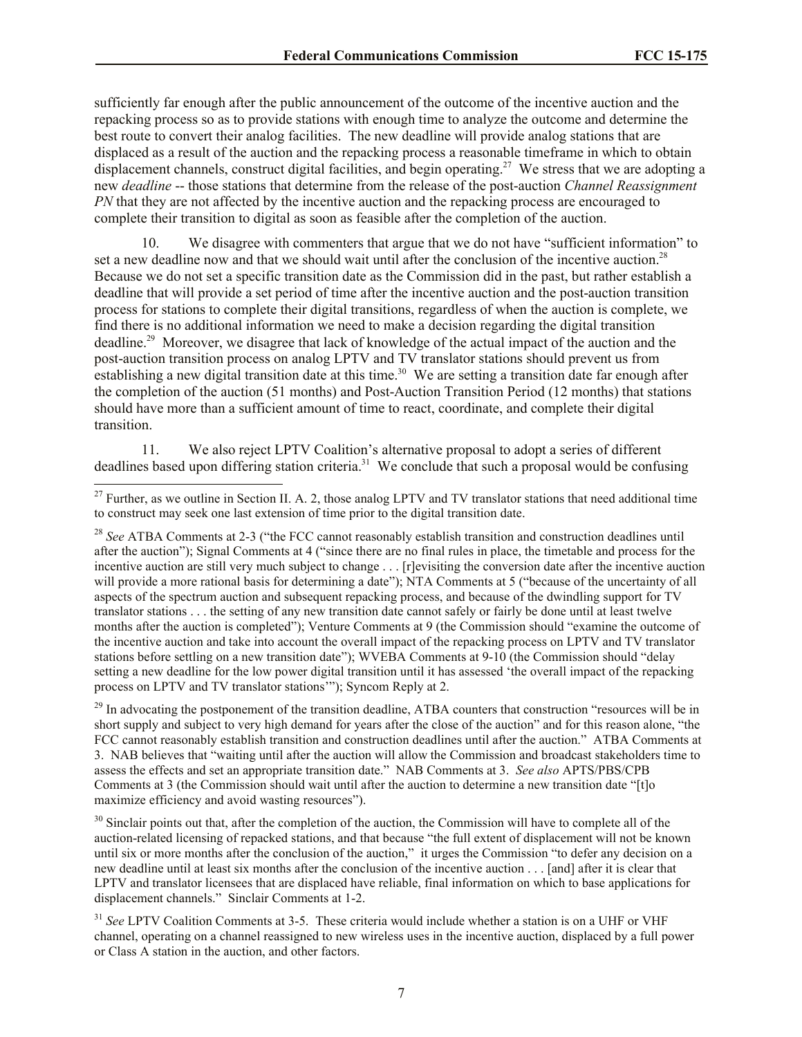sufficiently far enough after the public announcement of the outcome of the incentive auction and the repacking process so as to provide stations with enough time to analyze the outcome and determine the best route to convert their analog facilities. The new deadline will provide analog stations that are displaced as a result of the auction and the repacking process a reasonable timeframe in which to obtain displacement channels, construct digital facilities, and begin operating.<sup>27</sup> We stress that we are adopting a new *deadline* -- those stations that determine from the release of the post-auction *Channel Reassignment PN* that they are not affected by the incentive auction and the repacking process are encouraged to complete their transition to digital as soon as feasible after the completion of the auction.

10. We disagree with commenters that argue that we do not have "sufficient information" to set a new deadline now and that we should wait until after the conclusion of the incentive auction.<sup>28</sup> Because we do not set a specific transition date as the Commission did in the past, but rather establish a deadline that will provide a set period of time after the incentive auction and the post-auction transition process for stations to complete their digital transitions, regardless of when the auction is complete, we find there is no additional information we need to make a decision regarding the digital transition deadline.<sup>29</sup> Moreover, we disagree that lack of knowledge of the actual impact of the auction and the post-auction transition process on analog LPTV and TV translator stations should prevent us from establishing a new digital transition date at this time.<sup>30</sup> We are setting a transition date far enough after the completion of the auction (51 months) and Post-Auction Transition Period (12 months) that stations should have more than a sufficient amount of time to react, coordinate, and complete their digital transition.

11. We also reject LPTV Coalition's alternative proposal to adopt a series of different deadlines based upon differing station criteria.<sup>31</sup> We conclude that such a proposal would be confusing

 $\overline{\phantom{a}}$ 

 $29$  In advocating the postponement of the transition deadline, ATBA counters that construction "resources will be in short supply and subject to very high demand for years after the close of the auction" and for this reason alone, "the FCC cannot reasonably establish transition and construction deadlines until after the auction." ATBA Comments at 3. NAB believes that "waiting until after the auction will allow the Commission and broadcast stakeholders time to assess the effects and set an appropriate transition date." NAB Comments at 3. *See also* APTS/PBS/CPB Comments at 3 (the Commission should wait until after the auction to determine a new transition date "[t]o maximize efficiency and avoid wasting resources").

<sup>30</sup> Sinclair points out that, after the completion of the auction, the Commission will have to complete all of the auction-related licensing of repacked stations, and that because "the full extent of displacement will not be known until six or more months after the conclusion of the auction," it urges the Commission "to defer any decision on a new deadline until at least six months after the conclusion of the incentive auction . . . [and] after it is clear that LPTV and translator licensees that are displaced have reliable, final information on which to base applications for displacement channels." Sinclair Comments at 1-2.

 $^{27}$  Further, as we outline in Section II. A. 2, those analog LPTV and TV translator stations that need additional time to construct may seek one last extension of time prior to the digital transition date.

<sup>28</sup> *See* ATBA Comments at 2-3 ("the FCC cannot reasonably establish transition and construction deadlines until after the auction"); Signal Comments at 4 ("since there are no final rules in place, the timetable and process for the incentive auction are still very much subject to change . . . [r]evisiting the conversion date after the incentive auction will provide a more rational basis for determining a date"); NTA Comments at 5 ("because of the uncertainty of all aspects of the spectrum auction and subsequent repacking process, and because of the dwindling support for TV translator stations . . . the setting of any new transition date cannot safely or fairly be done until at least twelve months after the auction is completed"); Venture Comments at 9 (the Commission should "examine the outcome of the incentive auction and take into account the overall impact of the repacking process on LPTV and TV translator stations before settling on a new transition date"); WVEBA Comments at 9-10 (the Commission should "delay setting a new deadline for the low power digital transition until it has assessed 'the overall impact of the repacking process on LPTV and TV translator stations'"); Syncom Reply at 2.

<sup>&</sup>lt;sup>31</sup> See LPTV Coalition Comments at 3-5. These criteria would include whether a station is on a UHF or VHF channel, operating on a channel reassigned to new wireless uses in the incentive auction, displaced by a full power or Class A station in the auction, and other factors.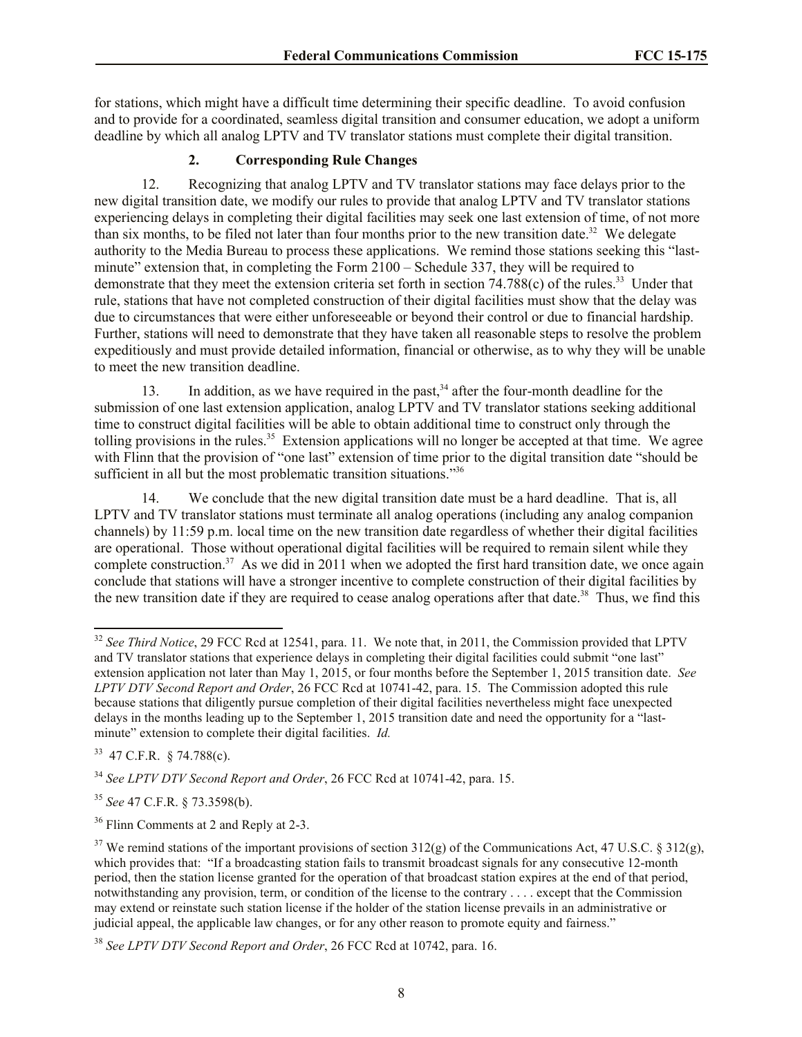for stations, which might have a difficult time determining their specific deadline. To avoid confusion and to provide for a coordinated, seamless digital transition and consumer education, we adopt a uniform deadline by which all analog LPTV and TV translator stations must complete their digital transition.

# **2. Corresponding Rule Changes**

12. Recognizing that analog LPTV and TV translator stations may face delays prior to the new digital transition date, we modify our rules to provide that analog LPTV and TV translator stations experiencing delays in completing their digital facilities may seek one last extension of time, of not more than six months, to be filed not later than four months prior to the new transition date.<sup>32</sup> We delegate authority to the Media Bureau to process these applications. We remind those stations seeking this "lastminute" extension that, in completing the Form 2100 – Schedule 337, they will be required to demonstrate that they meet the extension criteria set forth in section  $74.788(c)$  of the rules.<sup>33</sup> Under that rule, stations that have not completed construction of their digital facilities must show that the delay was due to circumstances that were either unforeseeable or beyond their control or due to financial hardship. Further, stations will need to demonstrate that they have taken all reasonable steps to resolve the problem expeditiously and must provide detailed information, financial or otherwise, as to why they will be unable to meet the new transition deadline.

13. In addition, as we have required in the past,<sup>34</sup> after the four-month deadline for the submission of one last extension application, analog LPTV and TV translator stations seeking additional time to construct digital facilities will be able to obtain additional time to construct only through the tolling provisions in the rules.<sup>35</sup> Extension applications will no longer be accepted at that time. We agree with Flinn that the provision of "one last" extension of time prior to the digital transition date "should be sufficient in all but the most problematic transition situations."<sup>36</sup>

14. We conclude that the new digital transition date must be a hard deadline. That is, all LPTV and TV translator stations must terminate all analog operations (including any analog companion channels) by 11:59 p.m. local time on the new transition date regardless of whether their digital facilities are operational. Those without operational digital facilities will be required to remain silent while they complete construction.<sup>37</sup> As we did in 2011 when we adopted the first hard transition date, we once again conclude that stations will have a stronger incentive to complete construction of their digital facilities by the new transition date if they are required to cease analog operations after that date.<sup>38</sup> Thus, we find this

 $33$  47 C.F.R. § 74.788(c).

l

<sup>34</sup> *See LPTV DTV Second Report and Order*, 26 FCC Rcd at 10741-42, para. 15.

<sup>35</sup> *See* 47 C.F.R. § 73.3598(b).

<sup>36</sup> Flinn Comments at 2 and Reply at 2-3.

<sup>&</sup>lt;sup>32</sup> *See Third Notice*, 29 FCC Rcd at 12541, para. 11. We note that, in 2011, the Commission provided that LPTV and TV translator stations that experience delays in completing their digital facilities could submit "one last" extension application not later than May 1, 2015, or four months before the September 1, 2015 transition date. *See LPTV DTV Second Report and Order*, 26 FCC Rcd at 10741-42, para. 15. The Commission adopted this rule because stations that diligently pursue completion of their digital facilities nevertheless might face unexpected delays in the months leading up to the September 1, 2015 transition date and need the opportunity for a "lastminute" extension to complete their digital facilities. *Id.* 

 $37$  We remind stations of the important provisions of section 312(g) of the Communications Act, 47 U.S.C. § 312(g), which provides that: "If a broadcasting station fails to transmit broadcast signals for any consecutive 12-month period, then the station license granted for the operation of that broadcast station expires at the end of that period, notwithstanding any provision, term, or condition of the license to the contrary . . . . except that the Commission may extend or reinstate such station license if the holder of the station license prevails in an administrative or judicial appeal, the applicable law changes, or for any other reason to promote equity and fairness."

<sup>38</sup> *See LPTV DTV Second Report and Order*, 26 FCC Rcd at 10742, para. 16.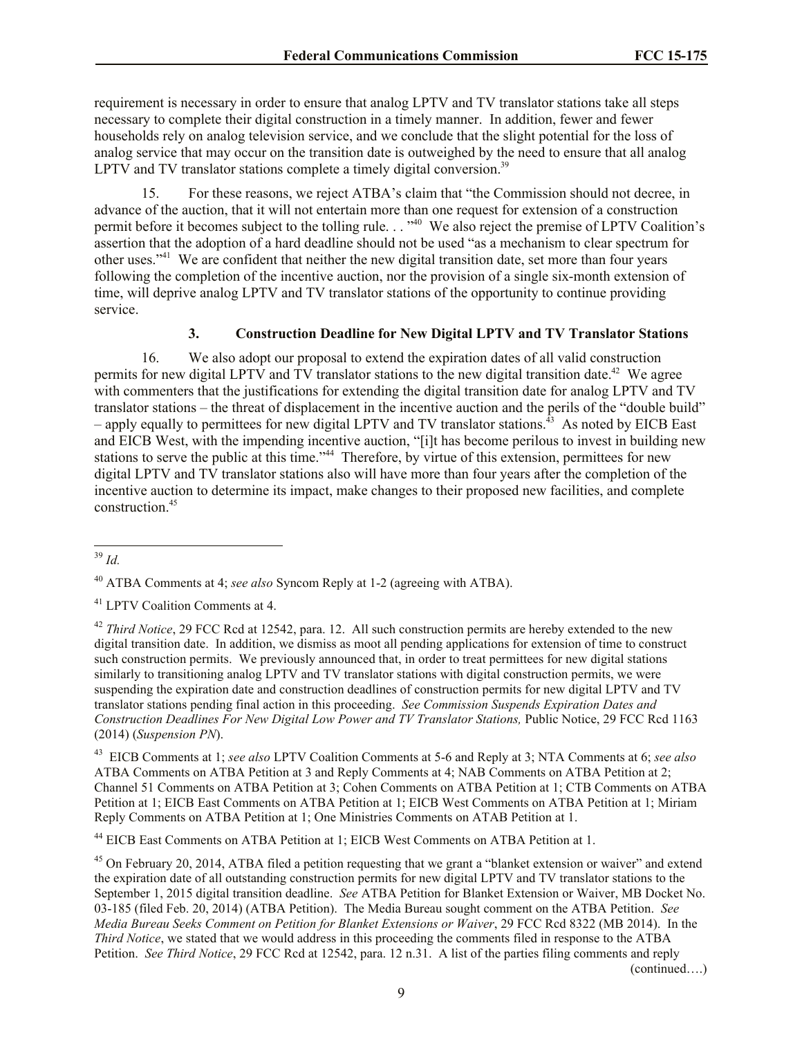requirement is necessary in order to ensure that analog LPTV and TV translator stations take all steps necessary to complete their digital construction in a timely manner. In addition, fewer and fewer households rely on analog television service, and we conclude that the slight potential for the loss of analog service that may occur on the transition date is outweighed by the need to ensure that all analog LPTV and TV translator stations complete a timely digital conversion.<sup>39</sup>

15. For these reasons, we reject ATBA's claim that "the Commission should not decree, in advance of the auction, that it will not entertain more than one request for extension of a construction permit before it becomes subject to the tolling rule. . . "<sup>40</sup> We also reject the premise of LPTV Coalition's assertion that the adoption of a hard deadline should not be used "as a mechanism to clear spectrum for other uses."<sup>41</sup> We are confident that neither the new digital transition date, set more than four years following the completion of the incentive auction, nor the provision of a single six-month extension of time, will deprive analog LPTV and TV translator stations of the opportunity to continue providing service.

# **3. Construction Deadline for New Digital LPTV and TV Translator Stations**

16. We also adopt our proposal to extend the expiration dates of all valid construction permits for new digital LPTV and TV translator stations to the new digital transition date.<sup>42</sup> We agree with commenters that the justifications for extending the digital transition date for analog LPTV and TV translator stations – the threat of displacement in the incentive auction and the perils of the "double build" - apply equally to permittees for new digital LPTV and TV translator stations.<sup>43</sup> As noted by EICB East and EICB West, with the impending incentive auction, "[i]t has become perilous to invest in building new stations to serve the public at this time."<sup>44</sup> Therefore, by virtue of this extension, permittees for new digital LPTV and TV translator stations also will have more than four years after the completion of the incentive auction to determine its impact, make changes to their proposed new facilities, and complete construction.<sup>45</sup>

<sup>44</sup> EICB East Comments on ATBA Petition at 1; EICB West Comments on ATBA Petition at 1.

l <sup>39</sup> *Id.*

<sup>40</sup> ATBA Comments at 4; *see also* Syncom Reply at 1-2 (agreeing with ATBA).

<sup>41</sup> LPTV Coalition Comments at 4.

<sup>&</sup>lt;sup>42</sup> *Third Notice*, 29 FCC Rcd at 12542, para. 12. All such construction permits are hereby extended to the new digital transition date. In addition, we dismiss as moot all pending applications for extension of time to construct such construction permits. We previously announced that, in order to treat permittees for new digital stations similarly to transitioning analog LPTV and TV translator stations with digital construction permits, we were suspending the expiration date and construction deadlines of construction permits for new digital LPTV and TV translator stations pending final action in this proceeding. *See Commission Suspends Expiration Dates and Construction Deadlines For New Digital Low Power and TV Translator Stations, Public Notice, 29 FCC Rcd 1163* (2014) (*Suspension PN*).

<sup>43</sup> EICB Comments at 1; *see also* LPTV Coalition Comments at 5-6 and Reply at 3; NTA Comments at 6; *see also*  ATBA Comments on ATBA Petition at 3 and Reply Comments at 4; NAB Comments on ATBA Petition at 2; Channel 51 Comments on ATBA Petition at 3; Cohen Comments on ATBA Petition at 1; CTB Comments on ATBA Petition at 1; EICB East Comments on ATBA Petition at 1; EICB West Comments on ATBA Petition at 1; Miriam Reply Comments on ATBA Petition at 1; One Ministries Comments on ATAB Petition at 1.

 $45$  On February 20, 2014, ATBA filed a petition requesting that we grant a "blanket extension or waiver" and extend the expiration date of all outstanding construction permits for new digital LPTV and TV translator stations to the September 1, 2015 digital transition deadline. *See* ATBA Petition for Blanket Extension or Waiver, MB Docket No. 03-185 (filed Feb. 20, 2014) (ATBA Petition). The Media Bureau sought comment on the ATBA Petition. *See Media Bureau Seeks Comment on Petition for Blanket Extensions or Waiver*, 29 FCC Rcd 8322 (MB 2014). In the *Third Notice*, we stated that we would address in this proceeding the comments filed in response to the ATBA Petition. *See Third Notice*, 29 FCC Rcd at 12542, para. 12 n.31. A list of the parties filing comments and reply (continued….)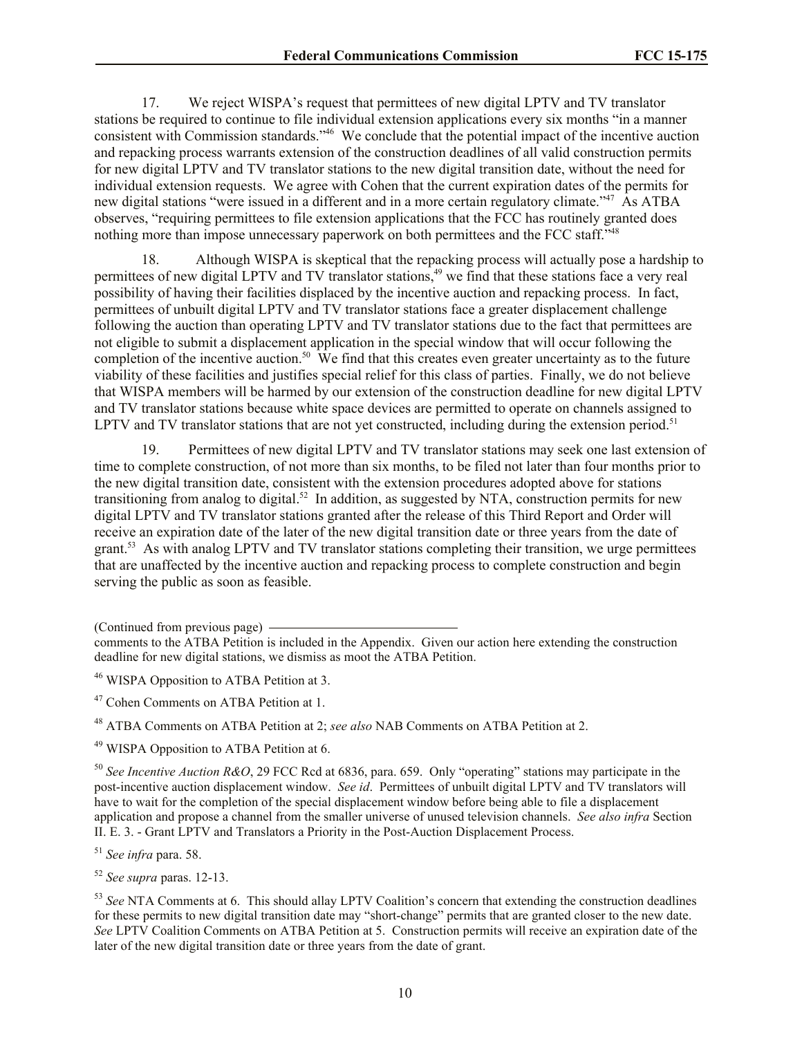17. We reject WISPA's request that permittees of new digital LPTV and TV translator stations be required to continue to file individual extension applications every six months "in a manner consistent with Commission standards."<sup>46</sup> We conclude that the potential impact of the incentive auction and repacking process warrants extension of the construction deadlines of all valid construction permits for new digital LPTV and TV translator stations to the new digital transition date, without the need for individual extension requests. We agree with Cohen that the current expiration dates of the permits for new digital stations "were issued in a different and in a more certain regulatory climate."<sup>47</sup> As ATBA observes, "requiring permittees to file extension applications that the FCC has routinely granted does nothing more than impose unnecessary paperwork on both permittees and the FCC staff."<sup>48</sup>

18. Although WISPA is skeptical that the repacking process will actually pose a hardship to permittees of new digital LPTV and TV translator stations,<sup>49</sup> we find that these stations face a very real possibility of having their facilities displaced by the incentive auction and repacking process. In fact, permittees of unbuilt digital LPTV and TV translator stations face a greater displacement challenge following the auction than operating LPTV and TV translator stations due to the fact that permittees are not eligible to submit a displacement application in the special window that will occur following the completion of the incentive auction.<sup>50</sup> We find that this creates even greater uncertainty as to the future viability of these facilities and justifies special relief for this class of parties. Finally, we do not believe that WISPA members will be harmed by our extension of the construction deadline for new digital LPTV and TV translator stations because white space devices are permitted to operate on channels assigned to LPTV and TV translator stations that are not yet constructed, including during the extension period.<sup>51</sup>

19. Permittees of new digital LPTV and TV translator stations may seek one last extension of time to complete construction, of not more than six months, to be filed not later than four months prior to the new digital transition date, consistent with the extension procedures adopted above for stations transitioning from analog to digital.<sup>52</sup> In addition, as suggested by NTA, construction permits for new digital LPTV and TV translator stations granted after the release of this Third Report and Order will receive an expiration date of the later of the new digital transition date or three years from the date of grant.<sup>53</sup> As with analog LPTV and TV translator stations completing their transition, we urge permittees that are unaffected by the incentive auction and repacking process to complete construction and begin serving the public as soon as feasible.

<sup>48</sup> ATBA Comments on ATBA Petition at 2; *see also* NAB Comments on ATBA Petition at 2.

<sup>49</sup> WISPA Opposition to ATBA Petition at 6.

<sup>50</sup> *See Incentive Auction R&O*, 29 FCC Rcd at 6836, para. 659. Only "operating" stations may participate in the post-incentive auction displacement window. *See id*. Permittees of unbuilt digital LPTV and TV translators will have to wait for the completion of the special displacement window before being able to file a displacement application and propose a channel from the smaller universe of unused television channels. *See also infra* Section II. E. 3. - Grant LPTV and Translators a Priority in the Post-Auction Displacement Process.

<sup>52</sup> *See supra* paras. 12-13.

<sup>53</sup> *See* NTA Comments at 6. This should allay LPTV Coalition's concern that extending the construction deadlines for these permits to new digital transition date may "short-change" permits that are granted closer to the new date. *See* LPTV Coalition Comments on ATBA Petition at 5. Construction permits will receive an expiration date of the later of the new digital transition date or three years from the date of grant.

<sup>(</sup>Continued from previous page)

comments to the ATBA Petition is included in the Appendix. Given our action here extending the construction deadline for new digital stations, we dismiss as moot the ATBA Petition.

<sup>&</sup>lt;sup>46</sup> WISPA Opposition to ATBA Petition at 3.

<sup>47</sup> Cohen Comments on ATBA Petition at 1.

<sup>51</sup> *See infra* para. 58.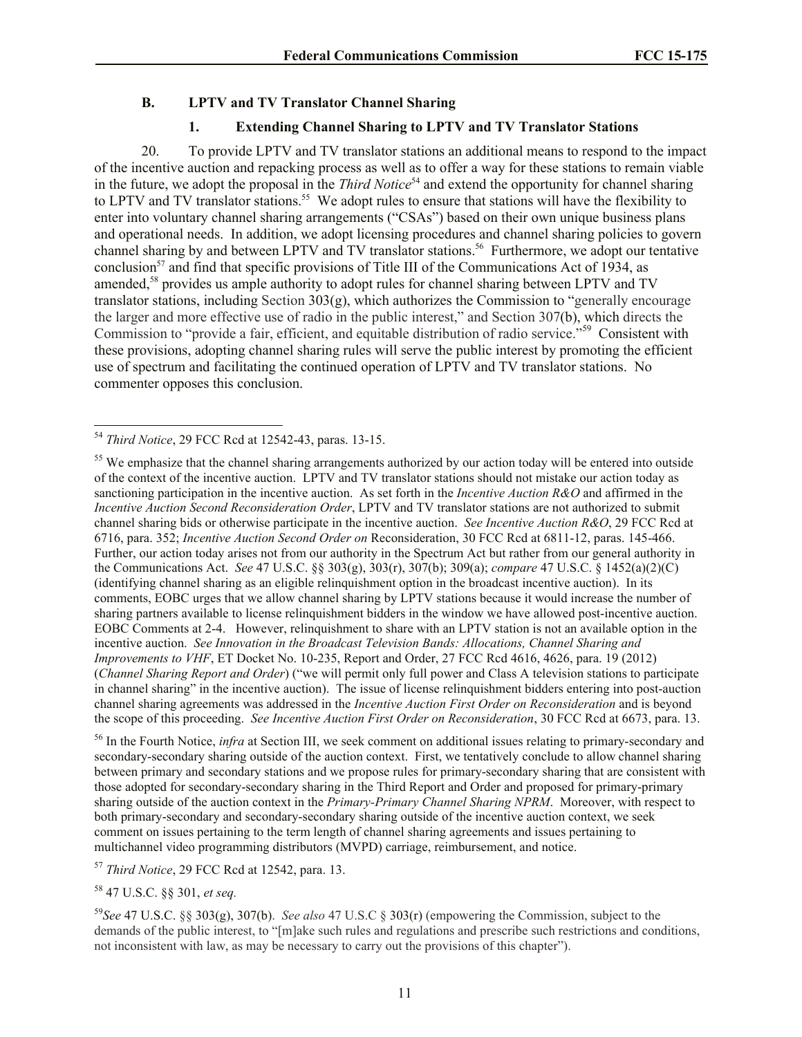### **B. LPTV and TV Translator Channel Sharing**

# **1. Extending Channel Sharing to LPTV and TV Translator Stations**

20. To provide LPTV and TV translator stations an additional means to respond to the impact of the incentive auction and repacking process as well as to offer a way for these stations to remain viable in the future, we adopt the proposal in the *Third Notice*<sup>54</sup> and extend the opportunity for channel sharing to LPTV and TV translator stations.<sup>55</sup> We adopt rules to ensure that stations will have the flexibility to enter into voluntary channel sharing arrangements ("CSAs") based on their own unique business plans and operational needs. In addition, we adopt licensing procedures and channel sharing policies to govern channel sharing by and between LPTV and TV translator stations.<sup>56</sup> Furthermore, we adopt our tentative conclusion<sup>57</sup> and find that specific provisions of Title III of the Communications Act of 1934, as amended,<sup>58</sup> provides us ample authority to adopt rules for channel sharing between LPTV and TV translator stations, including Section 303(g), which authorizes the Commission to "generally encourage the larger and more effective use of radio in the public interest," and Section 307(b), which directs the Commission to "provide a fair, efficient, and equitable distribution of radio service."<sup>59</sup> Consistent with these provisions, adopting channel sharing rules will serve the public interest by promoting the efficient use of spectrum and facilitating the continued operation of LPTV and TV translator stations. No commenter opposes this conclusion.

 $\overline{a}$ 

<sup>56</sup> In the Fourth Notice, *infra* at Section III, we seek comment on additional issues relating to primary-secondary and secondary-secondary sharing outside of the auction context. First, we tentatively conclude to allow channel sharing between primary and secondary stations and we propose rules for primary-secondary sharing that are consistent with those adopted for secondary-secondary sharing in the Third Report and Order and proposed for primary-primary sharing outside of the auction context in the *Primary-Primary Channel Sharing NPRM*. Moreover, with respect to both primary-secondary and secondary-secondary sharing outside of the incentive auction context, we seek comment on issues pertaining to the term length of channel sharing agreements and issues pertaining to multichannel video programming distributors (MVPD) carriage, reimbursement, and notice.

<sup>57</sup> *Third Notice*, 29 FCC Rcd at 12542, para. 13.

<sup>54</sup> *Third Notice*, 29 FCC Rcd at 12542-43, paras. 13-15.

 $55$  We emphasize that the channel sharing arrangements authorized by our action today will be entered into outside of the context of the incentive auction. LPTV and TV translator stations should not mistake our action today as sanctioning participation in the incentive auction. As set forth in the *Incentive Auction R&O* and affirmed in the *Incentive Auction Second Reconsideration Order*, LPTV and TV translator stations are not authorized to submit channel sharing bids or otherwise participate in the incentive auction. *See Incentive Auction R&O*, 29 FCC Rcd at 6716, para. 352; *Incentive Auction Second Order on* Reconsideration, 30 FCC Rcd at 6811-12, paras. 145-466. Further, our action today arises not from our authority in the Spectrum Act but rather from our general authority in the Communications Act. *See* 47 U.S.C. §§ 303(g), 303(r), 307(b); 309(a); *compare* 47 U.S.C. § 1452(a)(2)(C) (identifying channel sharing as an eligible relinquishment option in the broadcast incentive auction). In its comments, EOBC urges that we allow channel sharing by LPTV stations because it would increase the number of sharing partners available to license relinquishment bidders in the window we have allowed post-incentive auction. EOBC Comments at 2-4. However, relinquishment to share with an LPTV station is not an available option in the incentive auction. *See Innovation in the Broadcast Television Bands: Allocations, Channel Sharing and Improvements to VHF*, ET Docket No. 10-235, Report and Order, 27 FCC Rcd 4616, 4626, para. 19 (2012) (*Channel Sharing Report and Order*) ("we will permit only full power and Class A television stations to participate in channel sharing" in the incentive auction). The issue of license relinquishment bidders entering into post-auction channel sharing agreements was addressed in the *Incentive Auction First Order on Reconsideration* and is beyond the scope of this proceeding. *See Incentive Auction First Order on Reconsideration*, 30 FCC Rcd at 6673, para. 13.

<sup>58</sup> 47 U.S.C. §§ 301, *et seq.*

<sup>59</sup>*See* 47 U.S.C. §§ 303(g), 307(b). *See also* 47 U.S.C § 303(r) (empowering the Commission, subject to the demands of the public interest, to "[m]ake such rules and regulations and prescribe such restrictions and conditions, not inconsistent with law, as may be necessary to carry out the provisions of this chapter").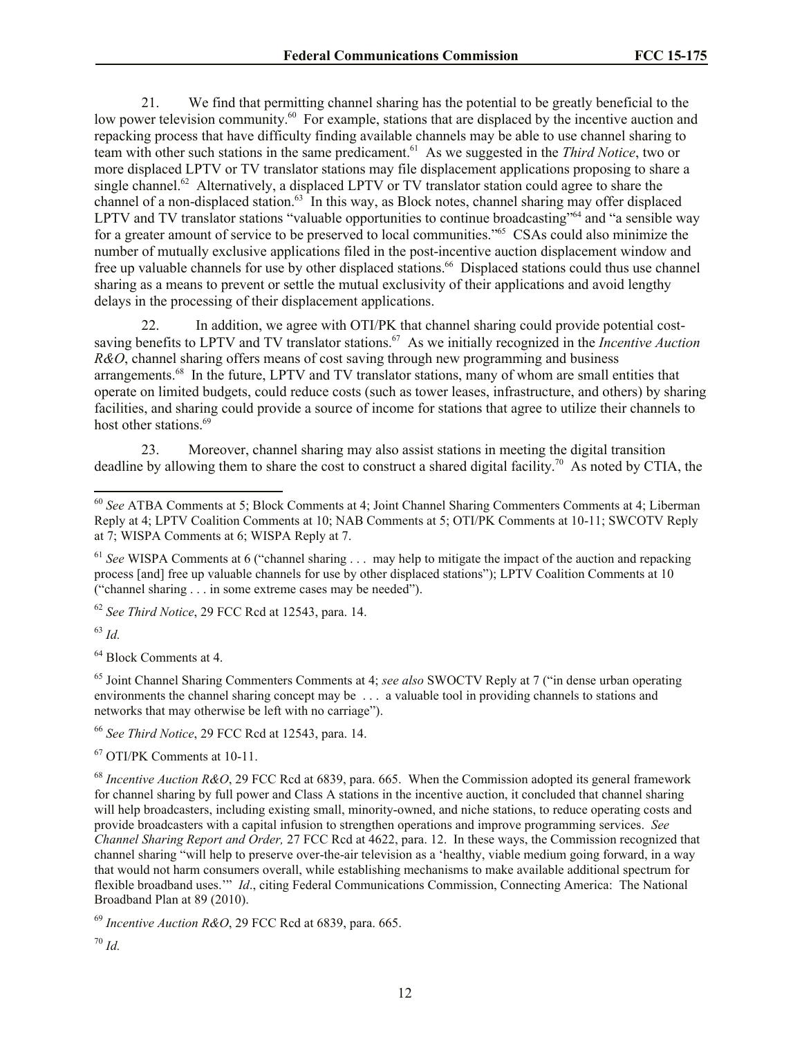21. We find that permitting channel sharing has the potential to be greatly beneficial to the low power television community.<sup>60</sup> For example, stations that are displaced by the incentive auction and repacking process that have difficulty finding available channels may be able to use channel sharing to team with other such stations in the same predicament.<sup>61</sup> As we suggested in the *Third Notice*, two or more displaced LPTV or TV translator stations may file displacement applications proposing to share a single channel.<sup>62</sup> Alternatively, a displaced LPTV or TV translator station could agree to share the channel of a non-displaced station.<sup>63</sup> In this way, as Block notes, channel sharing may offer displaced LPTV and TV translator stations "valuable opportunities to continue broadcasting"<sup>64</sup> and "a sensible way for a greater amount of service to be preserved to local communities."<sup>65</sup> CSAs could also minimize the number of mutually exclusive applications filed in the post-incentive auction displacement window and free up valuable channels for use by other displaced stations.<sup>66</sup> Displaced stations could thus use channel sharing as a means to prevent or settle the mutual exclusivity of their applications and avoid lengthy delays in the processing of their displacement applications.

In addition, we agree with OTI/PK that channel sharing could provide potential costsaving benefits to LPTV and TV translator stations.<sup>67</sup> As we initially recognized in the *Incentive Auction R&O*, channel sharing offers means of cost saving through new programming and business arrangements.<sup>68</sup> In the future, LPTV and TV translator stations, many of whom are small entities that operate on limited budgets, could reduce costs (such as tower leases, infrastructure, and others) by sharing facilities, and sharing could provide a source of income for stations that agree to utilize their channels to host other stations.<sup>69</sup>

23. Moreover, channel sharing may also assist stations in meeting the digital transition deadline by allowing them to share the cost to construct a shared digital facility. 70 As noted by CTIA, the

<sup>62</sup> *See Third Notice*, 29 FCC Rcd at 12543, para. 14.

<sup>63</sup> *Id.*

l

<sup>64</sup> Block Comments at 4.

<sup>65</sup> Joint Channel Sharing Commenters Comments at 4; *see also* SWOCTV Reply at 7 ("in dense urban operating environments the channel sharing concept may be . . . a valuable tool in providing channels to stations and networks that may otherwise be left with no carriage").

<sup>66</sup> *See Third Notice*, 29 FCC Rcd at 12543, para. 14.

<sup>67</sup> OTI/PK Comments at 10-11.

<sup>68</sup> *Incentive Auction R&O*, 29 FCC Rcd at 6839, para. 665. When the Commission adopted its general framework for channel sharing by full power and Class A stations in the incentive auction, it concluded that channel sharing will help broadcasters, including existing small, minority-owned, and niche stations, to reduce operating costs and provide broadcasters with a capital infusion to strengthen operations and improve programming services. *See Channel Sharing Report and Order,* 27 FCC Rcd at 4622, para. 12. In these ways, the Commission recognized that channel sharing "will help to preserve over-the-air television as a 'healthy, viable medium going forward, in a way that would not harm consumers overall, while establishing mechanisms to make available additional spectrum for flexible broadband uses.'" *Id*., citing Federal Communications Commission, Connecting America: The National Broadband Plan at 89 (2010).

<sup>69</sup> *Incentive Auction R&O*, 29 FCC Rcd at 6839, para. 665.

<sup>60</sup> *See* ATBA Comments at 5; Block Comments at 4; Joint Channel Sharing Commenters Comments at 4; Liberman Reply at 4; LPTV Coalition Comments at 10; NAB Comments at 5; OTI/PK Comments at 10-11; SWCOTV Reply at 7; WISPA Comments at 6; WISPA Reply at 7.

<sup>&</sup>lt;sup>61</sup> See WISPA Comments at 6 ("channel sharing . . . may help to mitigate the impact of the auction and repacking process [and] free up valuable channels for use by other displaced stations"); LPTV Coalition Comments at 10 ("channel sharing . . . in some extreme cases may be needed").

<sup>70</sup> *Id.*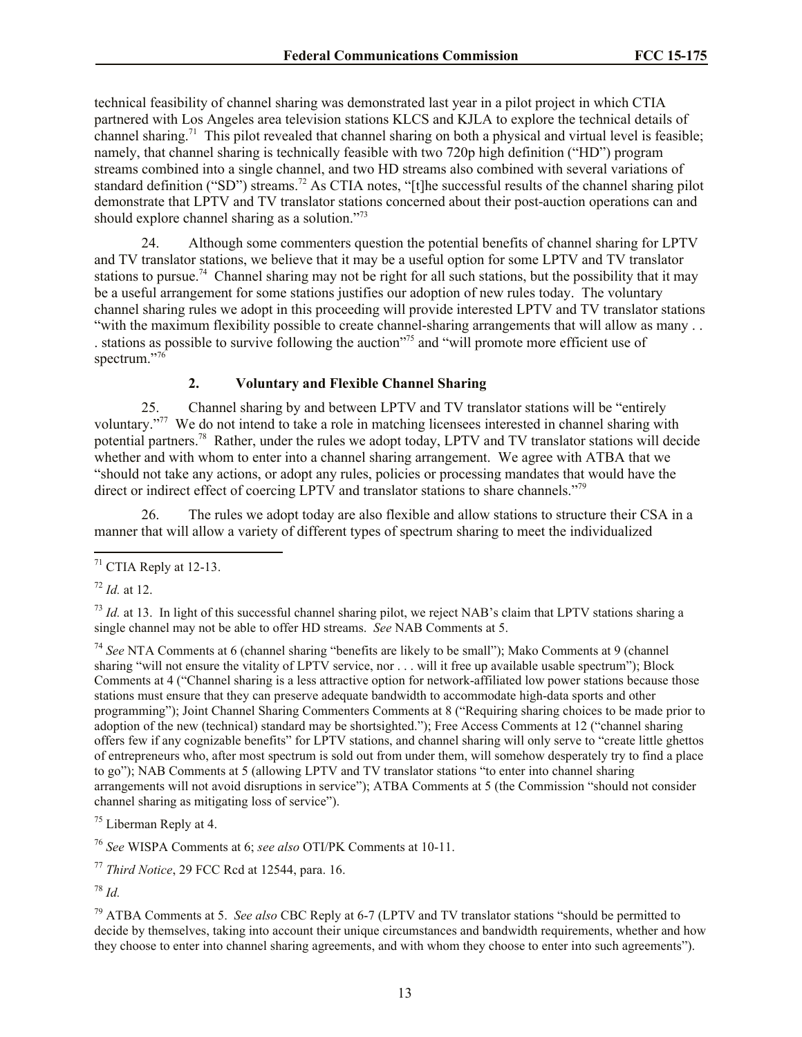technical feasibility of channel sharing was demonstrated last year in a pilot project in which CTIA partnered with Los Angeles area television stations KLCS and KJLA to explore the technical details of channel sharing.<sup>71</sup> This pilot revealed that channel sharing on both a physical and virtual level is feasible; namely, that channel sharing is technically feasible with two 720p high definition ("HD") program streams combined into a single channel, and two HD streams also combined with several variations of standard definition ("SD") streams.<sup>72</sup> As CTIA notes, "[t]he successful results of the channel sharing pilot demonstrate that LPTV and TV translator stations concerned about their post-auction operations can and should explore channel sharing as a solution."<sup>73</sup>

24. Although some commenters question the potential benefits of channel sharing for LPTV and TV translator stations, we believe that it may be a useful option for some LPTV and TV translator stations to pursue.<sup>74</sup> Channel sharing may not be right for all such stations, but the possibility that it may be a useful arrangement for some stations justifies our adoption of new rules today. The voluntary channel sharing rules we adopt in this proceeding will provide interested LPTV and TV translator stations "with the maximum flexibility possible to create channel-sharing arrangements that will allow as many . .

. stations as possible to survive following the auction"<sup>75</sup> and "will promote more efficient use of spectrum."<sup>76</sup>

## **2. Voluntary and Flexible Channel Sharing**

25. Channel sharing by and between LPTV and TV translator stations will be "entirely voluntary."<sup>77</sup> We do not intend to take a role in matching licensees interested in channel sharing with potential partners.<sup>78</sup> Rather, under the rules we adopt today, LPTV and TV translator stations will decide whether and with whom to enter into a channel sharing arrangement. We agree with ATBA that we "should not take any actions, or adopt any rules, policies or processing mandates that would have the direct or indirect effect of coercing LPTV and translator stations to share channels."<sup>79</sup>

26. The rules we adopt today are also flexible and allow stations to structure their CSA in a manner that will allow a variety of different types of spectrum sharing to meet the individualized

l

 $^{73}$  *Id.* at 13. In light of this successful channel sharing pilot, we reject NAB's claim that LPTV stations sharing a single channel may not be able to offer HD streams. *See* NAB Comments at 5.

<sup>74</sup> *See* NTA Comments at 6 (channel sharing "benefits are likely to be small"); Mako Comments at 9 (channel sharing "will not ensure the vitality of LPTV service, nor . . . will it free up available usable spectrum"); Block Comments at 4 ("Channel sharing is a less attractive option for network-affiliated low power stations because those stations must ensure that they can preserve adequate bandwidth to accommodate high-data sports and other programming"); Joint Channel Sharing Commenters Comments at 8 ("Requiring sharing choices to be made prior to adoption of the new (technical) standard may be shortsighted."); Free Access Comments at 12 ("channel sharing offers few if any cognizable benefits" for LPTV stations, and channel sharing will only serve to "create little ghettos of entrepreneurs who, after most spectrum is sold out from under them, will somehow desperately try to find a place to go"); NAB Comments at 5 (allowing LPTV and TV translator stations "to enter into channel sharing arrangements will not avoid disruptions in service"); ATBA Comments at 5 (the Commission "should not consider channel sharing as mitigating loss of service").

<sup>76</sup> *See* WISPA Comments at 6; *see also* OTI/PK Comments at 10-11.

<sup>77</sup> *Third Notice*, 29 FCC Rcd at 12544, para. 16.

<sup>79</sup> ATBA Comments at 5. *See also* CBC Reply at 6-7 (LPTV and TV translator stations "should be permitted to decide by themselves, taking into account their unique circumstances and bandwidth requirements, whether and how they choose to enter into channel sharing agreements, and with whom they choose to enter into such agreements").

 $71$  CTIA Reply at 12-13.

<sup>72</sup> *Id.* at 12.

<sup>75</sup> Liberman Reply at 4.

<sup>78</sup> *Id.*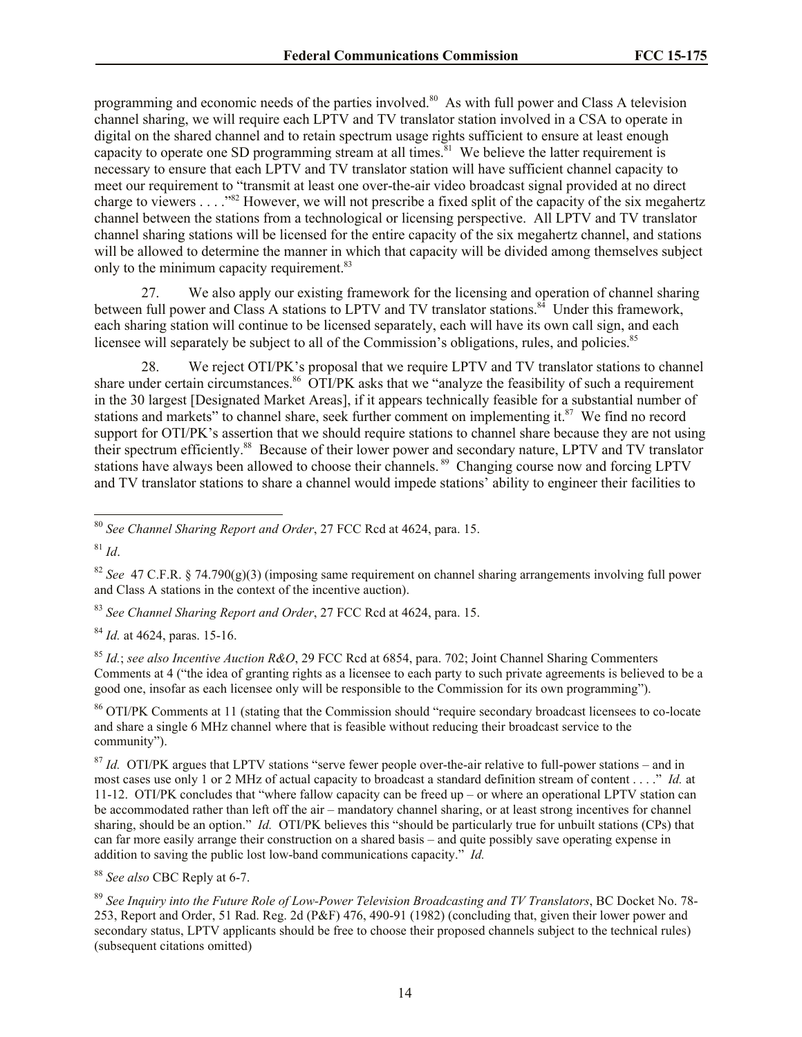programming and economic needs of the parties involved.<sup>80</sup> As with full power and Class A television channel sharing, we will require each LPTV and TV translator station involved in a CSA to operate in digital on the shared channel and to retain spectrum usage rights sufficient to ensure at least enough capacity to operate one SD programming stream at all times.<sup>81</sup> We believe the latter requirement is necessary to ensure that each LPTV and TV translator station will have sufficient channel capacity to meet our requirement to "transmit at least one over-the-air video broadcast signal provided at no direct charge to viewers . . . ."<sup>82</sup> However, we will not prescribe a fixed split of the capacity of the six megahertz channel between the stations from a technological or licensing perspective. All LPTV and TV translator channel sharing stations will be licensed for the entire capacity of the six megahertz channel, and stations will be allowed to determine the manner in which that capacity will be divided among themselves subject only to the minimum capacity requirement.<sup>83</sup>

27. We also apply our existing framework for the licensing and operation of channel sharing between full power and Class A stations to LPTV and TV translator stations.<sup>84</sup> Under this framework, each sharing station will continue to be licensed separately, each will have its own call sign, and each licensee will separately be subject to all of the Commission's obligations, rules, and policies.<sup>85</sup>

28. We reject OTI/PK's proposal that we require LPTV and TV translator stations to channel share under certain circumstances.<sup>86</sup> OTI/PK asks that we "analyze the feasibility of such a requirement in the 30 largest [Designated Market Areas], if it appears technically feasible for a substantial number of stations and markets" to channel share, seek further comment on implementing it.<sup>87</sup> We find no record support for OTI/PK's assertion that we should require stations to channel share because they are not using their spectrum efficiently.<sup>88</sup> Because of their lower power and secondary nature, LPTV and TV translator stations have always been allowed to choose their channels.<sup>89</sup> Changing course now and forcing LPTV and TV translator stations to share a channel would impede stations' ability to engineer their facilities to

 $81 \frac{1}{d}$ 

l

<sup>83</sup> *See Channel Sharing Report and Order*, 27 FCC Rcd at 4624, para. 15.

<sup>84</sup> *Id.* at 4624, paras. 15-16.

<sup>85</sup> *Id.*; *see also Incentive Auction R&O*, 29 FCC Rcd at 6854, para. 702; Joint Channel Sharing Commenters Comments at 4 ("the idea of granting rights as a licensee to each party to such private agreements is believed to be a good one, insofar as each licensee only will be responsible to the Commission for its own programming").

<sup>86</sup> OTI/PK Comments at 11 (stating that the Commission should "require secondary broadcast licensees to co-locate and share a single 6 MHz channel where that is feasible without reducing their broadcast service to the community").

<sup>87</sup> *Id.* OTI/PK argues that LPTV stations "serve fewer people over-the-air relative to full-power stations – and in most cases use only 1 or 2 MHz of actual capacity to broadcast a standard definition stream of content . . . ." *Id.* at 11-12. OTI/PK concludes that "where fallow capacity can be freed up – or where an operational LPTV station can be accommodated rather than left off the air – mandatory channel sharing, or at least strong incentives for channel sharing, should be an option." *Id.* OTI/PK believes this "should be particularly true for unbuilt stations (CPs) that can far more easily arrange their construction on a shared basis – and quite possibly save operating expense in addition to saving the public lost low-band communications capacity." *Id.*

<sup>88</sup> *See also* CBC Reply at 6-7.

<sup>89</sup> *See Inquiry into the Future Role of Low-Power Television Broadcasting and TV Translators*, BC Docket No. 78- 253, Report and Order, 51 Rad. Reg. 2d (P&F) 476, 490-91 (1982) (concluding that, given their lower power and secondary status, LPTV applicants should be free to choose their proposed channels subject to the technical rules) (subsequent citations omitted)

<sup>80</sup> *See Channel Sharing Report and Order*, 27 FCC Rcd at 4624, para. 15.

<sup>82</sup> *See* 47 C.F.R. § 74.790(g)(3) (imposing same requirement on channel sharing arrangements involving full power and Class A stations in the context of the incentive auction).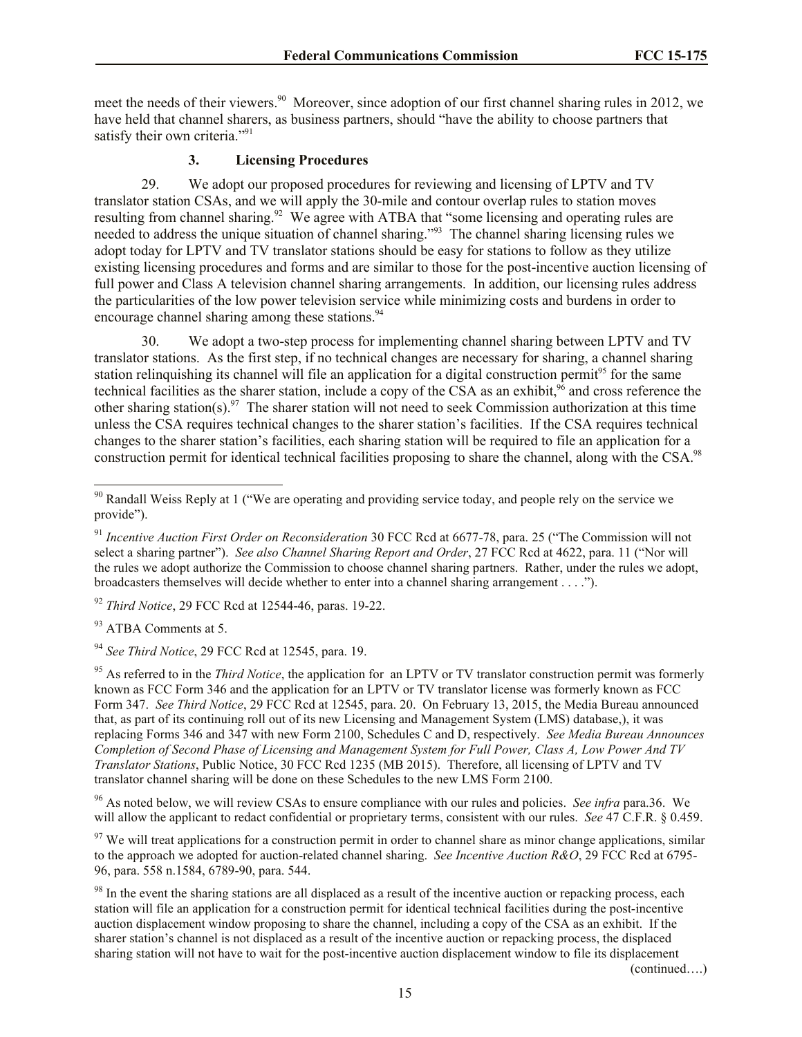meet the needs of their viewers.<sup>90</sup> Moreover, since adoption of our first channel sharing rules in 2012, we have held that channel sharers, as business partners, should "have the ability to choose partners that satisfy their own criteria."<sup>91</sup>

#### **3. Licensing Procedures**

29. We adopt our proposed procedures for reviewing and licensing of LPTV and TV translator station CSAs, and we will apply the 30-mile and contour overlap rules to station moves resulting from channel sharing.<sup>92</sup> We agree with ATBA that "some licensing and operating rules are needed to address the unique situation of channel sharing."<sup>93</sup> The channel sharing licensing rules we adopt today for LPTV and TV translator stations should be easy for stations to follow as they utilize existing licensing procedures and forms and are similar to those for the post-incentive auction licensing of full power and Class A television channel sharing arrangements. In addition, our licensing rules address the particularities of the low power television service while minimizing costs and burdens in order to encourage channel sharing among these stations.<sup>94</sup>

30. We adopt a two-step process for implementing channel sharing between LPTV and TV translator stations. As the first step, if no technical changes are necessary for sharing, a channel sharing station relinquishing its channel will file an application for a digital construction permit<sup>95</sup> for the same technical facilities as the sharer station, include a copy of the CSA as an exhibit,<sup>96</sup> and cross reference the other sharing station(s).<sup>97</sup> The sharer station will not need to seek Commission authorization at this time unless the CSA requires technical changes to the sharer station's facilities. If the CSA requires technical changes to the sharer station's facilities, each sharing station will be required to file an application for a construction permit for identical technical facilities proposing to share the channel, along with the CSA.<sup>98</sup>

<sup>92</sup> *Third Notice*, 29 FCC Rcd at 12544-46, paras. 19-22.

93 ATBA Comments at 5.

 $\overline{\phantom{a}}$ 

<sup>94</sup> *See Third Notice*, 29 FCC Rcd at 12545, para. 19.

<sup>95</sup> As referred to in the *Third Notice*, the application for an LPTV or TV translator construction permit was formerly known as FCC Form 346 and the application for an LPTV or TV translator license was formerly known as FCC Form 347. *See Third Notice*, 29 FCC Rcd at 12545, para. 20. On February 13, 2015, the Media Bureau announced that, as part of its continuing roll out of its new Licensing and Management System (LMS) database,), it was replacing Forms 346 and 347 with new Form 2100, Schedules C and D, respectively. *See Media Bureau Announces Completion of Second Phase of Licensing and Management System for Full Power, Class A, Low Power And TV Translator Stations*, Public Notice, 30 FCC Rcd 1235 (MB 2015). Therefore, all licensing of LPTV and TV translator channel sharing will be done on these Schedules to the new LMS Form 2100.

<sup>96</sup> As noted below, we will review CSAs to ensure compliance with our rules and policies. *See infra* para.36. We will allow the applicant to redact confidential or proprietary terms, consistent with our rules. *See* 47 C.F.R. § 0.459.

 $97$  We will treat applications for a construction permit in order to channel share as minor change applications, similar to the approach we adopted for auction-related channel sharing. *See Incentive Auction R&O*, 29 FCC Rcd at 6795- 96, para. 558 n.1584, 6789-90, para. 544.

<sup>98</sup> In the event the sharing stations are all displaced as a result of the incentive auction or repacking process, each station will file an application for a construction permit for identical technical facilities during the post-incentive auction displacement window proposing to share the channel, including a copy of the CSA as an exhibit. If the sharer station's channel is not displaced as a result of the incentive auction or repacking process, the displaced sharing station will not have to wait for the post-incentive auction displacement window to file its displacement

(continued….)

<sup>&</sup>lt;sup>90</sup> Randall Weiss Reply at 1 ("We are operating and providing service today, and people rely on the service we provide").

<sup>91</sup> *Incentive Auction First Order on Reconsideration* 30 FCC Rcd at 6677-78, para. 25 ("The Commission will not select a sharing partner"). *See also Channel Sharing Report and Order*, 27 FCC Rcd at 4622, para. 11 ("Nor will the rules we adopt authorize the Commission to choose channel sharing partners. Rather, under the rules we adopt, broadcasters themselves will decide whether to enter into a channel sharing arrangement . . . .").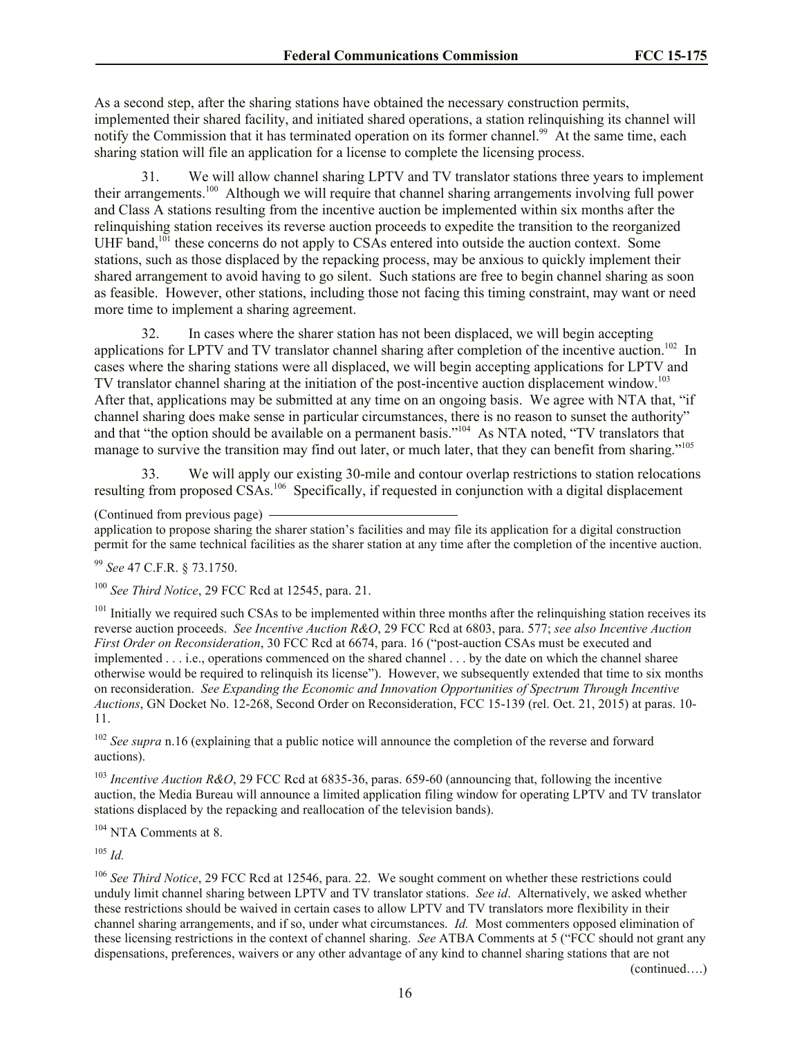As a second step, after the sharing stations have obtained the necessary construction permits, implemented their shared facility, and initiated shared operations, a station relinquishing its channel will notify the Commission that it has terminated operation on its former channel.<sup>99</sup> At the same time, each sharing station will file an application for a license to complete the licensing process.

31. We will allow channel sharing LPTV and TV translator stations three years to implement their arrangements.<sup>100</sup> Although we will require that channel sharing arrangements involving full power and Class A stations resulting from the incentive auction be implemented within six months after the relinquishing station receives its reverse auction proceeds to expedite the transition to the reorganized UHF band, $101$  these concerns do not apply to CSAs entered into outside the auction context. Some stations, such as those displaced by the repacking process, may be anxious to quickly implement their shared arrangement to avoid having to go silent. Such stations are free to begin channel sharing as soon as feasible. However, other stations, including those not facing this timing constraint, may want or need more time to implement a sharing agreement.

32. In cases where the sharer station has not been displaced, we will begin accepting applications for LPTV and TV translator channel sharing after completion of the incentive auction.<sup>102</sup> In cases where the sharing stations were all displaced, we will begin accepting applications for LPTV and TV translator channel sharing at the initiation of the post-incentive auction displacement window.<sup>103</sup> After that, applications may be submitted at any time on an ongoing basis. We agree with NTA that, "if channel sharing does make sense in particular circumstances, there is no reason to sunset the authority" and that "the option should be available on a permanent basis."<sup>104</sup> As NTA noted, "TV translators that manage to survive the transition may find out later, or much later, that they can benefit from sharing."<sup>105</sup>

33. We will apply our existing 30-mile and contour overlap restrictions to station relocations resulting from proposed CSAs.<sup>106</sup> Specifically, if requested in conjunction with a digital displacement

(Continued from previous page)

application to propose sharing the sharer station's facilities and may file its application for a digital construction permit for the same technical facilities as the sharer station at any time after the completion of the incentive auction.

<sup>99</sup> *See* 47 C.F.R. § 73.1750.

<sup>100</sup> *See Third Notice*, 29 FCC Rcd at 12545, para. 21.

 $101$  Initially we required such CSAs to be implemented within three months after the relinquishing station receives its reverse auction proceeds. *See Incentive Auction R&O*, 29 FCC Rcd at 6803, para. 577; *see also Incentive Auction First Order on Reconsideration*, 30 FCC Rcd at 6674, para. 16 ("post-auction CSAs must be executed and implemented . . . i.e., operations commenced on the shared channel . . . by the date on which the channel sharee otherwise would be required to relinquish its license"). However, we subsequently extended that time to six months on reconsideration. *See Expanding the Economic and Innovation Opportunities of Spectrum Through Incentive Auctions*, GN Docket No. 12-268, Second Order on Reconsideration, FCC 15-139 (rel. Oct. 21, 2015) at paras. 10- 11.

<sup>102</sup> *See supra* n.16 (explaining that a public notice will announce the completion of the reverse and forward auctions).

<sup>103</sup> *Incentive Auction R&O*, 29 FCC Rcd at 6835-36, paras. 659-60 (announcing that, following the incentive auction, the Media Bureau will announce a limited application filing window for operating LPTV and TV translator stations displaced by the repacking and reallocation of the television bands).

<sup>104</sup> NTA Comments at 8.

<sup>105</sup> *Id.*

<sup>106</sup> See Third Notice, 29 FCC Rcd at 12546, para. 22. We sought comment on whether these restrictions could unduly limit channel sharing between LPTV and TV translator stations. *See id*. Alternatively, we asked whether these restrictions should be waived in certain cases to allow LPTV and TV translators more flexibility in their channel sharing arrangements, and if so, under what circumstances. *Id.* Most commenters opposed elimination of these licensing restrictions in the context of channel sharing. *See* ATBA Comments at 5 ("FCC should not grant any dispensations, preferences, waivers or any other advantage of any kind to channel sharing stations that are not

(continued….)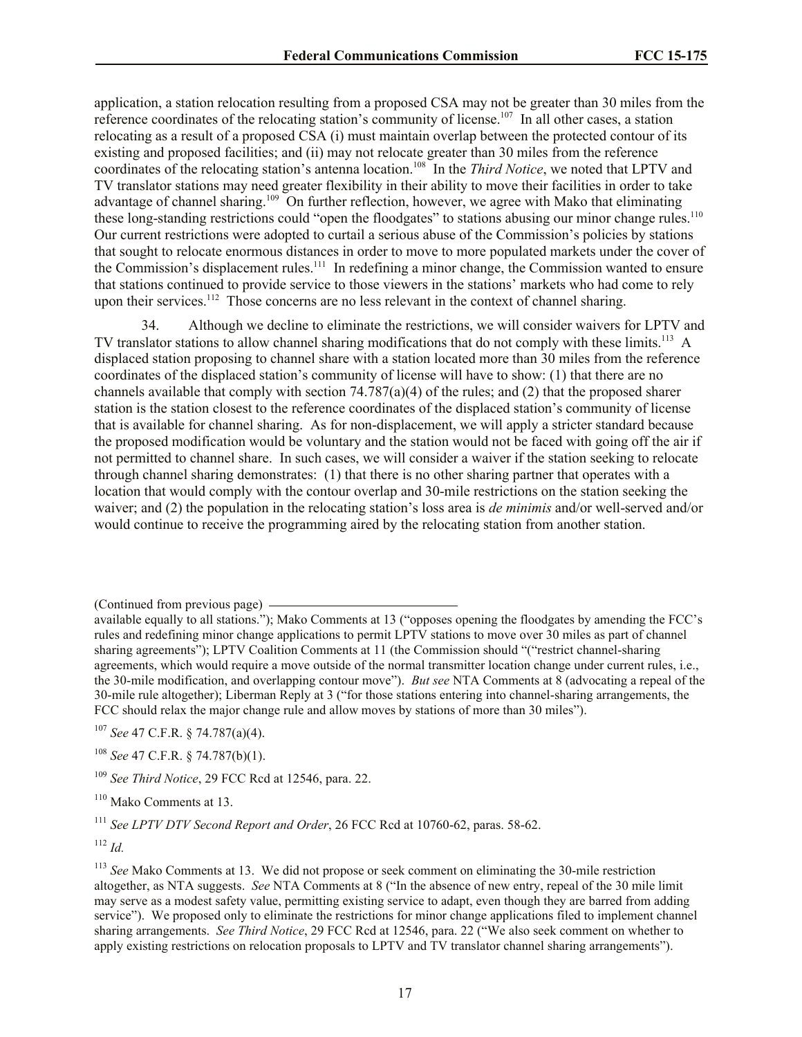application, a station relocation resulting from a proposed CSA may not be greater than 30 miles from the reference coordinates of the relocating station's community of license.<sup>107</sup> In all other cases, a station relocating as a result of a proposed CSA (i) must maintain overlap between the protected contour of its existing and proposed facilities; and (ii) may not relocate greater than 30 miles from the reference coordinates of the relocating station's antenna location.<sup>108</sup> In the *Third Notice*, we noted that LPTV and TV translator stations may need greater flexibility in their ability to move their facilities in order to take advantage of channel sharing.<sup>109</sup> On further reflection, however, we agree with Mako that eliminating these long-standing restrictions could "open the floodgates" to stations abusing our minor change rules.<sup>110</sup> Our current restrictions were adopted to curtail a serious abuse of the Commission's policies by stations that sought to relocate enormous distances in order to move to more populated markets under the cover of the Commission's displacement rules.<sup>111</sup> In redefining a minor change, the Commission wanted to ensure that stations continued to provide service to those viewers in the stations' markets who had come to rely upon their services.<sup>112</sup> Those concerns are no less relevant in the context of channel sharing.

34. Although we decline to eliminate the restrictions, we will consider waivers for LPTV and TV translator stations to allow channel sharing modifications that do not comply with these limits.<sup>113</sup> A displaced station proposing to channel share with a station located more than 30 miles from the reference coordinates of the displaced station's community of license will have to show: (1) that there are no channels available that comply with section  $74.787(a)(4)$  of the rules; and (2) that the proposed sharer station is the station closest to the reference coordinates of the displaced station's community of license that is available for channel sharing. As for non-displacement, we will apply a stricter standard because the proposed modification would be voluntary and the station would not be faced with going off the air if not permitted to channel share. In such cases, we will consider a waiver if the station seeking to relocate through channel sharing demonstrates: (1) that there is no other sharing partner that operates with a location that would comply with the contour overlap and 30-mile restrictions on the station seeking the waiver; and (2) the population in the relocating station's loss area is *de minimis* and/or well-served and/or would continue to receive the programming aired by the relocating station from another station.

<sup>107</sup> *See* 47 C.F.R. § 74.787(a)(4).

<sup>108</sup> *See* 47 C.F.R. § 74.787(b)(1).

<sup>109</sup> *See Third Notice*, 29 FCC Rcd at 12546, para. 22.

<sup>110</sup> Mako Comments at 13.

<sup>111</sup> *See LPTV DTV Second Report and Order*, 26 FCC Rcd at 10760-62, paras. 58-62.

<sup>112</sup> *Id.*

<sup>(</sup>Continued from previous page)

available equally to all stations."); Mako Comments at 13 ("opposes opening the floodgates by amending the FCC's rules and redefining minor change applications to permit LPTV stations to move over 30 miles as part of channel sharing agreements"); LPTV Coalition Comments at 11 (the Commission should "("restrict channel-sharing agreements, which would require a move outside of the normal transmitter location change under current rules, i.e., the 30-mile modification, and overlapping contour move"). *But see* NTA Comments at 8 (advocating a repeal of the 30-mile rule altogether); Liberman Reply at 3 ("for those stations entering into channel-sharing arrangements, the FCC should relax the major change rule and allow moves by stations of more than 30 miles").

<sup>113</sup> *See* Mako Comments at 13. We did not propose or seek comment on eliminating the 30-mile restriction altogether, as NTA suggests. *See* NTA Comments at 8 ("In the absence of new entry, repeal of the 30 mile limit may serve as a modest safety value, permitting existing service to adapt, even though they are barred from adding service"). We proposed only to eliminate the restrictions for minor change applications filed to implement channel sharing arrangements. *See Third Notice*, 29 FCC Rcd at 12546, para. 22 ("We also seek comment on whether to apply existing restrictions on relocation proposals to LPTV and TV translator channel sharing arrangements").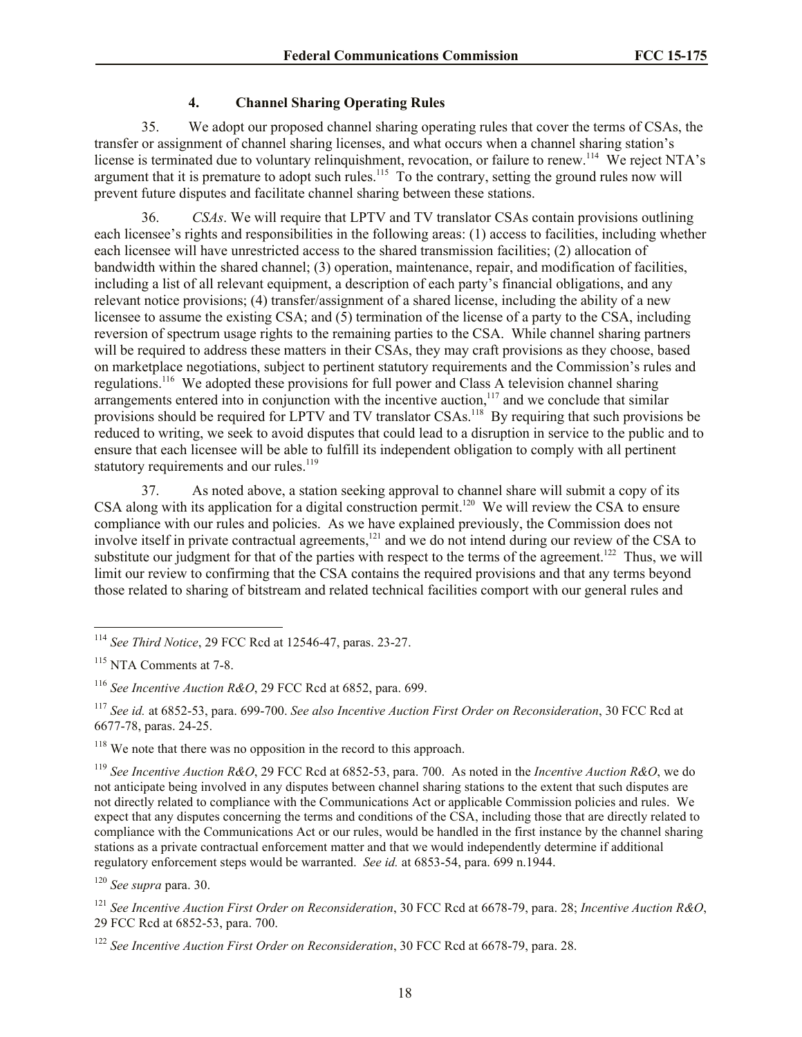## **4. Channel Sharing Operating Rules**

35. We adopt our proposed channel sharing operating rules that cover the terms of CSAs, the transfer or assignment of channel sharing licenses, and what occurs when a channel sharing station's license is terminated due to voluntary relinquishment, revocation, or failure to renew.<sup>114</sup> We reject NTA's argument that it is premature to adopt such rules.<sup>115</sup> To the contrary, setting the ground rules now will prevent future disputes and facilitate channel sharing between these stations.

36. *CSAs*. We will require that LPTV and TV translator CSAs contain provisions outlining each licensee's rights and responsibilities in the following areas: (1) access to facilities, including whether each licensee will have unrestricted access to the shared transmission facilities; (2) allocation of bandwidth within the shared channel; (3) operation, maintenance, repair, and modification of facilities, including a list of all relevant equipment, a description of each party's financial obligations, and any relevant notice provisions; (4) transfer/assignment of a shared license, including the ability of a new licensee to assume the existing CSA; and (5) termination of the license of a party to the CSA, including reversion of spectrum usage rights to the remaining parties to the CSA. While channel sharing partners will be required to address these matters in their CSAs, they may craft provisions as they choose, based on marketplace negotiations, subject to pertinent statutory requirements and the Commission's rules and regulations.<sup>116</sup> We adopted these provisions for full power and Class A television channel sharing arrangements entered into in conjunction with the incentive auction,<sup>117</sup> and we conclude that similar provisions should be required for LPTV and TV translator CSAs.<sup>118</sup> By requiring that such provisions be reduced to writing, we seek to avoid disputes that could lead to a disruption in service to the public and to ensure that each licensee will be able to fulfill its independent obligation to comply with all pertinent statutory requirements and our rules.<sup>119</sup>

37. As noted above, a station seeking approval to channel share will submit a copy of its CSA along with its application for a digital construction permit.<sup>120</sup> We will review the CSA to ensure compliance with our rules and policies. As we have explained previously, the Commission does not involve itself in private contractual agreements,<sup>121</sup> and we do not intend during our review of the CSA to substitute our judgment for that of the parties with respect to the terms of the agreement.<sup>122</sup> Thus, we will limit our review to confirming that the CSA contains the required provisions and that any terms beyond those related to sharing of bitstream and related technical facilities comport with our general rules and

<sup>120</sup> *See supra* para. 30.

<sup>121</sup> *See Incentive Auction First Order on Reconsideration*, 30 FCC Rcd at 6678-79, para. 28; *Incentive Auction R&O*, 29 FCC Rcd at 6852-53, para. 700.

l <sup>114</sup> *See Third Notice*, 29 FCC Rcd at 12546-47, paras. 23-27.

<sup>115</sup> NTA Comments at 7-8.

<sup>116</sup> *See Incentive Auction R&O*, 29 FCC Rcd at 6852, para. 699.

<sup>117</sup> *See id.* at 6852-53, para. 699-700. *See also Incentive Auction First Order on Reconsideration*, 30 FCC Rcd at 6677-78, paras. 24-25.

<sup>&</sup>lt;sup>118</sup> We note that there was no opposition in the record to this approach.

<sup>119</sup> *See Incentive Auction R&O*, 29 FCC Rcd at 6852-53, para. 700. As noted in the *Incentive Auction R&O*, we do not anticipate being involved in any disputes between channel sharing stations to the extent that such disputes are not directly related to compliance with the Communications Act or applicable Commission policies and rules. We expect that any disputes concerning the terms and conditions of the CSA, including those that are directly related to compliance with the Communications Act or our rules, would be handled in the first instance by the channel sharing stations as a private contractual enforcement matter and that we would independently determine if additional regulatory enforcement steps would be warranted. *See id.* at 6853-54, para. 699 n.1944.

<sup>122</sup> *See Incentive Auction First Order on Reconsideration*, 30 FCC Rcd at 6678-79, para. 28.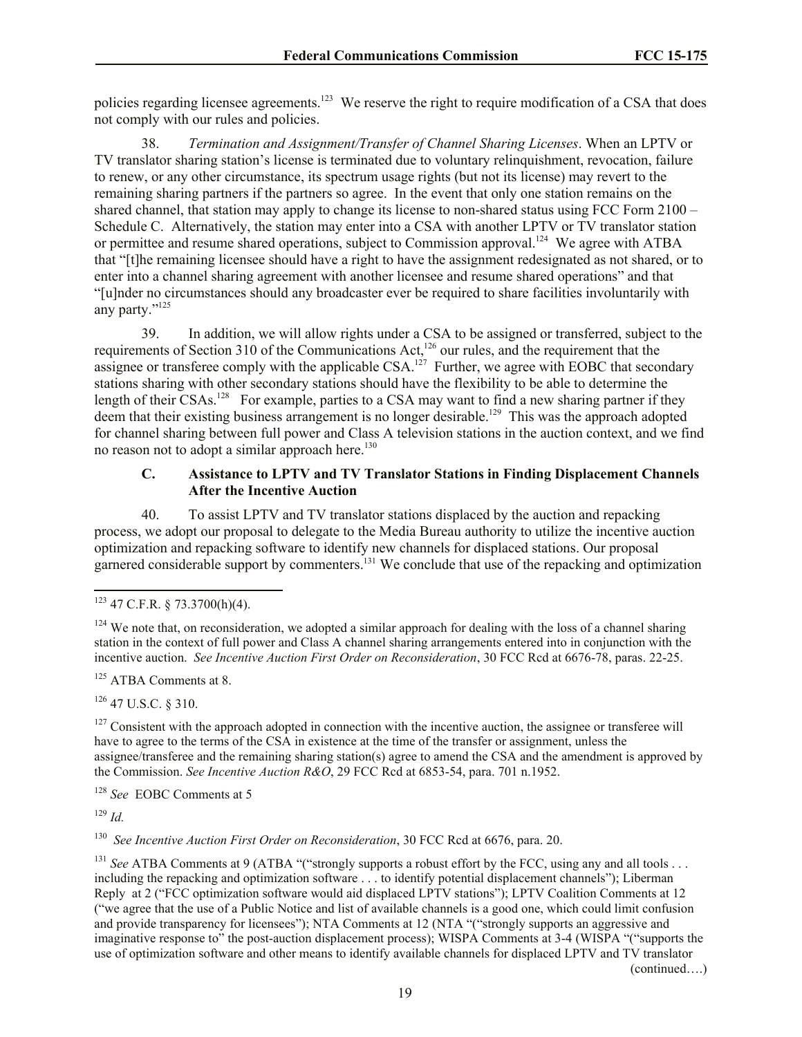policies regarding licensee agreements.<sup>123</sup> We reserve the right to require modification of a CSA that does not comply with our rules and policies.

38. *Termination and Assignment/Transfer of Channel Sharing Licenses*. When an LPTV or TV translator sharing station's license is terminated due to voluntary relinquishment, revocation, failure to renew, or any other circumstance, its spectrum usage rights (but not its license) may revert to the remaining sharing partners if the partners so agree. In the event that only one station remains on the shared channel, that station may apply to change its license to non-shared status using FCC Form 2100 – Schedule C. Alternatively, the station may enter into a CSA with another LPTV or TV translator station or permittee and resume shared operations, subject to Commission approval.<sup>124</sup> We agree with ATBA that "[t]he remaining licensee should have a right to have the assignment redesignated as not shared, or to enter into a channel sharing agreement with another licensee and resume shared operations" and that "[u]nder no circumstances should any broadcaster ever be required to share facilities involuntarily with any party."<sup>125</sup>

39. In addition, we will allow rights under a CSA to be assigned or transferred, subject to the requirements of Section 310 of the Communications Act,<sup>126</sup> our rules, and the requirement that the assignee or transferee comply with the applicable CSA.<sup>127</sup> Further, we agree with EOBC that secondary stations sharing with other secondary stations should have the flexibility to be able to determine the length of their CSAs.<sup>128</sup> For example, parties to a CSA may want to find a new sharing partner if they deem that their existing business arrangement is no longer desirable.<sup>129</sup> This was the approach adopted for channel sharing between full power and Class A television stations in the auction context, and we find no reason not to adopt a similar approach here.<sup>130</sup>

#### **C. Assistance to LPTV and TV Translator Stations in Finding Displacement Channels After the Incentive Auction**

40. To assist LPTV and TV translator stations displaced by the auction and repacking process, we adopt our proposal to delegate to the Media Bureau authority to utilize the incentive auction optimization and repacking software to identify new channels for displaced stations. Our proposal garnered considerable support by commenters.<sup>131</sup> We conclude that use of the repacking and optimization

<sup>125</sup> ATBA Comments at 8.

 $126$  47 U.S.C. § 310.

 $127$  Consistent with the approach adopted in connection with the incentive auction, the assignee or transferee will have to agree to the terms of the CSA in existence at the time of the transfer or assignment, unless the assignee/transferee and the remaining sharing station(s) agree to amend the CSA and the amendment is approved by the Commission. *See Incentive Auction R&O*, 29 FCC Rcd at 6853-54, para. 701 n.1952.

<sup>128</sup> *See* EOBC Comments at 5

<sup>129</sup> *Id.*

<sup>130</sup> See Incentive Auction First Order on Reconsideration, 30 FCC Rcd at 6676, para. 20.

<sup>131</sup> *See* ATBA Comments at 9 (ATBA "("strongly supports a robust effort by the FCC, using any and all tools ... including the repacking and optimization software . . . to identify potential displacement channels"); Liberman Reply at 2 ("FCC optimization software would aid displaced LPTV stations"); LPTV Coalition Comments at 12 ("we agree that the use of a Public Notice and list of available channels is a good one, which could limit confusion and provide transparency for licensees"); NTA Comments at 12 (NTA "("strongly supports an aggressive and imaginative response to" the post-auction displacement process); WISPA Comments at 3-4 (WISPA "("supports the use of optimization software and other means to identify available channels for displaced LPTV and TV translator

(continued….)

 $\overline{a}$  $123$  47 C.F.R. § 73.3700(h)(4).

<sup>&</sup>lt;sup>124</sup> We note that, on reconsideration, we adopted a similar approach for dealing with the loss of a channel sharing station in the context of full power and Class A channel sharing arrangements entered into in conjunction with the incentive auction. *See Incentive Auction First Order on Reconsideration*, 30 FCC Rcd at 6676-78, paras. 22-25.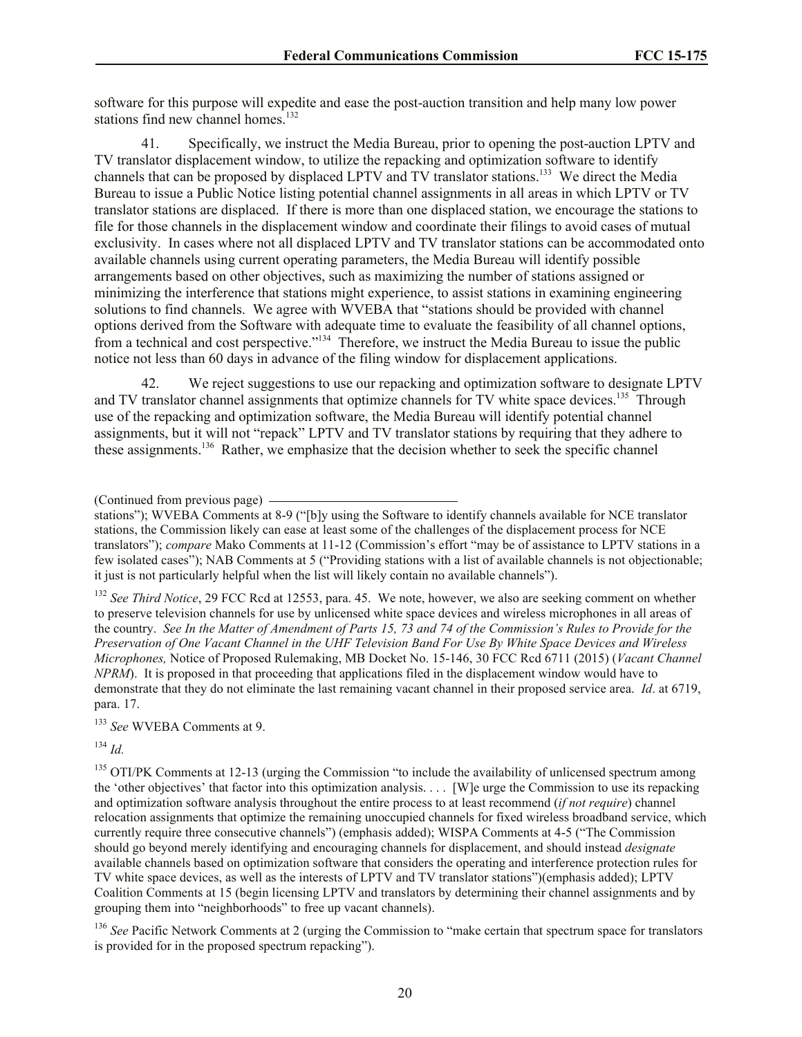software for this purpose will expedite and ease the post-auction transition and help many low power stations find new channel homes.<sup>132</sup>

41. Specifically, we instruct the Media Bureau, prior to opening the post-auction LPTV and TV translator displacement window, to utilize the repacking and optimization software to identify channels that can be proposed by displaced LPTV and TV translator stations.<sup>133</sup> We direct the Media Bureau to issue a Public Notice listing potential channel assignments in all areas in which LPTV or TV translator stations are displaced. If there is more than one displaced station, we encourage the stations to file for those channels in the displacement window and coordinate their filings to avoid cases of mutual exclusivity. In cases where not all displaced LPTV and TV translator stations can be accommodated onto available channels using current operating parameters, the Media Bureau will identify possible arrangements based on other objectives, such as maximizing the number of stations assigned or minimizing the interference that stations might experience, to assist stations in examining engineering solutions to find channels. We agree with WVEBA that "stations should be provided with channel options derived from the Software with adequate time to evaluate the feasibility of all channel options, from a technical and cost perspective."<sup>134</sup> Therefore, we instruct the Media Bureau to issue the public notice not less than 60 days in advance of the filing window for displacement applications.

42. We reject suggestions to use our repacking and optimization software to designate LPTV and TV translator channel assignments that optimize channels for TV white space devices.<sup>135</sup> Through use of the repacking and optimization software, the Media Bureau will identify potential channel assignments, but it will not "repack" LPTV and TV translator stations by requiring that they adhere to these assignments.<sup>136</sup> Rather, we emphasize that the decision whether to seek the specific channel

<sup>132</sup> *See Third Notice*, 29 FCC Rcd at 12553, para. 45. We note, however, we also are seeking comment on whether to preserve television channels for use by unlicensed white space devices and wireless microphones in all areas of the country. *See In the Matter of Amendment of Parts 15, 73 and 74 of the Commission's Rules to Provide for the Preservation of One Vacant Channel in the UHF Television Band For Use By White Space Devices and Wireless Microphones,* Notice of Proposed Rulemaking, MB Docket No. 15-146, 30 FCC Rcd 6711 (2015) (*Vacant Channel NPRM*). It is proposed in that proceeding that applications filed in the displacement window would have to demonstrate that they do not eliminate the last remaining vacant channel in their proposed service area. *Id*. at 6719, para. 17.

<sup>133</sup> *See* WVEBA Comments at 9.

<sup>134</sup> *Id.*

<sup>135</sup> OTI/PK Comments at 12-13 (urging the Commission "to include the availability of unlicensed spectrum among the 'other objectives' that factor into this optimization analysis. . . . [W]e urge the Commission to use its repacking and optimization software analysis throughout the entire process to at least recommend (*if not require*) channel relocation assignments that optimize the remaining unoccupied channels for fixed wireless broadband service, which currently require three consecutive channels") (emphasis added); WISPA Comments at 4-5 ("The Commission should go beyond merely identifying and encouraging channels for displacement, and should instead *designate* available channels based on optimization software that considers the operating and interference protection rules for TV white space devices, as well as the interests of LPTV and TV translator stations")(emphasis added); LPTV Coalition Comments at 15 (begin licensing LPTV and translators by determining their channel assignments and by grouping them into "neighborhoods" to free up vacant channels).

<sup>136</sup> *See* Pacific Network Comments at 2 (urging the Commission to "make certain that spectrum space for translators" is provided for in the proposed spectrum repacking").

<sup>(</sup>Continued from previous page)

stations"); WVEBA Comments at 8-9 ("[b]y using the Software to identify channels available for NCE translator stations, the Commission likely can ease at least some of the challenges of the displacement process for NCE translators"); *compare* Mako Comments at 11-12 (Commission's effort "may be of assistance to LPTV stations in a few isolated cases"); NAB Comments at 5 ("Providing stations with a list of available channels is not objectionable; it just is not particularly helpful when the list will likely contain no available channels").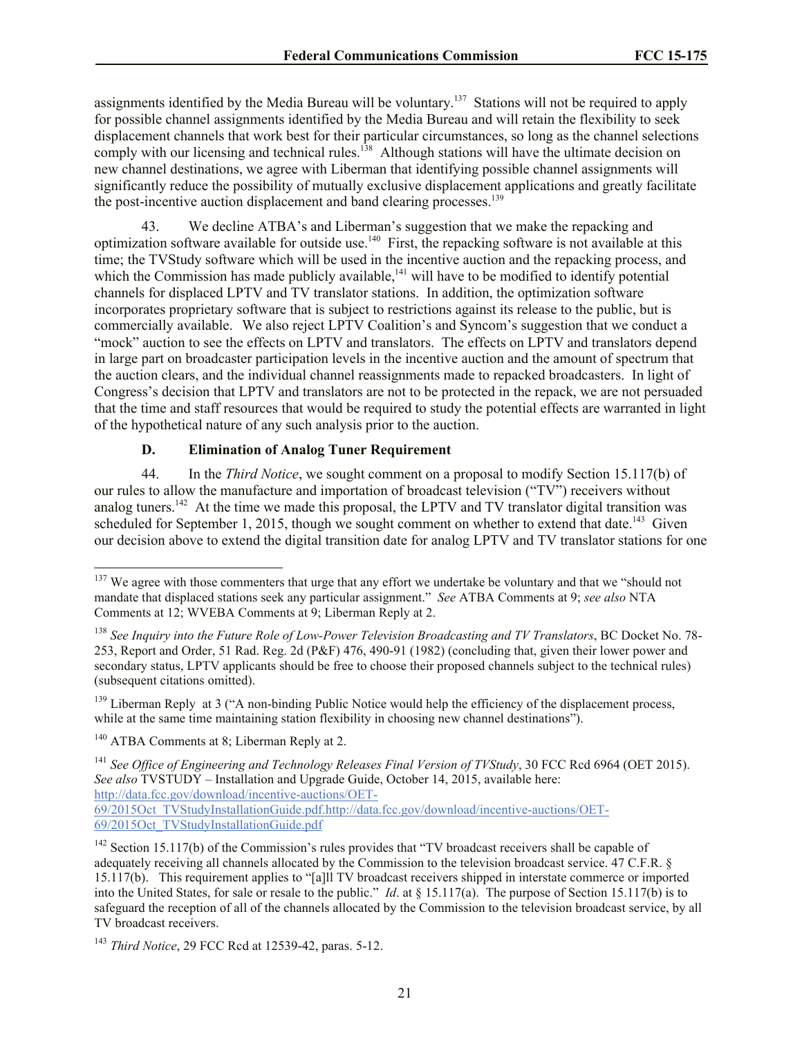assignments identified by the Media Bureau will be voluntary.<sup>137</sup> Stations will not be required to apply for possible channel assignments identified by the Media Bureau and will retain the flexibility to seek displacement channels that work best for their particular circumstances, so long as the channel selections comply with our licensing and technical rules.<sup>138</sup> Although stations will have the ultimate decision on new channel destinations, we agree with Liberman that identifying possible channel assignments will significantly reduce the possibility of mutually exclusive displacement applications and greatly facilitate the post-incentive auction displacement and band clearing processes.<sup>139</sup>

43. We decline ATBA's and Liberman's suggestion that we make the repacking and optimization software available for outside use.<sup>140</sup> First, the repacking software is not available at this time; the TVStudy software which will be used in the incentive auction and the repacking process, and which the Commission has made publicly available,<sup> $141$ </sup> will have to be modified to identify potential channels for displaced LPTV and TV translator stations. In addition, the optimization software incorporates proprietary software that is subject to restrictions against its release to the public, but is commercially available. We also reject LPTV Coalition's and Syncom's suggestion that we conduct a "mock" auction to see the effects on LPTV and translators. The effects on LPTV and translators depend in large part on broadcaster participation levels in the incentive auction and the amount of spectrum that the auction clears, and the individual channel reassignments made to repacked broadcasters. In light of Congress's decision that LPTV and translators are not to be protected in the repack, we are not persuaded that the time and staff resources that would be required to study the potential effects are warranted in light of the hypothetical nature of any such analysis prior to the auction.

### **D. Elimination of Analog Tuner Requirement**

44. In the *Third Notice*, we sought comment on a proposal to modify Section 15.117(b) of our rules to allow the manufacture and importation of broadcast television ("TV") receivers without analog tuners.<sup>142</sup> At the time we made this proposal, the LPTV and TV translator digital transition was scheduled for September 1, 2015, though we sought comment on whether to extend that date.<sup>143</sup> Given our decision above to extend the digital transition date for analog LPTV and TV translator stations for one

<sup>139</sup> Liberman Reply at 3 ("A non-binding Public Notice would help the efficiency of the displacement process, while at the same time maintaining station flexibility in choosing new channel destinations").

l

69/2015Oct\_TVStudyInstallationGuide.pdf.http://data.fcc.gov/download/incentive-auctions/OET-69/2015Oct\_TVStudyInstallationGuide.pdf

<sup>&</sup>lt;sup>137</sup> We agree with those commenters that urge that any effort we undertake be voluntary and that we "should not mandate that displaced stations seek any particular assignment." *See* ATBA Comments at 9; *see also* NTA Comments at 12; WVEBA Comments at 9; Liberman Reply at 2.

<sup>138</sup> *See Inquiry into the Future Role of Low-Power Television Broadcasting and TV Translators*, BC Docket No. 78- 253, Report and Order, 51 Rad. Reg. 2d (P&F) 476, 490-91 (1982) (concluding that, given their lower power and secondary status, LPTV applicants should be free to choose their proposed channels subject to the technical rules) (subsequent citations omitted).

<sup>&</sup>lt;sup>140</sup> ATBA Comments at 8; Liberman Reply at 2.

<sup>141</sup> *See Office of Engineering and Technology Releases Final Version of TVStudy*, 30 FCC Rcd 6964 (OET 2015). *See also* TVSTUDY – Installation and Upgrade Guide, October 14, 2015, available here: http://data.fcc.gov/download/incentive-auctions/OET-

 $142$  Section 15.117(b) of the Commission's rules provides that "TV broadcast receivers shall be capable of adequately receiving all channels allocated by the Commission to the television broadcast service. 47 C.F.R. § 15.117(b). This requirement applies to "[a]ll TV broadcast receivers shipped in interstate commerce or imported into the United States, for sale or resale to the public." *Id*. at § 15.117(a). The purpose of Section 15.117(b) is to safeguard the reception of all of the channels allocated by the Commission to the television broadcast service, by all TV broadcast receivers.

<sup>143</sup> *Third Notice*, 29 FCC Rcd at 12539-42, paras. 5-12.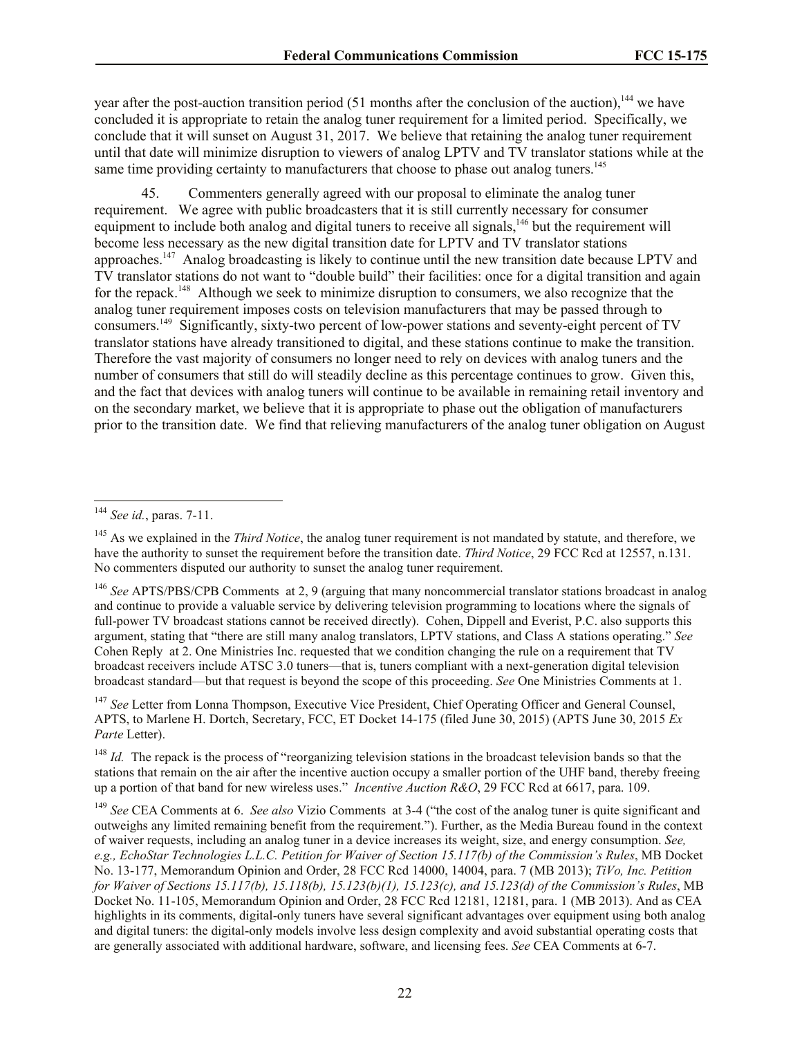year after the post-auction transition period (51 months after the conclusion of the auction),<sup>144</sup> we have concluded it is appropriate to retain the analog tuner requirement for a limited period. Specifically, we conclude that it will sunset on August 31, 2017. We believe that retaining the analog tuner requirement until that date will minimize disruption to viewers of analog LPTV and TV translator stations while at the same time providing certainty to manufacturers that choose to phase out analog tuners.<sup>145</sup>

45. Commenters generally agreed with our proposal to eliminate the analog tuner requirement. We agree with public broadcasters that it is still currently necessary for consumer equipment to include both analog and digital tuners to receive all signals,<sup>146</sup> but the requirement will become less necessary as the new digital transition date for LPTV and TV translator stations approaches.<sup>147</sup> Analog broadcasting is likely to continue until the new transition date because LPTV and TV translator stations do not want to "double build" their facilities: once for a digital transition and again for the repack.<sup>148</sup> Although we seek to minimize disruption to consumers, we also recognize that the analog tuner requirement imposes costs on television manufacturers that may be passed through to consumers.<sup>149</sup> Significantly, sixty-two percent of low-power stations and seventy-eight percent of TV translator stations have already transitioned to digital, and these stations continue to make the transition. Therefore the vast majority of consumers no longer need to rely on devices with analog tuners and the number of consumers that still do will steadily decline as this percentage continues to grow. Given this, and the fact that devices with analog tuners will continue to be available in remaining retail inventory and on the secondary market, we believe that it is appropriate to phase out the obligation of manufacturers prior to the transition date. We find that relieving manufacturers of the analog tuner obligation on August

 $\overline{\phantom{a}}$ 

<sup>147</sup> See Letter from Lonna Thompson, Executive Vice President, Chief Operating Officer and General Counsel, APTS, to Marlene H. Dortch, Secretary, FCC, ET Docket 14-175 (filed June 30, 2015) (APTS June 30, 2015 *Ex Parte* Letter).

<sup>148</sup> *Id.* The repack is the process of "reorganizing television stations in the broadcast television bands so that the stations that remain on the air after the incentive auction occupy a smaller portion of the UHF band, thereby freeing up a portion of that band for new wireless uses." *Incentive Auction R&O*, 29 FCC Rcd at 6617, para. 109.

<sup>149</sup> *See* CEA Comments at 6. *See also* Vizio Comments at 3-4 ("the cost of the analog tuner is quite significant and outweighs any limited remaining benefit from the requirement."). Further, as the Media Bureau found in the context of waiver requests, including an analog tuner in a device increases its weight, size, and energy consumption. *See, e.g., EchoStar Technologies L.L.C. Petition for Waiver of Section 15.117(b) of the Commission's Rules*, MB Docket No. 13-177, Memorandum Opinion and Order, 28 FCC Rcd 14000, 14004, para. 7 (MB 2013); *TiVo, Inc. Petition for Waiver of Sections 15.117(b), 15.118(b), 15.123(b)(1), 15.123(c), and 15.123(d) of the Commission's Rules*, MB Docket No. 11-105, Memorandum Opinion and Order, 28 FCC Rcd 12181, 12181, para. 1 (MB 2013). And as CEA highlights in its comments, digital-only tuners have several significant advantages over equipment using both analog and digital tuners: the digital-only models involve less design complexity and avoid substantial operating costs that are generally associated with additional hardware, software, and licensing fees. *See* CEA Comments at 6-7.

<sup>144</sup> *See id.*, paras. 7-11.

<sup>&</sup>lt;sup>145</sup> As we explained in the *Third Notice*, the analog tuner requirement is not mandated by statute, and therefore, we have the authority to sunset the requirement before the transition date. *Third Notice*, 29 FCC Rcd at 12557, n.131. No commenters disputed our authority to sunset the analog tuner requirement.

<sup>&</sup>lt;sup>146</sup> *See* APTS/PBS/CPB Comments at 2, 9 (arguing that many noncommercial translator stations broadcast in analog and continue to provide a valuable service by delivering television programming to locations where the signals of full-power TV broadcast stations cannot be received directly). Cohen, Dippell and Everist, P.C. also supports this argument, stating that "there are still many analog translators, LPTV stations, and Class A stations operating." *See* Cohen Reply at 2. One Ministries Inc. requested that we condition changing the rule on a requirement that TV broadcast receivers include ATSC 3.0 tuners—that is, tuners compliant with a next-generation digital television broadcast standard—but that request is beyond the scope of this proceeding. *See* One Ministries Comments at 1.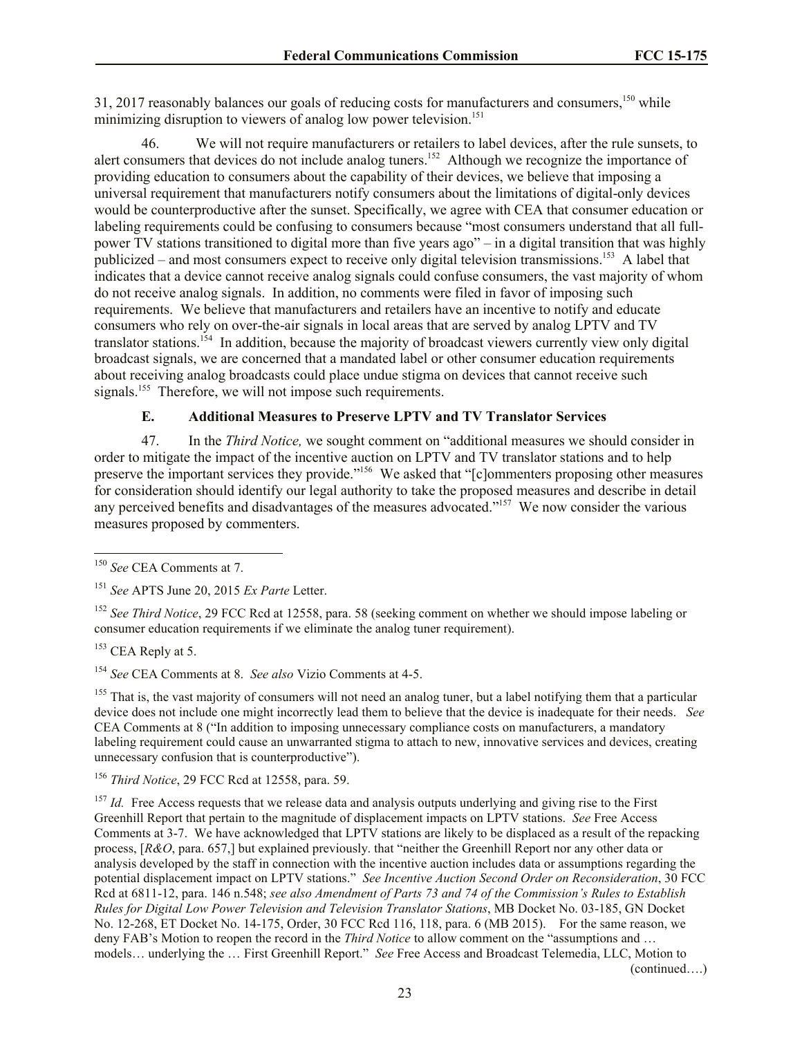31, 2017 reasonably balances our goals of reducing costs for manufacturers and consumers,<sup>150</sup> while minimizing disruption to viewers of analog low power television.<sup>151</sup>

46. We will not require manufacturers or retailers to label devices, after the rule sunsets, to alert consumers that devices do not include analog tuners.<sup>152</sup> Although we recognize the importance of providing education to consumers about the capability of their devices, we believe that imposing a universal requirement that manufacturers notify consumers about the limitations of digital-only devices would be counterproductive after the sunset. Specifically, we agree with CEA that consumer education or labeling requirements could be confusing to consumers because "most consumers understand that all fullpower TV stations transitioned to digital more than five years ago" – in a digital transition that was highly publicized – and most consumers expect to receive only digital television transmissions.<sup>153</sup> A label that indicates that a device cannot receive analog signals could confuse consumers, the vast majority of whom do not receive analog signals. In addition, no comments were filed in favor of imposing such requirements. We believe that manufacturers and retailers have an incentive to notify and educate consumers who rely on over-the-air signals in local areas that are served by analog LPTV and TV translator stations.<sup>154</sup> In addition, because the majority of broadcast viewers currently view only digital broadcast signals, we are concerned that a mandated label or other consumer education requirements about receiving analog broadcasts could place undue stigma on devices that cannot receive such signals.<sup>155</sup> Therefore, we will not impose such requirements.

# **E. Additional Measures to Preserve LPTV and TV Translator Services**

47. In the *Third Notice,* we sought comment on "additional measures we should consider in order to mitigate the impact of the incentive auction on LPTV and TV translator stations and to help preserve the important services they provide."<sup>156</sup> We asked that "[c]ommenters proposing other measures for consideration should identify our legal authority to take the proposed measures and describe in detail any perceived benefits and disadvantages of the measures advocated."<sup>157</sup> We now consider the various measures proposed by commenters.

 $155$  That is, the vast majority of consumers will not need an analog tuner, but a label notifying them that a particular device does not include one might incorrectly lead them to believe that the device is inadequate for their needs. *See* CEA Comments at 8 ("In addition to imposing unnecessary compliance costs on manufacturers, a mandatory labeling requirement could cause an unwarranted stigma to attach to new, innovative services and devices, creating unnecessary confusion that is counterproductive").

<sup>156</sup> *Third Notice*, 29 FCC Rcd at 12558, para. 59.

<sup>157</sup> *Id.* Free Access requests that we release data and analysis outputs underlying and giving rise to the First Greenhill Report that pertain to the magnitude of displacement impacts on LPTV stations. *See* Free Access Comments at 3-7. We have acknowledged that LPTV stations are likely to be displaced as a result of the repacking process, [*R&O*, para. 657,] but explained previously. that "neither the Greenhill Report nor any other data or analysis developed by the staff in connection with the incentive auction includes data or assumptions regarding the potential displacement impact on LPTV stations." *See Incentive Auction Second Order on Reconsideration*, 30 FCC Rcd at 6811-12, para. 146 n.548; *see also Amendment of Parts 73 and 74 of the Commission's Rules to Establish Rules for Digital Low Power Television and Television Translator Stations*, MB Docket No. 03-185, GN Docket No. 12-268, ET Docket No. 14-175, Order, 30 FCC Rcd 116, 118, para. 6 (MB 2015). For the same reason, we deny FAB's Motion to reopen the record in the *Third Notice* to allow comment on the "assumptions and … models… underlying the … First Greenhill Report." *See* Free Access and Broadcast Telemedia, LLC, Motion to (continued….)

 $\overline{\phantom{a}}$ <sup>150</sup> *See* CEA Comments at 7.

<sup>151</sup> *See* APTS June 20, 2015 *Ex Parte* Letter.

<sup>&</sup>lt;sup>152</sup> *See Third Notice*, 29 FCC Rcd at 12558, para. 58 (seeking comment on whether we should impose labeling or consumer education requirements if we eliminate the analog tuner requirement).

<sup>&</sup>lt;sup>153</sup> CEA Reply at 5.

<sup>154</sup> *See* CEA Comments at 8. *See also* Vizio Comments at 4-5.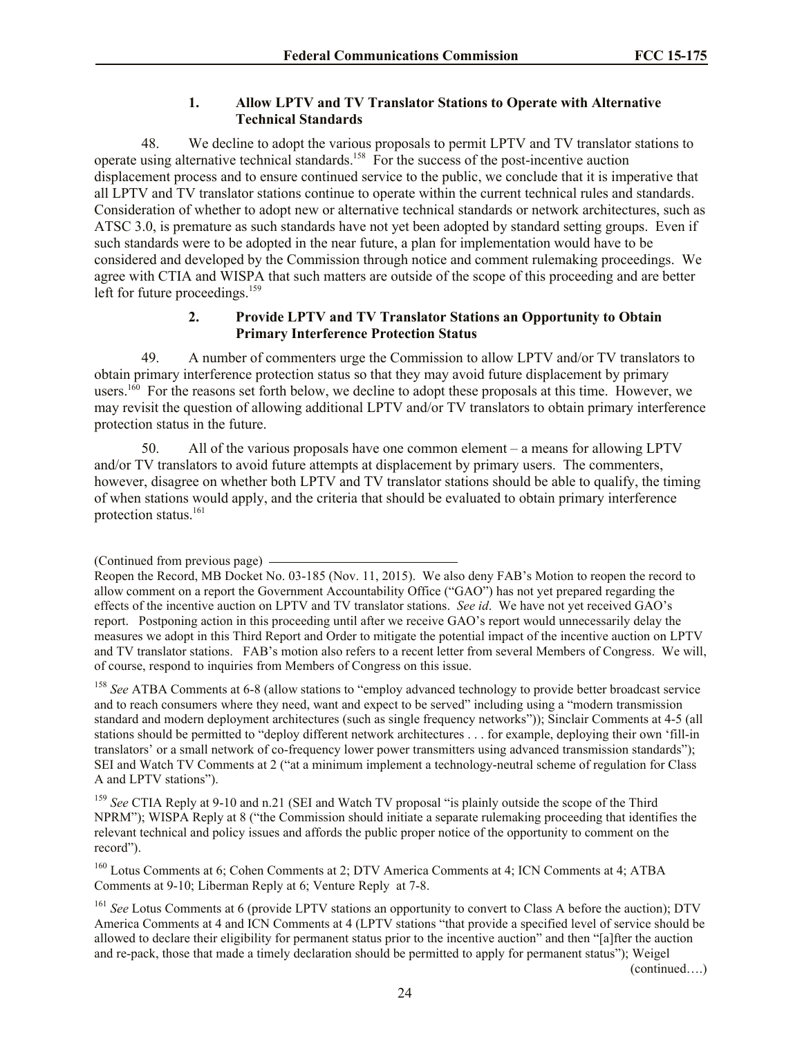#### **1. Allow LPTV and TV Translator Stations to Operate with Alternative Technical Standards**

48. We decline to adopt the various proposals to permit LPTV and TV translator stations to operate using alternative technical standards.<sup>158</sup> For the success of the post-incentive auction displacement process and to ensure continued service to the public, we conclude that it is imperative that all LPTV and TV translator stations continue to operate within the current technical rules and standards. Consideration of whether to adopt new or alternative technical standards or network architectures, such as ATSC 3.0, is premature as such standards have not yet been adopted by standard setting groups. Even if such standards were to be adopted in the near future, a plan for implementation would have to be considered and developed by the Commission through notice and comment rulemaking proceedings. We agree with CTIA and WISPA that such matters are outside of the scope of this proceeding and are better left for future proceedings. 159

### **2. Provide LPTV and TV Translator Stations an Opportunity to Obtain Primary Interference Protection Status**

49. A number of commenters urge the Commission to allow LPTV and/or TV translators to obtain primary interference protection status so that they may avoid future displacement by primary users.<sup>160</sup> For the reasons set forth below, we decline to adopt these proposals at this time. However, we may revisit the question of allowing additional LPTV and/or TV translators to obtain primary interference protection status in the future.

50. All of the various proposals have one common element – a means for allowing LPTV and/or TV translators to avoid future attempts at displacement by primary users. The commenters, however, disagree on whether both LPTV and TV translator stations should be able to qualify, the timing of when stations would apply, and the criteria that should be evaluated to obtain primary interference protection status.<sup>161</sup>

<sup>158</sup> See ATBA Comments at 6-8 (allow stations to "employ advanced technology to provide better broadcast service and to reach consumers where they need, want and expect to be served" including using a "modern transmission standard and modern deployment architectures (such as single frequency networks")); Sinclair Comments at 4-5 (all stations should be permitted to "deploy different network architectures . . . for example, deploying their own 'fill-in translators' or a small network of co-frequency lower power transmitters using advanced transmission standards"); SEI and Watch TV Comments at 2 ("at a minimum implement a technology-neutral scheme of regulation for Class A and LPTV stations").

<sup>159</sup> *See* CTIA Reply at 9-10 and n.21 (SEI and Watch TV proposal "is plainly outside the scope of the Third NPRM"); WISPA Reply at 8 ("the Commission should initiate a separate rulemaking proceeding that identifies the relevant technical and policy issues and affords the public proper notice of the opportunity to comment on the record").

<sup>160</sup> Lotus Comments at 6; Cohen Comments at 2; DTV America Comments at 4; ICN Comments at 4; ATBA Comments at 9-10; Liberman Reply at 6; Venture Reply at 7-8.

<sup>161</sup> See Lotus Comments at 6 (provide LPTV stations an opportunity to convert to Class A before the auction); DTV America Comments at 4 and ICN Comments at 4 (LPTV stations "that provide a specified level of service should be allowed to declare their eligibility for permanent status prior to the incentive auction" and then "[a]fter the auction and re-pack, those that made a timely declaration should be permitted to apply for permanent status"); Weigel

(continued….)

<sup>(</sup>Continued from previous page)

Reopen the Record, MB Docket No. 03-185 (Nov. 11, 2015). We also deny FAB's Motion to reopen the record to allow comment on a report the Government Accountability Office ("GAO") has not yet prepared regarding the effects of the incentive auction on LPTV and TV translator stations. *See id*. We have not yet received GAO's report. Postponing action in this proceeding until after we receive GAO's report would unnecessarily delay the measures we adopt in this Third Report and Order to mitigate the potential impact of the incentive auction on LPTV and TV translator stations. FAB's motion also refers to a recent letter from several Members of Congress. We will, of course, respond to inquiries from Members of Congress on this issue.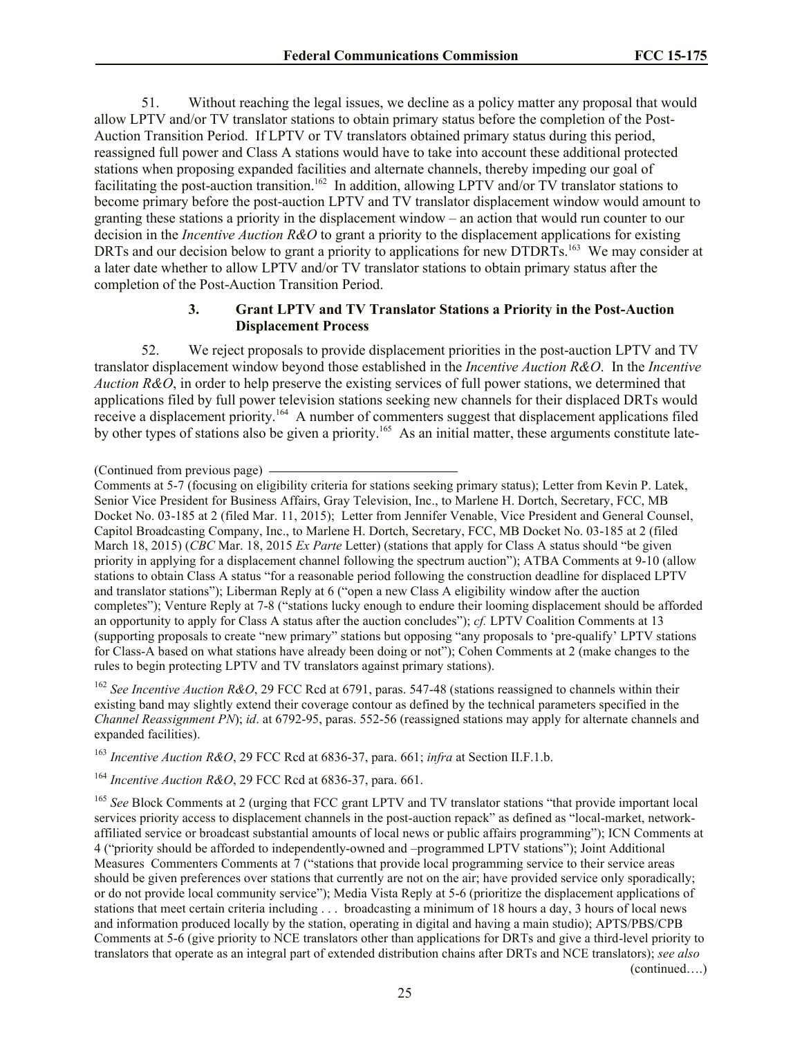51. Without reaching the legal issues, we decline as a policy matter any proposal that would allow LPTV and/or TV translator stations to obtain primary status before the completion of the Post-Auction Transition Period. If LPTV or TV translators obtained primary status during this period, reassigned full power and Class A stations would have to take into account these additional protected stations when proposing expanded facilities and alternate channels, thereby impeding our goal of facilitating the post-auction transition.<sup>162</sup> In addition, allowing LPTV and/or TV translator stations to become primary before the post-auction LPTV and TV translator displacement window would amount to granting these stations a priority in the displacement window – an action that would run counter to our decision in the *Incentive Auction R&O* to grant a priority to the displacement applications for existing DRTs and our decision below to grant a priority to applications for new DTDRTs.<sup>163</sup> We may consider at a later date whether to allow LPTV and/or TV translator stations to obtain primary status after the completion of the Post-Auction Transition Period.

## **3. Grant LPTV and TV Translator Stations a Priority in the Post-Auction Displacement Process**

52. We reject proposals to provide displacement priorities in the post-auction LPTV and TV translator displacement window beyond those established in the *Incentive Auction R&O*. In the *Incentive Auction R&O*, in order to help preserve the existing services of full power stations, we determined that applications filed by full power television stations seeking new channels for their displaced DRTs would receive a displacement priority.<sup>164</sup> A number of commenters suggest that displacement applications filed by other types of stations also be given a priority.<sup>165</sup> As an initial matter, these arguments constitute late-

<sup>162</sup> *See Incentive Auction R&O*, 29 FCC Rcd at 6791, paras. 547-48 (stations reassigned to channels within their existing band may slightly extend their coverage contour as defined by the technical parameters specified in the *Channel Reassignment PN*); *id*. at 6792-95, paras. 552-56 (reassigned stations may apply for alternate channels and expanded facilities).

<sup>163</sup> *Incentive Auction R&O*, 29 FCC Rcd at 6836-37, para. 661; *infra* at Section II.F.1.b.

<sup>164</sup> *Incentive Auction R&O*, 29 FCC Rcd at 6836-37, para. 661.

<sup>165</sup> See Block Comments at 2 (urging that FCC grant LPTV and TV translator stations "that provide important local services priority access to displacement channels in the post-auction repack" as defined as "local-market, networkaffiliated service or broadcast substantial amounts of local news or public affairs programming"); ICN Comments at 4 ("priority should be afforded to independently-owned and –programmed LPTV stations"); Joint Additional Measures Commenters Comments at 7 ("stations that provide local programming service to their service areas should be given preferences over stations that currently are not on the air; have provided service only sporadically; or do not provide local community service"); Media Vista Reply at 5-6 (prioritize the displacement applications of stations that meet certain criteria including . . . broadcasting a minimum of 18 hours a day, 3 hours of local news and information produced locally by the station, operating in digital and having a main studio); APTS/PBS/CPB Comments at 5-6 (give priority to NCE translators other than applications for DRTs and give a third-level priority to translators that operate as an integral part of extended distribution chains after DRTs and NCE translators); *see also*  (continued….)

<sup>(</sup>Continued from previous page)

Comments at 5-7 (focusing on eligibility criteria for stations seeking primary status); Letter from Kevin P. Latek, Senior Vice President for Business Affairs, Gray Television, Inc., to Marlene H. Dortch, Secretary, FCC, MB Docket No. 03-185 at 2 (filed Mar. 11, 2015); Letter from Jennifer Venable, Vice President and General Counsel, Capitol Broadcasting Company, Inc., to Marlene H. Dortch, Secretary, FCC, MB Docket No. 03-185 at 2 (filed March 18, 2015) (*CBC* Mar. 18, 2015 *Ex Parte* Letter) (stations that apply for Class A status should "be given priority in applying for a displacement channel following the spectrum auction"); ATBA Comments at 9-10 (allow stations to obtain Class A status "for a reasonable period following the construction deadline for displaced LPTV and translator stations"); Liberman Reply at 6 ("open a new Class A eligibility window after the auction completes"); Venture Reply at 7-8 ("stations lucky enough to endure their looming displacement should be afforded an opportunity to apply for Class A status after the auction concludes"); *cf.* LPTV Coalition Comments at 13 (supporting proposals to create "new primary" stations but opposing "any proposals to 'pre-qualify' LPTV stations for Class-A based on what stations have already been doing or not"); Cohen Comments at 2 (make changes to the rules to begin protecting LPTV and TV translators against primary stations).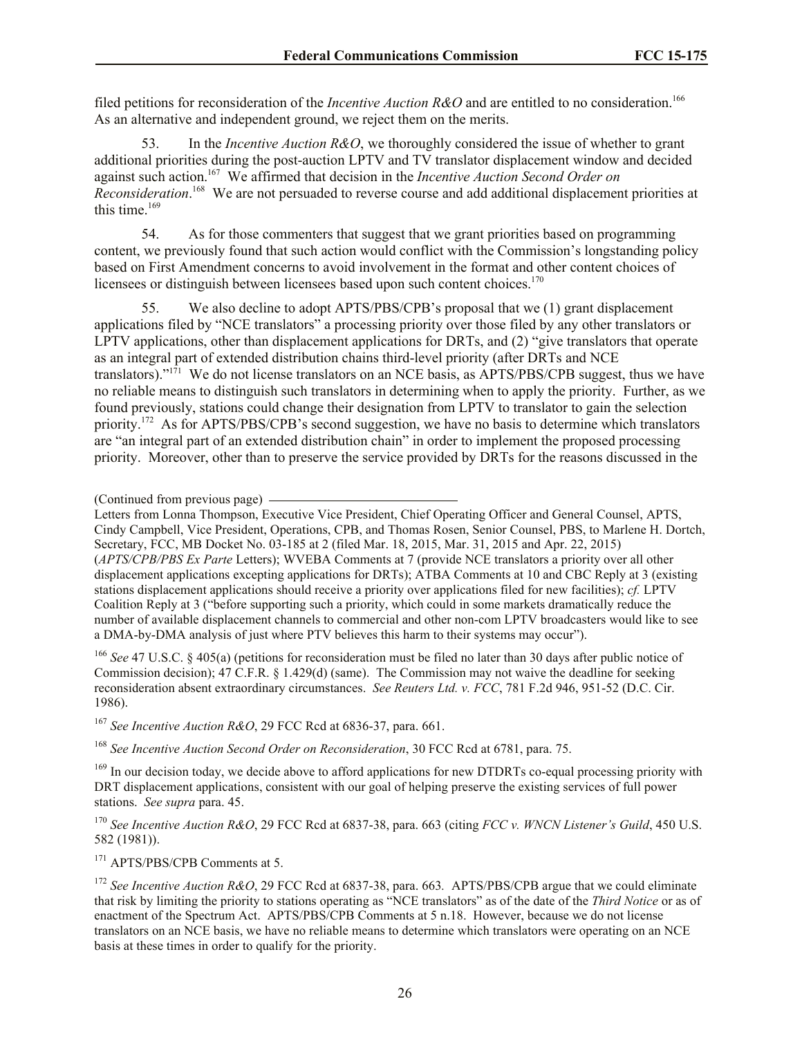filed petitions for reconsideration of the *Incentive Auction R&O* and are entitled to no consideration.<sup>166</sup> As an alternative and independent ground, we reject them on the merits.

53. In the *Incentive Auction R&O*, we thoroughly considered the issue of whether to grant additional priorities during the post-auction LPTV and TV translator displacement window and decided against such action. 167 We affirmed that decision in the *Incentive Auction Second Order on*  Reconsideration.<sup>168</sup> We are not persuaded to reverse course and add additional displacement priorities at this time. 169

54. As for those commenters that suggest that we grant priorities based on programming content, we previously found that such action would conflict with the Commission's longstanding policy based on First Amendment concerns to avoid involvement in the format and other content choices of licensees or distinguish between licensees based upon such content choices.<sup>170</sup>

55. We also decline to adopt APTS/PBS/CPB's proposal that we (1) grant displacement applications filed by "NCE translators" a processing priority over those filed by any other translators or LPTV applications, other than displacement applications for DRTs, and (2) "give translators that operate as an integral part of extended distribution chains third-level priority (after DRTs and NCE translators)."<sup>171</sup> We do not license translators on an NCE basis, as APTS/PBS/CPB suggest, thus we have no reliable means to distinguish such translators in determining when to apply the priority. Further, as we found previously, stations could change their designation from LPTV to translator to gain the selection priority.<sup>172</sup> As for APTS/PBS/CPB's second suggestion, we have no basis to determine which translators are "an integral part of an extended distribution chain" in order to implement the proposed processing priority. Moreover, other than to preserve the service provided by DRTs for the reasons discussed in the

(Continued from previous page)

Letters from Lonna Thompson, Executive Vice President, Chief Operating Officer and General Counsel, APTS, Cindy Campbell, Vice President, Operations, CPB, and Thomas Rosen, Senior Counsel, PBS, to Marlene H. Dortch, Secretary, FCC, MB Docket No. 03-185 at 2 (filed Mar. 18, 2015, Mar. 31, 2015 and Apr. 22, 2015) (*APTS/CPB/PBS Ex Parte* Letters); WVEBA Comments at 7 (provide NCE translators a priority over all other displacement applications excepting applications for DRTs); ATBA Comments at 10 and CBC Reply at 3 (existing stations displacement applications should receive a priority over applications filed for new facilities); *cf.* LPTV Coalition Reply at 3 ("before supporting such a priority, which could in some markets dramatically reduce the number of available displacement channels to commercial and other non-com LPTV broadcasters would like to see a DMA-by-DMA analysis of just where PTV believes this harm to their systems may occur").

<sup>166</sup> See 47 U.S.C. § 405(a) (petitions for reconsideration must be filed no later than 30 days after public notice of Commission decision); 47 C.F.R. § 1.429(d) (same). The Commission may not waive the deadline for seeking reconsideration absent extraordinary circumstances. *See Reuters Ltd. v. FCC*, 781 F.2d 946, 951-52 (D.C. Cir. 1986).

<sup>167</sup> *See Incentive Auction R&O*, 29 FCC Rcd at 6836-37, para. 661.

<sup>168</sup> *See Incentive Auction Second Order on Reconsideration*, 30 FCC Rcd at 6781, para. 75.

<sup>169</sup> In our decision today, we decide above to afford applications for new DTDRTs co-equal processing priority with DRT displacement applications, consistent with our goal of helping preserve the existing services of full power stations. *See supra* para. 45.

<sup>170</sup> *See Incentive Auction R&O*, 29 FCC Rcd at 6837-38, para. 663 (citing *FCC v. WNCN Listener's Guild*, 450 U.S. 582 (1981)).

<sup>171</sup> APTS/PBS/CPB Comments at 5.

<sup>172</sup> *See Incentive Auction R&O*, 29 FCC Rcd at 6837-38, para. 663*.* APTS/PBS/CPB argue that we could eliminate that risk by limiting the priority to stations operating as "NCE translators" as of the date of the *Third Notice* or as of enactment of the Spectrum Act. APTS/PBS/CPB Comments at 5 n.18. However, because we do not license translators on an NCE basis, we have no reliable means to determine which translators were operating on an NCE basis at these times in order to qualify for the priority.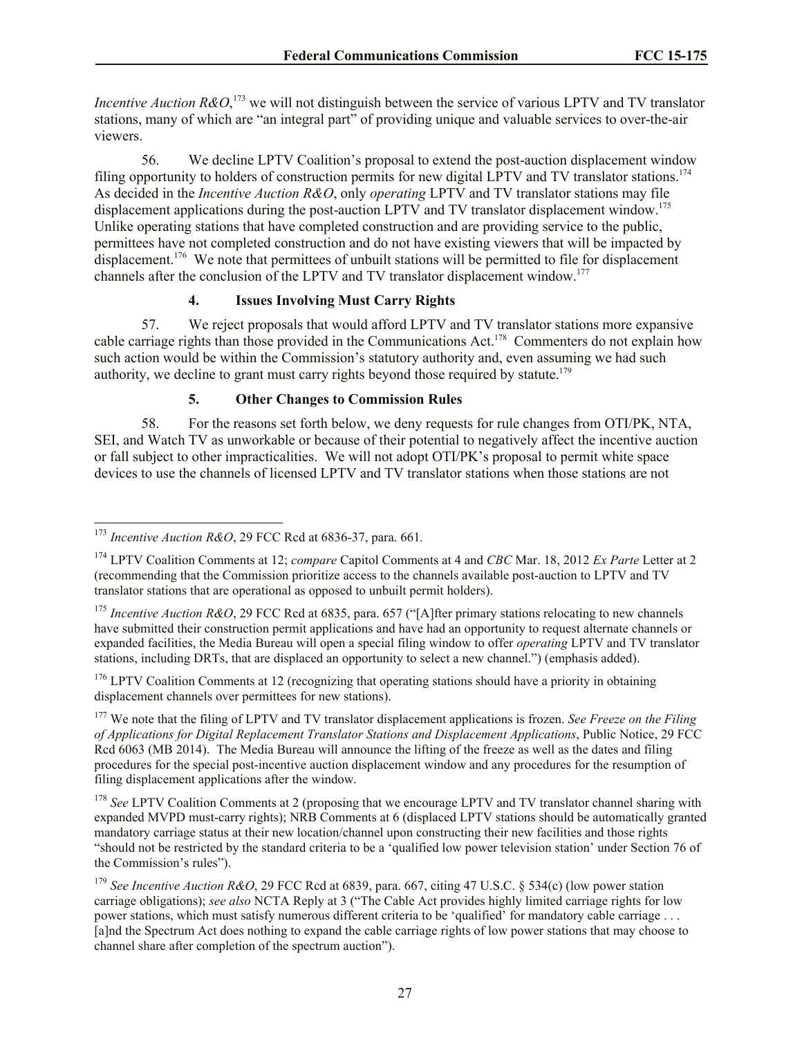*Incentive Auction R&O*,<sup>173</sup> we will not distinguish between the service of various LPTV and TV translator stations, many of which are "an integral part" of providing unique and valuable services to over-the-air viewers.

56. We decline LPTV Coalition's proposal to extend the post-auction displacement window filing opportunity to holders of construction permits for new digital LPTV and TV translator stations.<sup>174</sup> As decided in the *Incentive Auction R&O*, only *operating* LPTV and TV translator stations may file displacement applications during the post-auction LPTV and TV translator displacement window.<sup>175</sup> Unlike operating stations that have completed construction and are providing service to the public, permittees have not completed construction and do not have existing viewers that will be impacted by displacement.<sup>176</sup> We note that permittees of unbuilt stations will be permitted to file for displacement channels after the conclusion of the LPTV and TV translator displacement window.<sup>177</sup>

#### **4. Issues Involving Must Carry Rights**

57. We reject proposals that would afford LPTV and TV translator stations more expansive cable carriage rights than those provided in the Communications Act.<sup>178</sup> Commenters do not explain how such action would be within the Commission's statutory authority and, even assuming we had such authority, we decline to grant must carry rights beyond those required by statute.<sup>179</sup>

## **5. Other Changes to Commission Rules**

58. For the reasons set forth below, we deny requests for rule changes from OTI/PK, NTA, SEI, and Watch TV as unworkable or because of their potential to negatively affect the incentive auction or fall subject to other impracticalities. We will not adopt OTI/PK's proposal to permit white space devices to use the channels of licensed LPTV and TV translator stations when those stations are not

l

 $176$  LPTV Coalition Comments at 12 (recognizing that operating stations should have a priority in obtaining displacement channels over permittees for new stations).

<sup>177</sup> We note that the filing of LPTV and TV translator displacement applications is frozen. *See Freeze on the Filing of Applications for Digital Replacement Translator Stations and Displacement Applications*, Public Notice, 29 FCC Rcd 6063 (MB 2014). The Media Bureau will announce the lifting of the freeze as well as the dates and filing procedures for the special post-incentive auction displacement window and any procedures for the resumption of filing displacement applications after the window.

<sup>178</sup> See LPTV Coalition Comments at 2 (proposing that we encourage LPTV and TV translator channel sharing with expanded MVPD must-carry rights); NRB Comments at 6 (displaced LPTV stations should be automatically granted mandatory carriage status at their new location/channel upon constructing their new facilities and those rights "should not be restricted by the standard criteria to be a 'qualified low power television station' under Section 76 of the Commission's rules").

<sup>173</sup> *Incentive Auction R&O*, 29 FCC Rcd at 6836-37, para. 661*.*

<sup>174</sup> LPTV Coalition Comments at 12; *compare* Capitol Comments at 4 and *CBC* Mar. 18, 2012 *Ex Parte* Letter at 2 (recommending that the Commission prioritize access to the channels available post-auction to LPTV and TV translator stations that are operational as opposed to unbuilt permit holders).

<sup>&</sup>lt;sup>175</sup> *Incentive Auction R&O*, 29 FCC Rcd at 6835, para. 657 ("[A]fter primary stations relocating to new channels have submitted their construction permit applications and have had an opportunity to request alternate channels or expanded facilities, the Media Bureau will open a special filing window to offer *operating* LPTV and TV translator stations, including DRTs, that are displaced an opportunity to select a new channel.") (emphasis added).

<sup>179</sup> *See Incentive Auction R&O*, 29 FCC Rcd at 6839, para. 667, citing 47 U.S.C. § 534(c) (low power station carriage obligations); *see also* NCTA Reply at 3 ("The Cable Act provides highly limited carriage rights for low power stations, which must satisfy numerous different criteria to be 'qualified' for mandatory cable carriage . . . [a]nd the Spectrum Act does nothing to expand the cable carriage rights of low power stations that may choose to channel share after completion of the spectrum auction").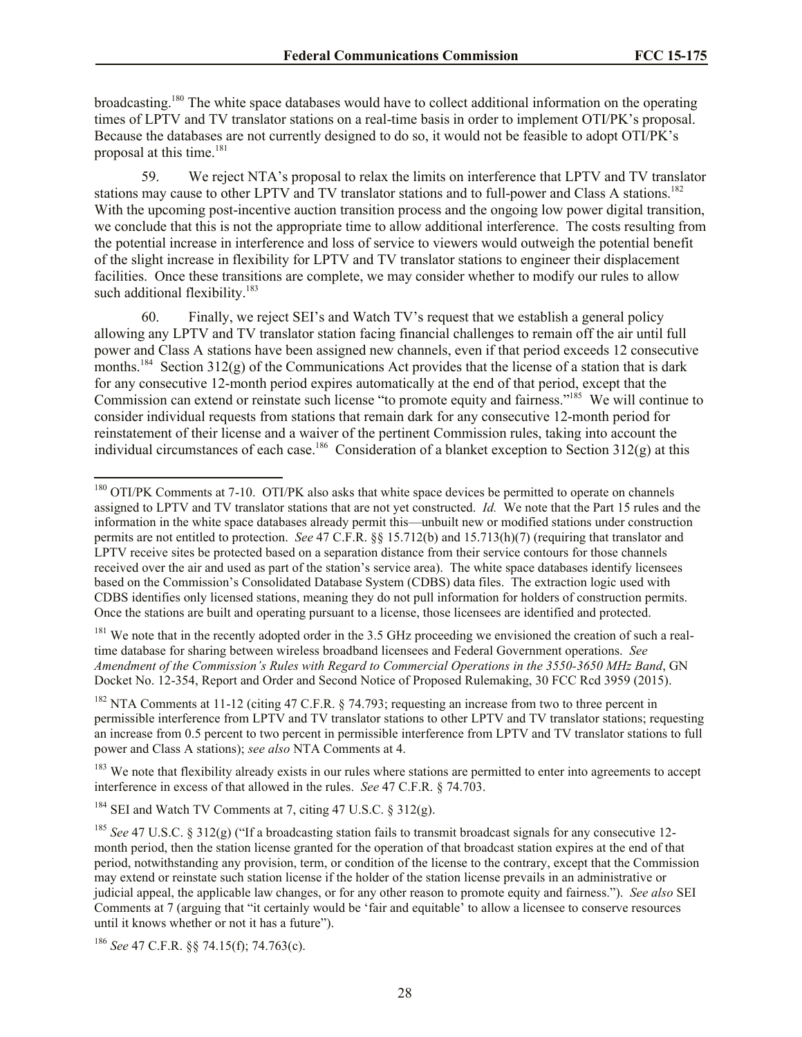broadcasting.<sup>180</sup> The white space databases would have to collect additional information on the operating times of LPTV and TV translator stations on a real-time basis in order to implement OTI/PK's proposal. Because the databases are not currently designed to do so, it would not be feasible to adopt OTI/PK's proposal at this time. 181

59. We reject NTA's proposal to relax the limits on interference that LPTV and TV translator stations may cause to other LPTV and TV translator stations and to full-power and Class A stations.<sup>182</sup> With the upcoming post-incentive auction transition process and the ongoing low power digital transition, we conclude that this is not the appropriate time to allow additional interference. The costs resulting from the potential increase in interference and loss of service to viewers would outweigh the potential benefit of the slight increase in flexibility for LPTV and TV translator stations to engineer their displacement facilities. Once these transitions are complete, we may consider whether to modify our rules to allow such additional flexibility. $183$ 

60. Finally, we reject SEI's and Watch TV's request that we establish a general policy allowing any LPTV and TV translator station facing financial challenges to remain off the air until full power and Class A stations have been assigned new channels, even if that period exceeds 12 consecutive months.<sup>184</sup> Section 312(g) of the Communications Act provides that the license of a station that is dark for any consecutive 12-month period expires automatically at the end of that period, except that the Commission can extend or reinstate such license "to promote equity and fairness."<sup>185</sup> We will continue to consider individual requests from stations that remain dark for any consecutive 12-month period for reinstatement of their license and a waiver of the pertinent Commission rules, taking into account the individual circumstances of each case.<sup>186</sup> Consideration of a blanket exception to Section 312(g) at this

<sup>181</sup> We note that in the recently adopted order in the 3.5 GHz proceeding we envisioned the creation of such a realtime database for sharing between wireless broadband licensees and Federal Government operations. *See Amendment of the Commission's Rules with Regard to Commercial Operations in the 3550-3650 MHz Band*, GN Docket No. 12-354, Report and Order and Second Notice of Proposed Rulemaking, 30 FCC Rcd 3959 (2015).

<sup>182</sup> NTA Comments at 11-12 (citing 47 C.F.R. § 74.793; requesting an increase from two to three percent in permissible interference from LPTV and TV translator stations to other LPTV and TV translator stations; requesting an increase from 0.5 percent to two percent in permissible interference from LPTV and TV translator stations to full power and Class A stations); *see also* NTA Comments at 4.

<sup>183</sup> We note that flexibility already exists in our rules where stations are permitted to enter into agreements to accept interference in excess of that allowed in the rules. *See* 47 C.F.R. § 74.703.

l

<sup>&</sup>lt;sup>180</sup> OTI/PK Comments at 7-10. OTI/PK also asks that white space devices be permitted to operate on channels assigned to LPTV and TV translator stations that are not yet constructed. *Id.* We note that the Part 15 rules and the information in the white space databases already permit this—unbuilt new or modified stations under construction permits are not entitled to protection. *See* 47 C.F.R. §§ 15.712(b) and 15.713(h)(7) (requiring that translator and LPTV receive sites be protected based on a separation distance from their service contours for those channels received over the air and used as part of the station's service area). The white space databases identify licensees based on the Commission's Consolidated Database System (CDBS) data files. The extraction logic used with CDBS identifies only licensed stations, meaning they do not pull information for holders of construction permits. Once the stations are built and operating pursuant to a license, those licensees are identified and protected.

<sup>&</sup>lt;sup>184</sup> SEI and Watch TV Comments at 7, citing 47 U.S.C. § 312(g).

<sup>&</sup>lt;sup>185</sup> *See* 47 U.S.C. § 312(g) ("If a broadcasting station fails to transmit broadcast signals for any consecutive 12month period, then the station license granted for the operation of that broadcast station expires at the end of that period, notwithstanding any provision, term, or condition of the license to the contrary, except that the Commission may extend or reinstate such station license if the holder of the station license prevails in an administrative or judicial appeal, the applicable law changes, or for any other reason to promote equity and fairness."). *See also* SEI Comments at 7 (arguing that "it certainly would be 'fair and equitable' to allow a licensee to conserve resources until it knows whether or not it has a future").

<sup>186</sup> *See* 47 C.F.R. §§ 74.15(f); 74.763(c).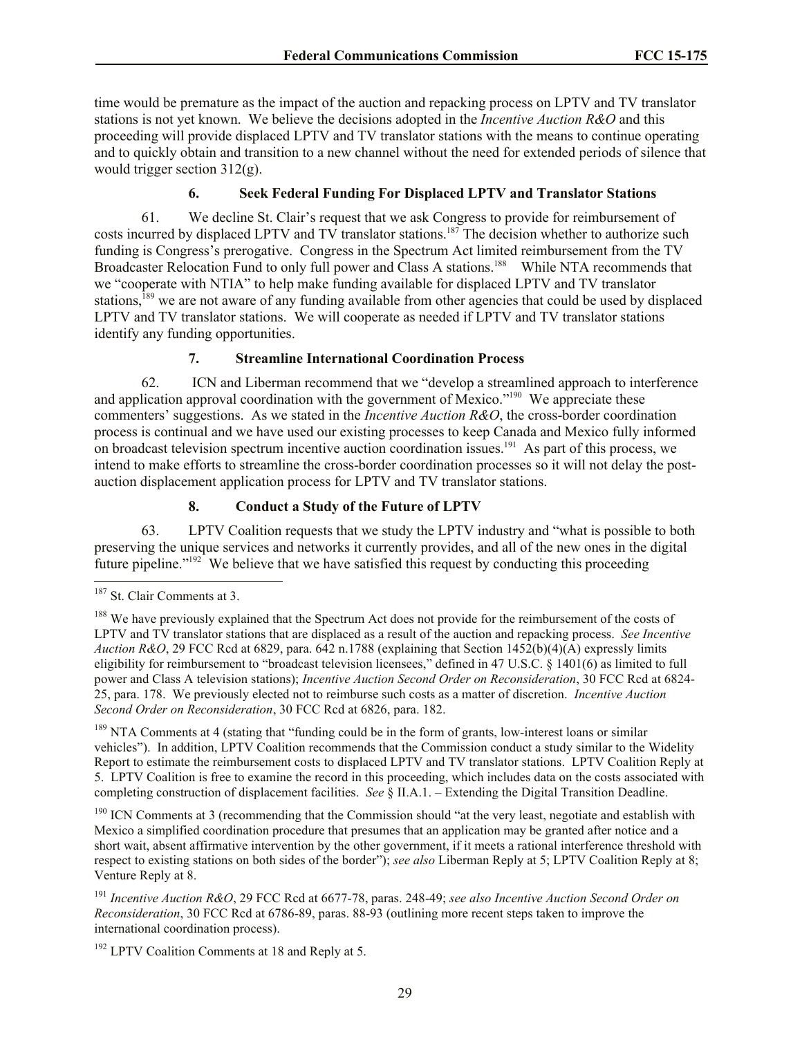time would be premature as the impact of the auction and repacking process on LPTV and TV translator stations is not yet known. We believe the decisions adopted in the *Incentive Auction R&O* and this proceeding will provide displaced LPTV and TV translator stations with the means to continue operating and to quickly obtain and transition to a new channel without the need for extended periods of silence that would trigger section 312(g).

# **6. Seek Federal Funding For Displaced LPTV and Translator Stations**

61. We decline St. Clair's request that we ask Congress to provide for reimbursement of costs incurred by displaced LPTV and TV translator stations.<sup>187</sup> The decision whether to authorize such funding is Congress's prerogative. Congress in the Spectrum Act limited reimbursement from the TV Broadcaster Relocation Fund to only full power and Class A stations.<sup>188</sup> While NTA recommends that we "cooperate with NTIA" to help make funding available for displaced LPTV and TV translator stations,<sup>189</sup> we are not aware of any funding available from other agencies that could be used by displaced LPTV and TV translator stations. We will cooperate as needed if LPTV and TV translator stations identify any funding opportunities.

#### **7. Streamline International Coordination Process**

62. ICN and Liberman recommend that we "develop a streamlined approach to interference and application approval coordination with the government of Mexico."<sup>190</sup> We appreciate these commenters' suggestions. As we stated in the *Incentive Auction R&O*, the cross-border coordination process is continual and we have used our existing processes to keep Canada and Mexico fully informed on broadcast television spectrum incentive auction coordination issues.<sup>191</sup> As part of this process, we intend to make efforts to streamline the cross-border coordination processes so it will not delay the postauction displacement application process for LPTV and TV translator stations.

#### **8. Conduct a Study of the Future of LPTV**

63. LPTV Coalition requests that we study the LPTV industry and "what is possible to both preserving the unique services and networks it currently provides, and all of the new ones in the digital future pipeline."<sup>192</sup> We believe that we have satisfied this request by conducting this proceeding

 $\overline{\phantom{a}}$ 

<sup>189</sup> NTA Comments at 4 (stating that "funding could be in the form of grants, low-interest loans or similar vehicles"). In addition, LPTV Coalition recommends that the Commission conduct a study similar to the Widelity Report to estimate the reimbursement costs to displaced LPTV and TV translator stations. LPTV Coalition Reply at 5. LPTV Coalition is free to examine the record in this proceeding, which includes data on the costs associated with completing construction of displacement facilities. *See* § II.A.1. – Extending the Digital Transition Deadline.

<sup>190</sup> ICN Comments at 3 (recommending that the Commission should "at the very least, negotiate and establish with Mexico a simplified coordination procedure that presumes that an application may be granted after notice and a short wait, absent affirmative intervention by the other government, if it meets a rational interference threshold with respect to existing stations on both sides of the border"); *see also* Liberman Reply at 5; LPTV Coalition Reply at 8; Venture Reply at 8.

<sup>191</sup> *Incentive Auction R&O*, 29 FCC Rcd at 6677-78, paras. 248-49; *see also Incentive Auction Second Order on Reconsideration*, 30 FCC Rcd at 6786-89, paras. 88-93 (outlining more recent steps taken to improve the international coordination process).

<sup>192</sup> LPTV Coalition Comments at 18 and Reply at 5.

<sup>&</sup>lt;sup>187</sup> St. Clair Comments at 3.

<sup>&</sup>lt;sup>188</sup> We have previously explained that the Spectrum Act does not provide for the reimbursement of the costs of LPTV and TV translator stations that are displaced as a result of the auction and repacking process. *See Incentive Auction R&O*, 29 FCC Rcd at 6829, para. 642 n.1788 (explaining that Section 1452(b)(4)(A) expressly limits eligibility for reimbursement to "broadcast television licensees," defined in 47 U.S.C. § 1401(6) as limited to full power and Class A television stations); *Incentive Auction Second Order on Reconsideration*, 30 FCC Rcd at 6824- 25, para. 178. We previously elected not to reimburse such costs as a matter of discretion. *Incentive Auction Second Order on Reconsideration*, 30 FCC Rcd at 6826, para. 182.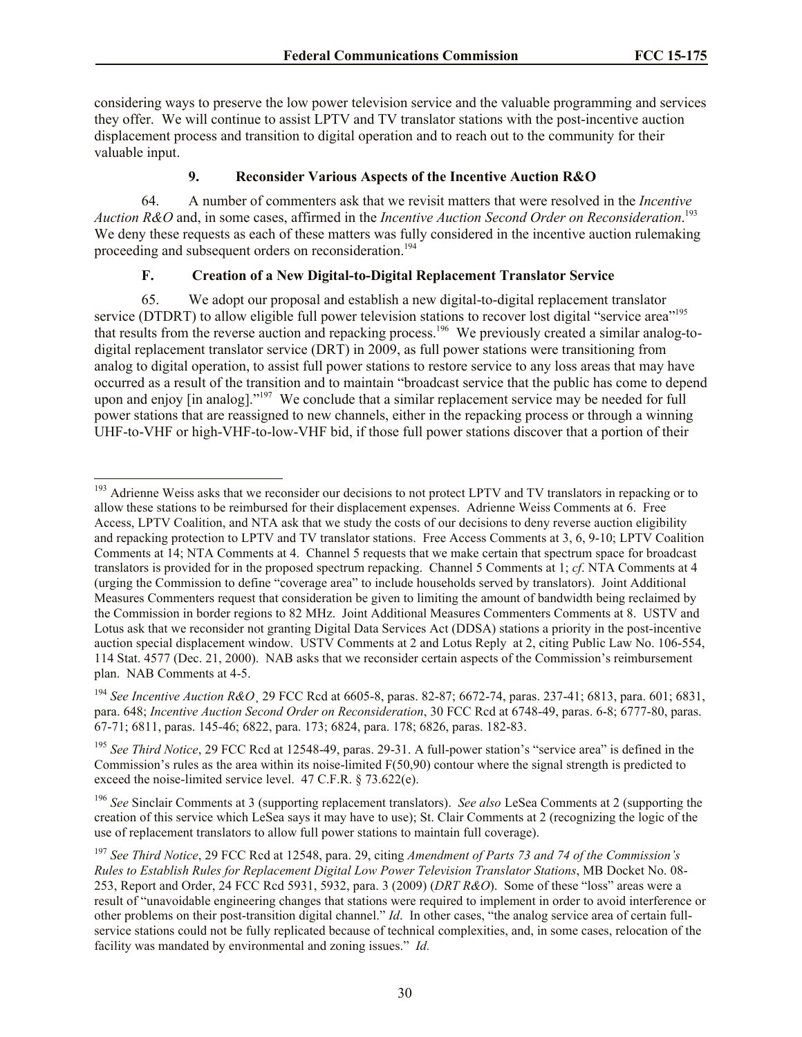considering ways to preserve the low power television service and the valuable programming and services they offer. We will continue to assist LPTV and TV translator stations with the post-incentive auction displacement process and transition to digital operation and to reach out to the community for their valuable input.

### **9. Reconsider Various Aspects of the Incentive Auction R&O**

64. A number of commenters ask that we revisit matters that were resolved in the *Incentive Auction R&O* and, in some cases, affirmed in the *Incentive Auction Second Order on Reconsideration*. 193 We deny these requests as each of these matters was fully considered in the incentive auction rulemaking proceeding and subsequent orders on reconsideration.<sup>194</sup>

# **F. Creation of a New Digital-to-Digital Replacement Translator Service**

 $\overline{\phantom{a}}$ 

65. We adopt our proposal and establish a new digital-to-digital replacement translator service (DTDRT) to allow eligible full power television stations to recover lost digital "service area"<sup>195</sup> that results from the reverse auction and repacking process. 196 We previously created a similar analog-todigital replacement translator service (DRT) in 2009, as full power stations were transitioning from analog to digital operation, to assist full power stations to restore service to any loss areas that may have occurred as a result of the transition and to maintain "broadcast service that the public has come to depend upon and enjoy [in analog]."<sup>197</sup> We conclude that a similar replacement service may be needed for full power stations that are reassigned to new channels, either in the repacking process or through a winning UHF-to-VHF or high-VHF-to-low-VHF bid, if those full power stations discover that a portion of their

<sup>&</sup>lt;sup>193</sup> Adrienne Weiss asks that we reconsider our decisions to not protect LPTV and TV translators in repacking or to allow these stations to be reimbursed for their displacement expenses. Adrienne Weiss Comments at 6. Free Access, LPTV Coalition, and NTA ask that we study the costs of our decisions to deny reverse auction eligibility and repacking protection to LPTV and TV translator stations. Free Access Comments at 3, 6, 9-10; LPTV Coalition Comments at 14; NTA Comments at 4. Channel 5 requests that we make certain that spectrum space for broadcast translators is provided for in the proposed spectrum repacking. Channel 5 Comments at 1; *cf*. NTA Comments at 4 (urging the Commission to define "coverage area" to include households served by translators). Joint Additional Measures Commenters request that consideration be given to limiting the amount of bandwidth being reclaimed by the Commission in border regions to 82 MHz. Joint Additional Measures Commenters Comments at 8. USTV and Lotus ask that we reconsider not granting Digital Data Services Act (DDSA) stations a priority in the post-incentive auction special displacement window. USTV Comments at 2 and Lotus Reply at 2, citing Public Law No. 106-554, 114 Stat. 4577 (Dec. 21, 2000). NAB asks that we reconsider certain aspects of the Commission's reimbursement plan. NAB Comments at 4-5.

<sup>194</sup> *See Incentive Auction R&O*¸ 29 FCC Rcd at 6605-8, paras. 82-87; 6672-74, paras. 237-41; 6813, para. 601; 6831, para. 648; *Incentive Auction Second Order on Reconsideration*, 30 FCC Rcd at 6748-49, paras. 6-8; 6777-80, paras. 67-71; 6811, paras. 145-46; 6822, para. 173; 6824, para. 178; 6826, paras. 182-83.

<sup>&</sup>lt;sup>195</sup> See Third Notice, 29 FCC Rcd at 12548-49, paras. 29-31. A full-power station's "service area" is defined in the Commission's rules as the area within its noise-limited F(50,90) contour where the signal strength is predicted to exceed the noise-limited service level. 47 C.F.R. § 73.622(e).

<sup>196</sup> *See* Sinclair Comments at 3 (supporting replacement translators). *See also* LeSea Comments at 2 (supporting the creation of this service which LeSea says it may have to use); St. Clair Comments at 2 (recognizing the logic of the use of replacement translators to allow full power stations to maintain full coverage).

<sup>197</sup> *See Third Notice*, 29 FCC Rcd at 12548, para. 29, citing *Amendment of Parts 73 and 74 of the Commission's Rules to Establish Rules for Replacement Digital Low Power Television Translator Stations*, MB Docket No. 08- 253, Report and Order, 24 FCC Rcd 5931, 5932, para. 3 (2009) (*DRT R&O*). Some of these "loss" areas were a result of "unavoidable engineering changes that stations were required to implement in order to avoid interference or other problems on their post-transition digital channel." *Id*. In other cases, "the analog service area of certain fullservice stations could not be fully replicated because of technical complexities, and, in some cases, relocation of the facility was mandated by environmental and zoning issues." *Id.*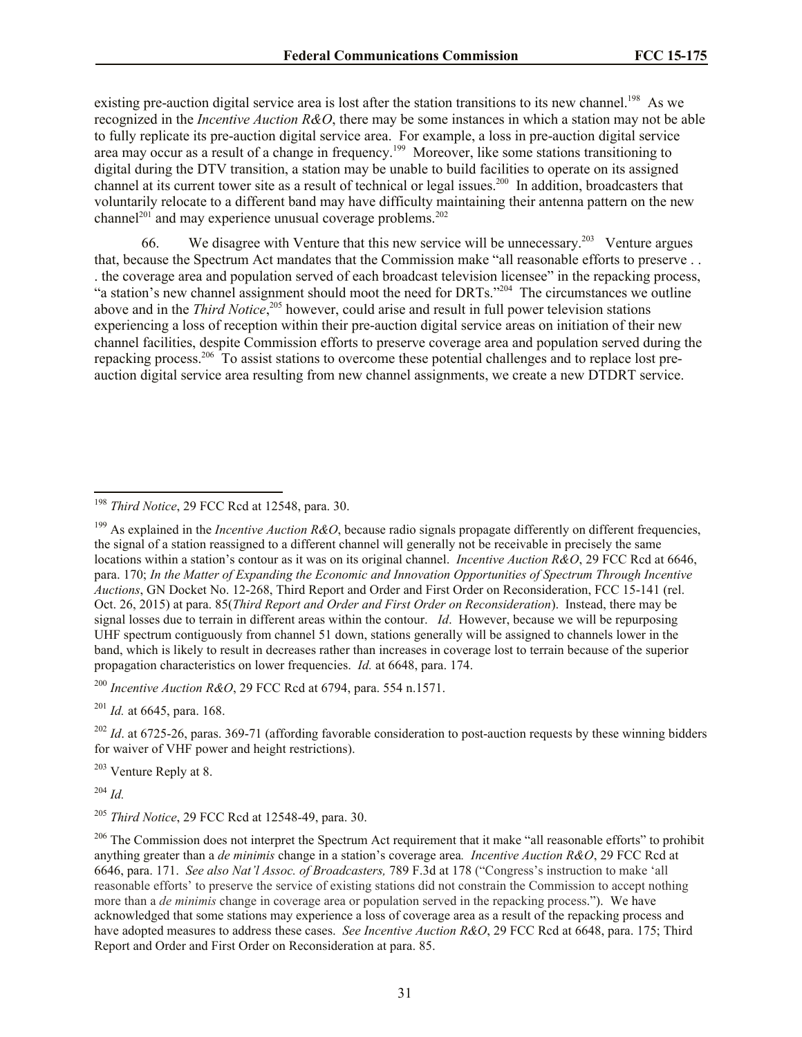existing pre-auction digital service area is lost after the station transitions to its new channel.<sup>198</sup> As we recognized in the *Incentive Auction R&O*, there may be some instances in which a station may not be able to fully replicate its pre-auction digital service area. For example, a loss in pre-auction digital service area may occur as a result of a change in frequency.<sup>199</sup> Moreover, like some stations transitioning to digital during the DTV transition, a station may be unable to build facilities to operate on its assigned channel at its current tower site as a result of technical or legal issues.<sup>200</sup> In addition, broadcasters that voluntarily relocate to a different band may have difficulty maintaining their antenna pattern on the new channel<sup>201</sup> and may experience unusual coverage problems.<sup>202</sup>

66. We disagree with Venture that this new service will be unnecessary.<sup>203</sup> Venture argues that, because the Spectrum Act mandates that the Commission make "all reasonable efforts to preserve . . . the coverage area and population served of each broadcast television licensee" in the repacking process, "a station's new channel assignment should moot the need for DRTs."<sup>204</sup> The circumstances we outline above and in the *Third Notice*, <sup>205</sup> however, could arise and result in full power television stations experiencing a loss of reception within their pre-auction digital service areas on initiation of their new channel facilities, despite Commission efforts to preserve coverage area and population served during the repacking process.<sup>206</sup> To assist stations to overcome these potential challenges and to replace lost preauction digital service area resulting from new channel assignments, we create a new DTDRT service.

<sup>200</sup> *Incentive Auction R&O*, 29 FCC Rcd at 6794, para. 554 n.1571.

<sup>201</sup> *Id.* at 6645, para. 168.

<sup>202</sup> *Id.* at 6725-26, paras. 369-71 (affording favorable consideration to post-auction requests by these winning bidders for waiver of VHF power and height restrictions).

<sup>203</sup> Venture Reply at 8.

<sup>204</sup> *Id.*

 $\overline{a}$ 

<sup>205</sup> *Third Notice*, 29 FCC Rcd at 12548-49, para. 30.

<sup>206</sup> The Commission does not interpret the Spectrum Act requirement that it make "all reasonable efforts" to prohibit anything greater than a *de minimis* change in a station's coverage area*. Incentive Auction R&O*, 29 FCC Rcd at 6646, para. 171. *See also Nat'l Assoc. of Broadcasters,* 789 F.3d at 178 ("Congress's instruction to make 'all reasonable efforts' to preserve the service of existing stations did not constrain the Commission to accept nothing more than a *de minimis* change in coverage area or population served in the repacking process."). We have acknowledged that some stations may experience a loss of coverage area as a result of the repacking process and have adopted measures to address these cases. *See Incentive Auction R&O*, 29 FCC Rcd at 6648, para. 175; Third Report and Order and First Order on Reconsideration at para. 85.

<sup>198</sup> *Third Notice*, 29 FCC Rcd at 12548, para. 30.

<sup>&</sup>lt;sup>199</sup> As explained in the *Incentive Auction R&O*, because radio signals propagate differently on different frequencies, the signal of a station reassigned to a different channel will generally not be receivable in precisely the same locations within a station's contour as it was on its original channel. *Incentive Auction R&O*, 29 FCC Rcd at 6646, para. 170; *In the Matter of Expanding the Economic and Innovation Opportunities of Spectrum Through Incentive Auctions*, GN Docket No. 12-268, Third Report and Order and First Order on Reconsideration, FCC 15-141 (rel. Oct. 26, 2015) at para. 85(*Third Report and Order and First Order on Reconsideration*). Instead, there may be signal losses due to terrain in different areas within the contour. *Id*. However, because we will be repurposing UHF spectrum contiguously from channel 51 down, stations generally will be assigned to channels lower in the band, which is likely to result in decreases rather than increases in coverage lost to terrain because of the superior propagation characteristics on lower frequencies. *Id.* at 6648, para. 174.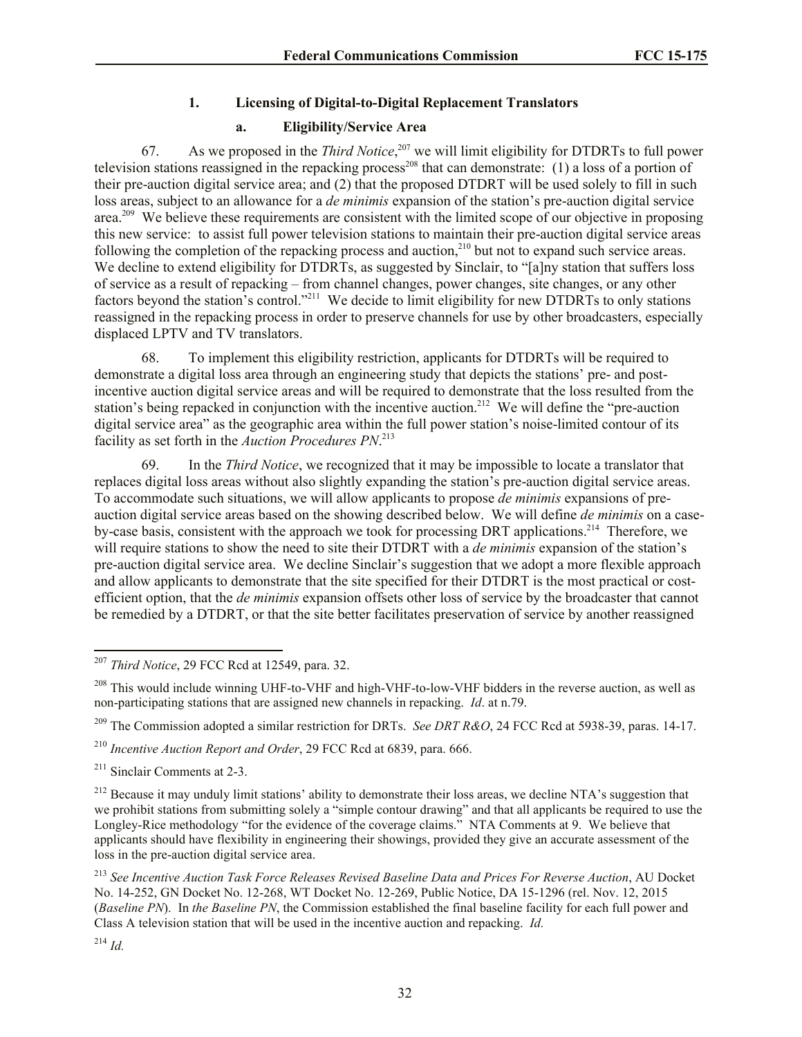# **1. Licensing of Digital-to-Digital Replacement Translators**

# **a. Eligibility/Service Area**

67. As we proposed in the *Third Notice*, <sup>207</sup> we will limit eligibility for DTDRTs to full power television stations reassigned in the repacking process<sup>208</sup> that can demonstrate: (1) a loss of a portion of their pre-auction digital service area; and (2) that the proposed DTDRT will be used solely to fill in such loss areas, subject to an allowance for a *de minimis* expansion of the station's pre-auction digital service area.<sup>209</sup> We believe these requirements are consistent with the limited scope of our objective in proposing this new service: to assist full power television stations to maintain their pre-auction digital service areas following the completion of the repacking process and auction,<sup>210</sup> but not to expand such service areas. We decline to extend eligibility for DTDRTs, as suggested by Sinclair, to "[a]ny station that suffers loss of service as a result of repacking – from channel changes, power changes, site changes, or any other factors beyond the station's control."<sup>211</sup> We decide to limit eligibility for new DTDRTs to only stations reassigned in the repacking process in order to preserve channels for use by other broadcasters, especially displaced LPTV and TV translators.

68. To implement this eligibility restriction, applicants for DTDRTs will be required to demonstrate a digital loss area through an engineering study that depicts the stations' pre- and postincentive auction digital service areas and will be required to demonstrate that the loss resulted from the station's being repacked in conjunction with the incentive auction.<sup>212</sup> We will define the "pre-auction" digital service area" as the geographic area within the full power station's noise-limited contour of its facility as set forth in the *Auction Procedures PN*. 213

69. In the *Third Notice*, we recognized that it may be impossible to locate a translator that replaces digital loss areas without also slightly expanding the station's pre-auction digital service areas. To accommodate such situations, we will allow applicants to propose *de minimis* expansions of preauction digital service areas based on the showing described below. We will define *de minimis* on a caseby-case basis, consistent with the approach we took for processing DRT applications.<sup>214</sup> Therefore, we will require stations to show the need to site their DTDRT with a *de minimis* expansion of the station's pre-auction digital service area. We decline Sinclair's suggestion that we adopt a more flexible approach and allow applicants to demonstrate that the site specified for their DTDRT is the most practical or costefficient option, that the *de minimis* expansion offsets other loss of service by the broadcaster that cannot be remedied by a DTDRT, or that the site better facilitates preservation of service by another reassigned

<sup>209</sup> The Commission adopted a similar restriction for DRTs. *See DRT R&O*, 24 FCC Rcd at 5938-39, paras. 14-17.

<sup>210</sup> *Incentive Auction Report and Order*, 29 FCC Rcd at 6839, para. 666.

<sup>211</sup> Sinclair Comments at 2-3.

 $^{212}$  Because it may unduly limit stations' ability to demonstrate their loss areas, we decline NTA's suggestion that we prohibit stations from submitting solely a "simple contour drawing" and that all applicants be required to use the Longley-Rice methodology "for the evidence of the coverage claims." NTA Comments at 9. We believe that applicants should have flexibility in engineering their showings, provided they give an accurate assessment of the loss in the pre-auction digital service area.

<sup>213</sup> *See Incentive Auction Task Force Releases Revised Baseline Data and Prices For Reverse Auction*, AU Docket No. 14-252, GN Docket No. 12-268, WT Docket No. 12-269, Public Notice, DA 15-1296 (rel. Nov. 12, 2015 (*Baseline PN*). In *the Baseline PN*, the Commission established the final baseline facility for each full power and Class A television station that will be used in the incentive auction and repacking. *Id.*

l

<sup>207</sup> *Third Notice*, 29 FCC Rcd at 12549, para. 32.

<sup>&</sup>lt;sup>208</sup> This would include winning UHF-to-VHF and high-VHF-to-low-VHF bidders in the reverse auction, as well as non-participating stations that are assigned new channels in repacking. *Id*. at n.79.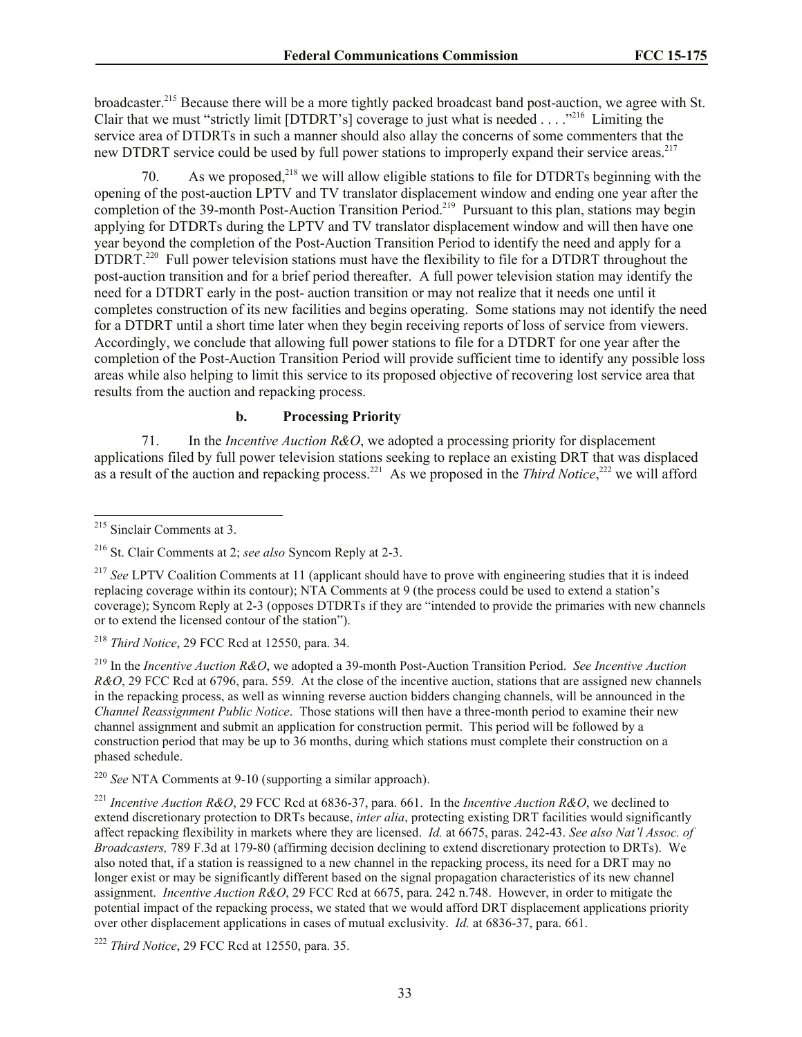broadcaster.<sup>215</sup> Because there will be a more tightly packed broadcast band post-auction, we agree with St. Clair that we must "strictly limit [DTDRT's] coverage to just what is needed  $\dots$ ."<sup>216</sup> Limiting the service area of DTDRTs in such a manner should also allay the concerns of some commenters that the new DTDRT service could be used by full power stations to improperly expand their service areas.<sup>217</sup>

70. As we proposed,  $2^{18}$  we will allow eligible stations to file for DTDRTs beginning with the opening of the post-auction LPTV and TV translator displacement window and ending one year after the completion of the 39-month Post-Auction Transition Period.<sup>219</sup> Pursuant to this plan, stations may begin applying for DTDRTs during the LPTV and TV translator displacement window and will then have one year beyond the completion of the Post-Auction Transition Period to identify the need and apply for a DTDRT.<sup>220</sup> Full power television stations must have the flexibility to file for a DTDRT throughout the post-auction transition and for a brief period thereafter. A full power television station may identify the need for a DTDRT early in the post- auction transition or may not realize that it needs one until it completes construction of its new facilities and begins operating. Some stations may not identify the need for a DTDRT until a short time later when they begin receiving reports of loss of service from viewers. Accordingly, we conclude that allowing full power stations to file for a DTDRT for one year after the completion of the Post-Auction Transition Period will provide sufficient time to identify any possible loss areas while also helping to limit this service to its proposed objective of recovering lost service area that results from the auction and repacking process.

## **b. Processing Priority**

71. In the *Incentive Auction R&O*, we adopted a processing priority for displacement applications filed by full power television stations seeking to replace an existing DRT that was displaced as a result of the auction and repacking process.<sup>221</sup> As we proposed in the *Third Notice*,<sup>222</sup> we will afford

<sup>218</sup> *Third Notice*, 29 FCC Rcd at 12550, para. 34.

<sup>219</sup> In the *Incentive Auction R&O*, we adopted a 39-month Post-Auction Transition Period. *See Incentive Auction R&O*, 29 FCC Rcd at 6796, para. 559. At the close of the incentive auction, stations that are assigned new channels in the repacking process, as well as winning reverse auction bidders changing channels, will be announced in the *Channel Reassignment Public Notice*. Those stations will then have a three-month period to examine their new channel assignment and submit an application for construction permit. This period will be followed by a construction period that may be up to 36 months, during which stations must complete their construction on a phased schedule.

<sup>220</sup> *See* NTA Comments at 9-10 (supporting a similar approach).

l <sup>215</sup> Sinclair Comments at 3.

<sup>216</sup> St. Clair Comments at 2; *see also* Syncom Reply at 2-3.

<sup>&</sup>lt;sup>217</sup> *See* LPTV Coalition Comments at 11 (applicant should have to prove with engineering studies that it is indeed replacing coverage within its contour); NTA Comments at 9 (the process could be used to extend a station's coverage); Syncom Reply at 2-3 (opposes DTDRTs if they are "intended to provide the primaries with new channels or to extend the licensed contour of the station").

<sup>221</sup> *Incentive Auction R&O*, 29 FCC Rcd at 6836-37, para. 661. In the *Incentive Auction R&O*, we declined to extend discretionary protection to DRTs because, *inter alia*, protecting existing DRT facilities would significantly affect repacking flexibility in markets where they are licensed. *Id.* at 6675, paras. 242-43. *See also Nat'l Assoc. of Broadcasters,* 789 F.3d at 179-80 (affirming decision declining to extend discretionary protection to DRTs). We also noted that, if a station is reassigned to a new channel in the repacking process, its need for a DRT may no longer exist or may be significantly different based on the signal propagation characteristics of its new channel assignment. *Incentive Auction R&O*, 29 FCC Rcd at 6675, para. 242 n.748. However, in order to mitigate the potential impact of the repacking process, we stated that we would afford DRT displacement applications priority over other displacement applications in cases of mutual exclusivity. *Id.* at 6836-37, para. 661.

<sup>222</sup> *Third Notice*, 29 FCC Rcd at 12550, para. 35.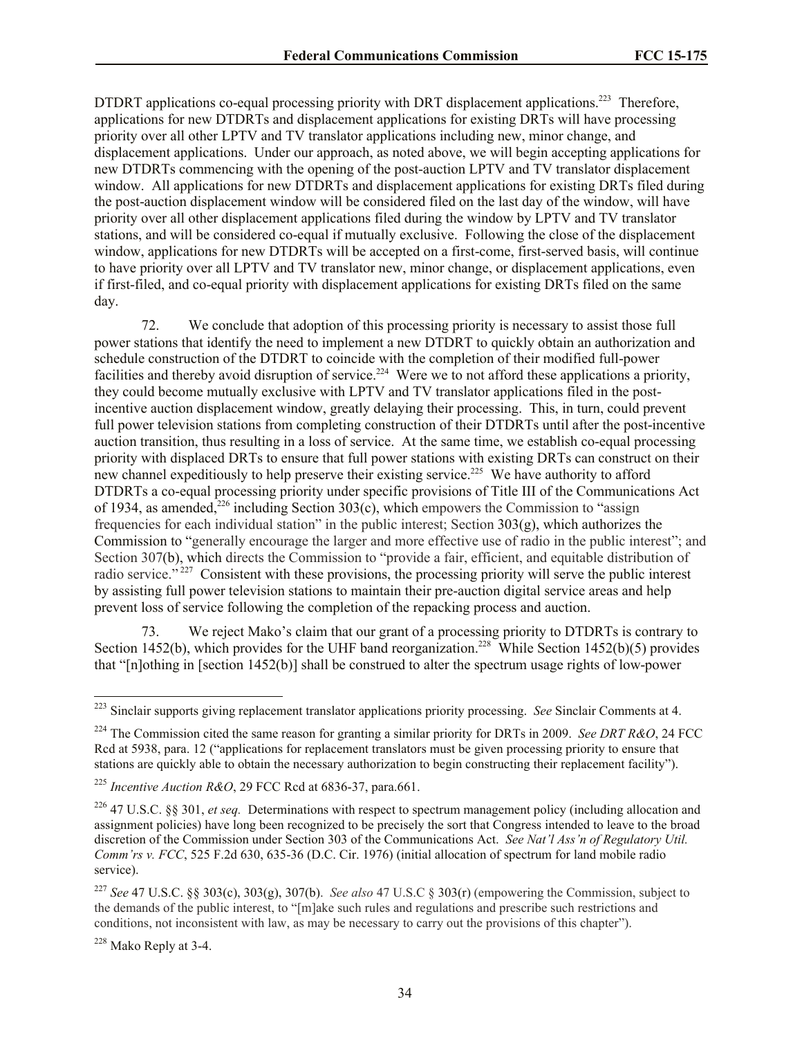DTDRT applications co-equal processing priority with DRT displacement applications.<sup>223</sup> Therefore, applications for new DTDRTs and displacement applications for existing DRTs will have processing priority over all other LPTV and TV translator applications including new, minor change, and displacement applications. Under our approach, as noted above, we will begin accepting applications for new DTDRTs commencing with the opening of the post-auction LPTV and TV translator displacement window. All applications for new DTDRTs and displacement applications for existing DRTs filed during the post-auction displacement window will be considered filed on the last day of the window, will have priority over all other displacement applications filed during the window by LPTV and TV translator stations, and will be considered co-equal if mutually exclusive. Following the close of the displacement window, applications for new DTDRTs will be accepted on a first-come, first-served basis, will continue to have priority over all LPTV and TV translator new, minor change, or displacement applications, even if first-filed, and co-equal priority with displacement applications for existing DRTs filed on the same day.

72. We conclude that adoption of this processing priority is necessary to assist those full power stations that identify the need to implement a new DTDRT to quickly obtain an authorization and schedule construction of the DTDRT to coincide with the completion of their modified full-power facilities and thereby avoid disruption of service.<sup>224</sup> Were we to not afford these applications a priority, they could become mutually exclusive with LPTV and TV translator applications filed in the postincentive auction displacement window, greatly delaying their processing. This, in turn, could prevent full power television stations from completing construction of their DTDRTs until after the post-incentive auction transition, thus resulting in a loss of service. At the same time, we establish co-equal processing priority with displaced DRTs to ensure that full power stations with existing DRTs can construct on their new channel expeditiously to help preserve their existing service.<sup>225</sup> We have authority to afford DTDRTs a co-equal processing priority under specific provisions of Title III of the Communications Act of 1934, as amended,  $226$  including Section 303(c), which empowers the Commission to "assign frequencies for each individual station" in the public interest; Section  $303(g)$ , which authorizes the Commission to "generally encourage the larger and more effective use of radio in the public interest"; and Section 307(b), which directs the Commission to "provide a fair, efficient, and equitable distribution of radio service."<sup>227</sup> Consistent with these provisions, the processing priority will serve the public interest by assisting full power television stations to maintain their pre-auction digital service areas and help prevent loss of service following the completion of the repacking process and auction.

73. We reject Mako's claim that our grant of a processing priority to DTDRTs is contrary to Section 1452(b), which provides for the UHF band reorganization.<sup>228</sup> While Section 1452(b)(5) provides that "[n]othing in [section 1452(b)] shall be construed to alter the spectrum usage rights of low-power

 $\overline{a}$ 

<sup>223</sup> Sinclair supports giving replacement translator applications priority processing. *See* Sinclair Comments at 4.

<sup>224</sup> The Commission cited the same reason for granting a similar priority for DRTs in 2009. *See DRT R&O*, 24 FCC Rcd at 5938, para. 12 ("applications for replacement translators must be given processing priority to ensure that stations are quickly able to obtain the necessary authorization to begin constructing their replacement facility").

<sup>225</sup> *Incentive Auction R&O*, 29 FCC Rcd at 6836-37, para.661.

<sup>226</sup> 47 U.S.C. §§ 301, *et seq.* Determinations with respect to spectrum management policy (including allocation and assignment policies) have long been recognized to be precisely the sort that Congress intended to leave to the broad discretion of the Commission under Section 303 of the Communications Act. *See Nat'l Ass'n of Regulatory Util. Comm'rs v. FCC*, 525 F.2d 630, 635-36 (D.C. Cir. 1976) (initial allocation of spectrum for land mobile radio service).

<sup>227</sup> *See* 47 U.S.C. §§ 303(c), 303(g), 307(b). *See also* 47 U.S.C § 303(r) (empowering the Commission, subject to the demands of the public interest, to "[m]ake such rules and regulations and prescribe such restrictions and conditions, not inconsistent with law, as may be necessary to carry out the provisions of this chapter").

<sup>228</sup> Mako Reply at 3-4.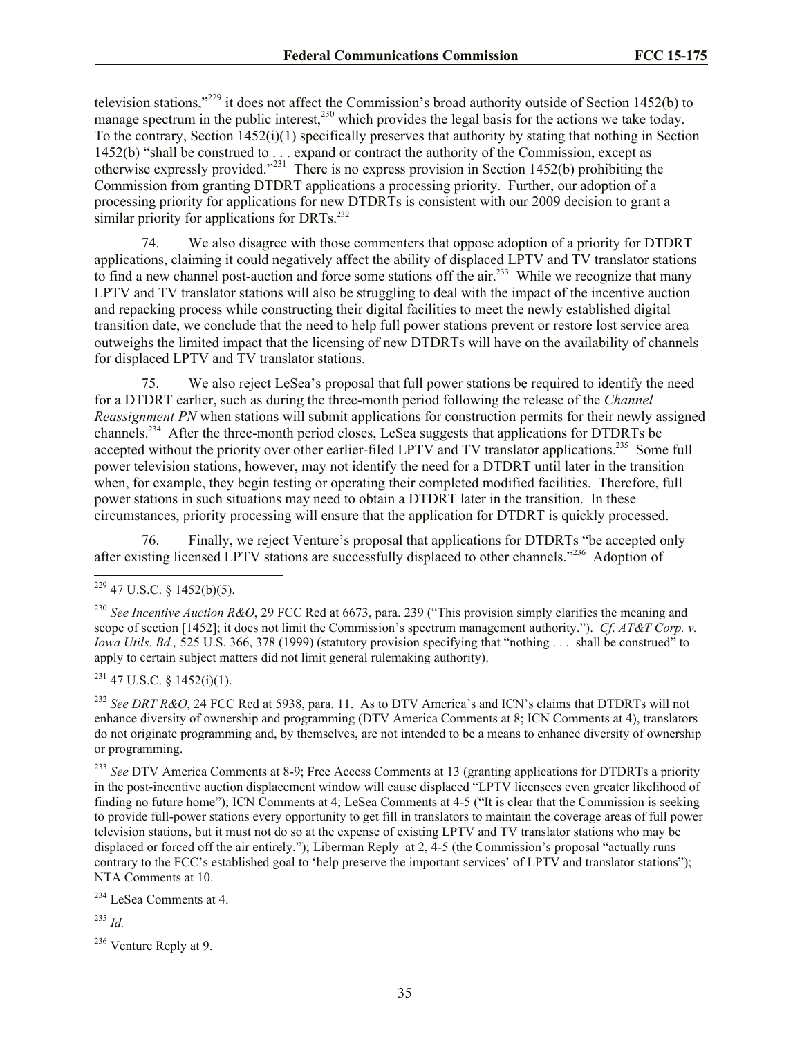television stations,"<sup>229</sup> it does not affect the Commission's broad authority outside of Section 1452(b) to manage spectrum in the public interest,  $^{230}$  which provides the legal basis for the actions we take today. To the contrary, Section  $1452(i)(1)$  specifically preserves that authority by stating that nothing in Section 1452(b) "shall be construed to . . . expand or contract the authority of the Commission, except as otherwise expressly provided."<sup>231</sup> There is no express provision in Section 1452(b) prohibiting the Commission from granting DTDRT applications a processing priority. Further, our adoption of a processing priority for applications for new DTDRTs is consistent with our 2009 decision to grant a similar priority for applications for DRTs. $^{232}$ 

74. We also disagree with those commenters that oppose adoption of a priority for DTDRT applications, claiming it could negatively affect the ability of displaced LPTV and TV translator stations to find a new channel post-auction and force some stations off the air.<sup>233</sup> While we recognize that many LPTV and TV translator stations will also be struggling to deal with the impact of the incentive auction and repacking process while constructing their digital facilities to meet the newly established digital transition date, we conclude that the need to help full power stations prevent or restore lost service area outweighs the limited impact that the licensing of new DTDRTs will have on the availability of channels for displaced LPTV and TV translator stations.

75. We also reject LeSea's proposal that full power stations be required to identify the need for a DTDRT earlier, such as during the three-month period following the release of the *Channel Reassignment PN* when stations will submit applications for construction permits for their newly assigned channels.<sup>234</sup> After the three-month period closes, LeSea suggests that applications for DTDRTs be accepted without the priority over other earlier-filed LPTV and TV translator applications.<sup>235</sup> Some full power television stations, however, may not identify the need for a DTDRT until later in the transition when, for example, they begin testing or operating their completed modified facilities. Therefore, full power stations in such situations may need to obtain a DTDRT later in the transition. In these circumstances, priority processing will ensure that the application for DTDRT is quickly processed.

76. Finally, we reject Venture's proposal that applications for DTDRTs "be accepted only after existing licensed LPTV stations are successfully displaced to other channels."<sup>236</sup> Adoption of

 $\overline{\phantom{a}}$ 

 $231$  47 U.S.C. § 1452(i)(1).

<sup>232</sup> *See DRT R&O*, 24 FCC Rcd at 5938, para. 11. As to DTV America's and ICN's claims that DTDRTs will not enhance diversity of ownership and programming (DTV America Comments at 8; ICN Comments at 4), translators do not originate programming and, by themselves, are not intended to be a means to enhance diversity of ownership or programming.

<sup>233</sup> See DTV America Comments at 8-9; Free Access Comments at 13 (granting applications for DTDRTs a priority in the post-incentive auction displacement window will cause displaced "LPTV licensees even greater likelihood of finding no future home"); ICN Comments at 4; LeSea Comments at 4-5 ("It is clear that the Commission is seeking to provide full-power stations every opportunity to get fill in translators to maintain the coverage areas of full power television stations, but it must not do so at the expense of existing LPTV and TV translator stations who may be displaced or forced off the air entirely."); Liberman Reply at 2, 4-5 (the Commission's proposal "actually runs contrary to the FCC's established goal to 'help preserve the important services' of LPTV and translator stations"); NTA Comments at 10.

<sup>234</sup> LeSea Comments at 4.

<sup>235</sup> *Id.*

<sup>236</sup> Venture Reply at 9.

 $229$  47 U.S.C. § 1452(b)(5).

<sup>230</sup> *See Incentive Auction R&O*, 29 FCC Rcd at 6673, para. 239 ("This provision simply clarifies the meaning and scope of section [1452]; it does not limit the Commission's spectrum management authority."). *Cf*. *AT&T Corp. v. Iowa Utils. Bd., 525 U.S. 366, 378 (1999) (statutory provision specifying that "nothing ... shall be construed" to* apply to certain subject matters did not limit general rulemaking authority).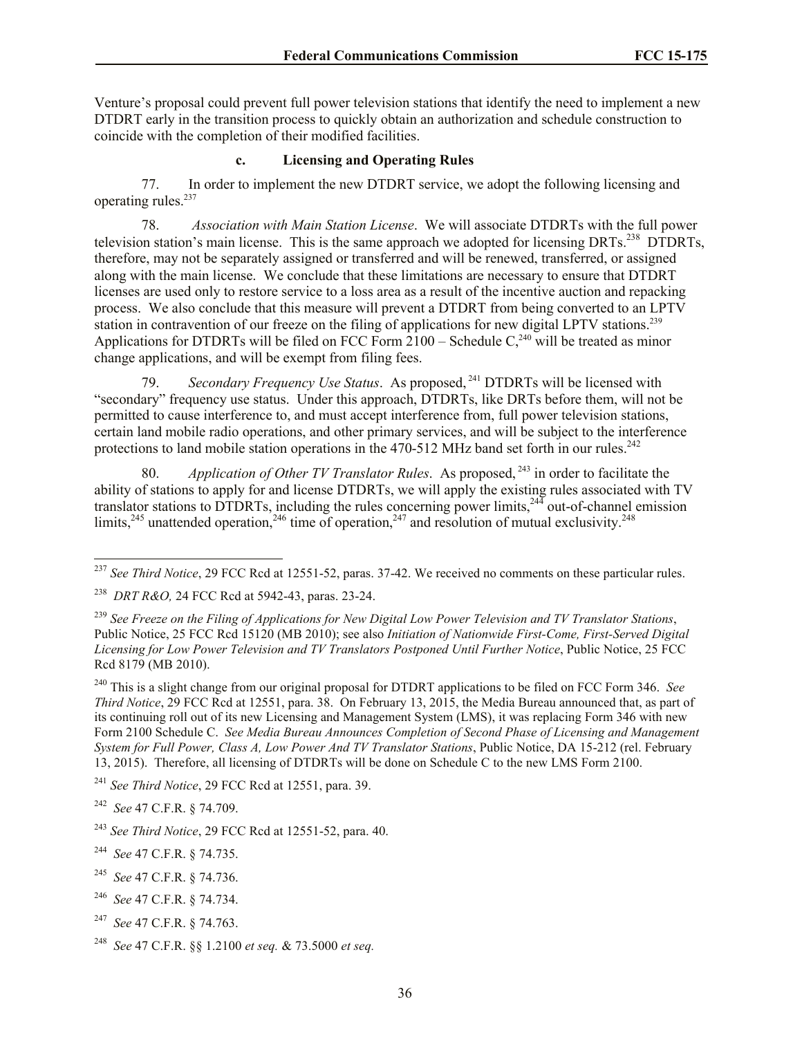Venture's proposal could prevent full power television stations that identify the need to implement a new DTDRT early in the transition process to quickly obtain an authorization and schedule construction to coincide with the completion of their modified facilities.

## **c. Licensing and Operating Rules**

77. In order to implement the new DTDRT service, we adopt the following licensing and operating rules.<sup>237</sup>

78. *Association with Main Station License*. We will associate DTDRTs with the full power television station's main license. This is the same approach we adopted for licensing DRTs.<sup>238</sup> DTDRTs, therefore, may not be separately assigned or transferred and will be renewed, transferred, or assigned along with the main license. We conclude that these limitations are necessary to ensure that DTDRT licenses are used only to restore service to a loss area as a result of the incentive auction and repacking process. We also conclude that this measure will prevent a DTDRT from being converted to an LPTV station in contravention of our freeze on the filing of applications for new digital LPTV stations.<sup>239</sup> Applications for DTDRTs will be filed on FCC Form  $2100 -$  Schedule  $C<sub>2</sub><sup>240</sup>$  will be treated as minor change applications, and will be exempt from filing fees.

79. *Secondary Frequency Use Status*. As proposed, <sup>241</sup> DTDRTs will be licensed with "secondary" frequency use status. Under this approach, DTDRTs, like DRTs before them, will not be permitted to cause interference to, and must accept interference from, full power television stations, certain land mobile radio operations, and other primary services, and will be subject to the interference protections to land mobile station operations in the 470-512 MHz band set forth in our rules.<sup>242</sup>

80. *Application of Other TV Translator Rules*. As proposed, <sup>243</sup> in order to facilitate the ability of stations to apply for and license DTDRTs, we will apply the existing rules associated with TV translator stations to DTDRTs, including the rules concerning power limits,<sup>244</sup> out-of-channel emission limits,<sup>245</sup> unattended operation,<sup>246</sup> time of operation,<sup>247</sup> and resolution of mutual exclusivity.<sup>248</sup>

 $\overline{a}$ 

- 245 *See* 47 C.F.R. § 74.736.
- 246 *See* 47 C.F.R. § 74.734.
- 247 *See* 47 C.F.R. § 74.763.
- 248 *See* 47 C.F.R. §§ 1.2100 *et seq.* & 73.5000 *et seq.*

<sup>&</sup>lt;sup>237</sup> See Third Notice, 29 FCC Rcd at 12551-52, paras. 37-42. We received no comments on these particular rules.

<sup>238</sup> *DRT R&O,* 24 FCC Rcd at 5942-43, paras. 23-24.

<sup>239</sup> *See Freeze on the Filing of Applications for New Digital Low Power Television and TV Translator Stations*, Public Notice, 25 FCC Rcd 15120 (MB 2010); see also *Initiation of Nationwide First-Come, First-Served Digital Licensing for Low Power Television and TV Translators Postponed Until Further Notice*, Public Notice, 25 FCC Rcd 8179 (MB 2010).

<sup>240</sup> This is a slight change from our original proposal for DTDRT applications to be filed on FCC Form 346. *See Third Notice*, 29 FCC Rcd at 12551, para. 38. On February 13, 2015, the Media Bureau announced that, as part of its continuing roll out of its new Licensing and Management System (LMS), it was replacing Form 346 with new Form 2100 Schedule C. *See Media Bureau Announces Completion of Second Phase of Licensing and Management System for Full Power, Class A, Low Power And TV Translator Stations*, Public Notice, DA 15-212 (rel. February 13, 2015). Therefore, all licensing of DTDRTs will be done on Schedule C to the new LMS Form 2100.

<sup>241</sup> *See Third Notice*, 29 FCC Rcd at 12551, para. 39.

<sup>242</sup> *See* 47 C.F.R. § 74.709.

<sup>243</sup> *See Third Notice*, 29 FCC Rcd at 12551-52, para. 40.

<sup>244</sup> *See* 47 C.F.R. § 74.735.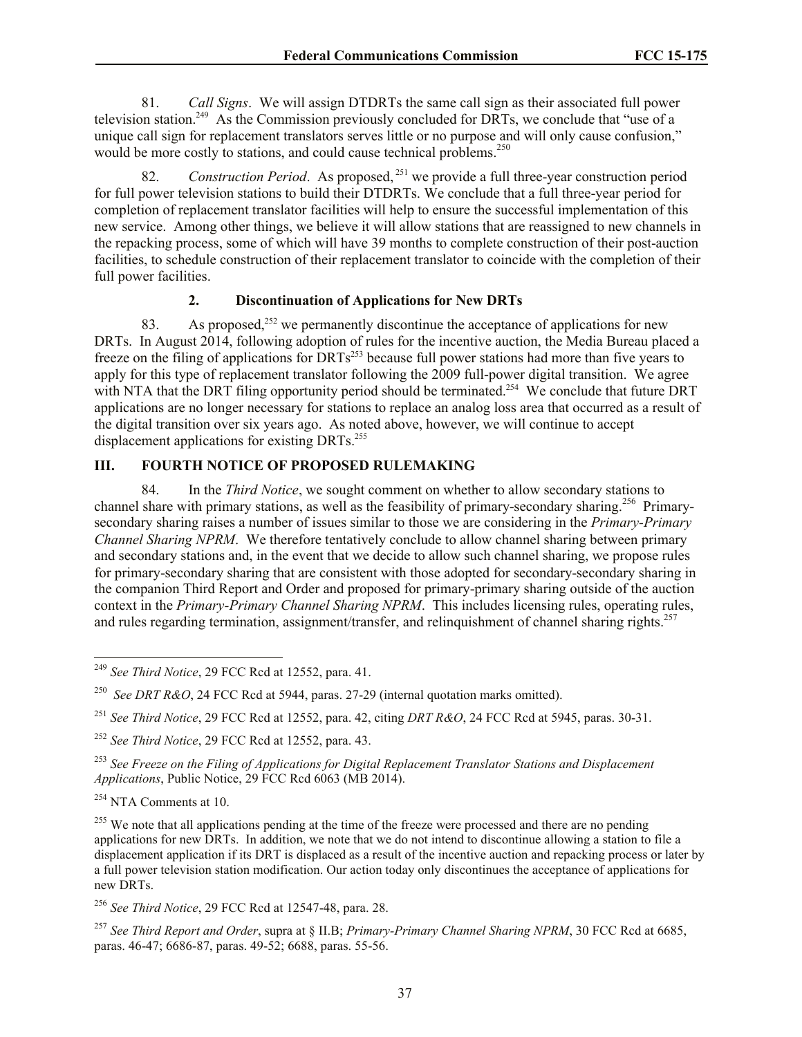81. *Call Signs*. We will assign DTDRTs the same call sign as their associated full power television station.<sup>249</sup> As the Commission previously concluded for DRTs, we conclude that "use of a unique call sign for replacement translators serves little or no purpose and will only cause confusion," would be more costly to stations, and could cause technical problems.<sup>250</sup>

82. *Construction Period*. As proposed, <sup>251</sup> we provide a full three-year construction period for full power television stations to build their DTDRTs. We conclude that a full three-year period for completion of replacement translator facilities will help to ensure the successful implementation of this new service. Among other things, we believe it will allow stations that are reassigned to new channels in the repacking process, some of which will have 39 months to complete construction of their post-auction facilities, to schedule construction of their replacement translator to coincide with the completion of their full power facilities.

#### **2. Discontinuation of Applications for New DRTs**

83. As proposed,<sup>252</sup> we permanently discontinue the acceptance of applications for new DRTs. In August 2014, following adoption of rules for the incentive auction, the Media Bureau placed a freeze on the filing of applications for DRTs<sup>253</sup> because full power stations had more than five years to apply for this type of replacement translator following the 2009 full-power digital transition. We agree with NTA that the DRT filing opportunity period should be terminated.<sup>254</sup> We conclude that future DRT applications are no longer necessary for stations to replace an analog loss area that occurred as a result of the digital transition over six years ago. As noted above, however, we will continue to accept displacement applications for existing DRTs.<sup>255</sup>

# **III. FOURTH NOTICE OF PROPOSED RULEMAKING**

84. In the *Third Notice*, we sought comment on whether to allow secondary stations to channel share with primary stations, as well as the feasibility of primary-secondary sharing.<sup>256</sup> Primarysecondary sharing raises a number of issues similar to those we are considering in the *Primary-Primary Channel Sharing NPRM*. We therefore tentatively conclude to allow channel sharing between primary and secondary stations and, in the event that we decide to allow such channel sharing, we propose rules for primary-secondary sharing that are consistent with those adopted for secondary-secondary sharing in the companion Third Report and Order and proposed for primary-primary sharing outside of the auction context in the *Primary-Primary Channel Sharing NPRM*. This includes licensing rules, operating rules, and rules regarding termination, assignment/transfer, and relinquishment of channel sharing rights.<sup>257</sup>

l

<sup>256</sup> *See Third Notice*, 29 FCC Rcd at 12547-48, para. 28.

<sup>257</sup> *See Third Report and Order*, supra at § II.B; *Primary-Primary Channel Sharing NPRM*, 30 FCC Rcd at 6685, paras. 46-47; 6686-87, paras. 49-52; 6688, paras. 55-56.

<sup>249</sup> *See Third Notice*, 29 FCC Rcd at 12552, para. 41.

<sup>250</sup> *See DRT R&O*, 24 FCC Rcd at 5944, paras. 27-29 (internal quotation marks omitted).

<sup>251</sup> *See Third Notice*, 29 FCC Rcd at 12552, para. 42, citing *DRT R&O*, 24 FCC Rcd at 5945, paras. 30-31.

<sup>252</sup> *See Third Notice*, 29 FCC Rcd at 12552, para. 43.

<sup>253</sup> *See Freeze on the Filing of Applications for Digital Replacement Translator Stations and Displacement Applications*, Public Notice, 29 FCC Rcd 6063 (MB 2014).

<sup>&</sup>lt;sup>254</sup> NTA Comments at 10.

<sup>&</sup>lt;sup>255</sup> We note that all applications pending at the time of the freeze were processed and there are no pending applications for new DRTs. In addition, we note that we do not intend to discontinue allowing a station to file a displacement application if its DRT is displaced as a result of the incentive auction and repacking process or later by a full power television station modification. Our action today only discontinues the acceptance of applications for new DRTs.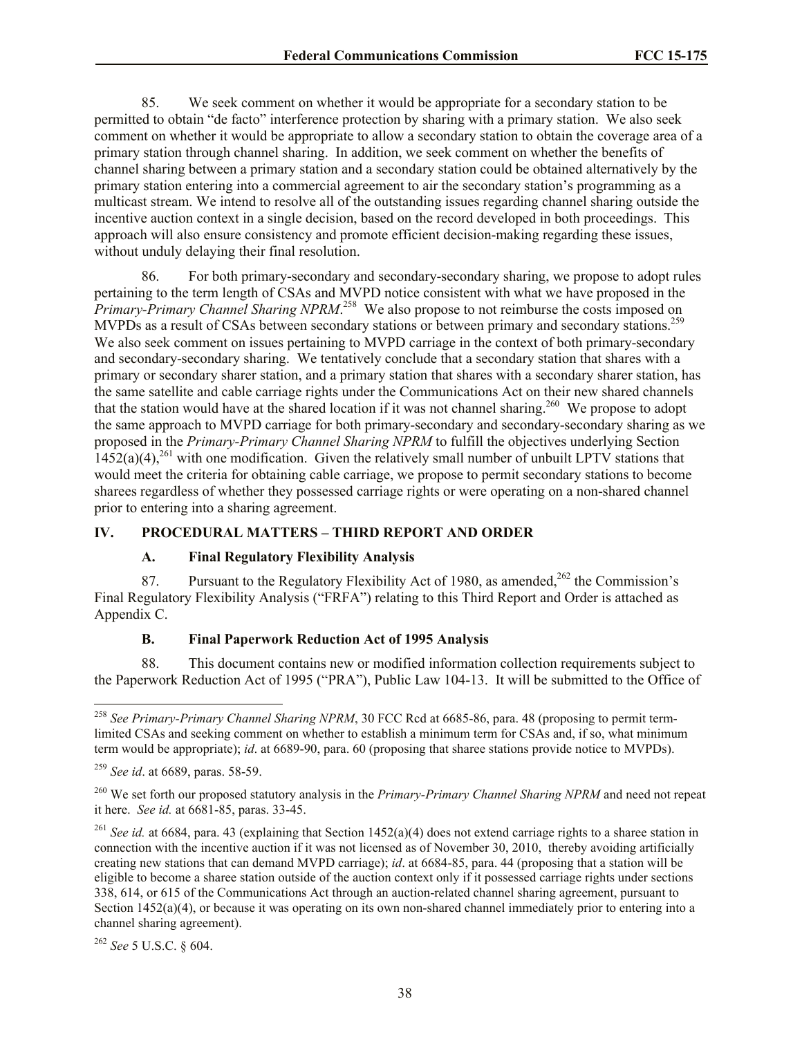85. We seek comment on whether it would be appropriate for a secondary station to be permitted to obtain "de facto" interference protection by sharing with a primary station. We also seek comment on whether it would be appropriate to allow a secondary station to obtain the coverage area of a primary station through channel sharing. In addition, we seek comment on whether the benefits of channel sharing between a primary station and a secondary station could be obtained alternatively by the primary station entering into a commercial agreement to air the secondary station's programming as a multicast stream. We intend to resolve all of the outstanding issues regarding channel sharing outside the incentive auction context in a single decision, based on the record developed in both proceedings. This approach will also ensure consistency and promote efficient decision-making regarding these issues, without unduly delaying their final resolution.

86. For both primary-secondary and secondary-secondary sharing, we propose to adopt rules pertaining to the term length of CSAs and MVPD notice consistent with what we have proposed in the *Primary-Primary Channel Sharing NPRM*. 258 We also propose to not reimburse the costs imposed on MVPDs as a result of CSAs between secondary stations or between primary and secondary stations.<sup>259</sup> We also seek comment on issues pertaining to MVPD carriage in the context of both primary-secondary and secondary-secondary sharing. We tentatively conclude that a secondary station that shares with a primary or secondary sharer station, and a primary station that shares with a secondary sharer station, has the same satellite and cable carriage rights under the Communications Act on their new shared channels that the station would have at the shared location if it was not channel sharing.<sup>260</sup> We propose to adopt the same approach to MVPD carriage for both primary-secondary and secondary-secondary sharing as we proposed in the *Primary-Primary Channel Sharing NPRM* to fulfill the objectives underlying Section  $1452(a)(4)$ ,<sup>261</sup> with one modification. Given the relatively small number of unbuilt LPTV stations that would meet the criteria for obtaining cable carriage, we propose to permit secondary stations to become sharees regardless of whether they possessed carriage rights or were operating on a non-shared channel prior to entering into a sharing agreement.

#### **IV. PROCEDURAL MATTERS – THIRD REPORT AND ORDER**

#### **A. Final Regulatory Flexibility Analysis**

87. Pursuant to the Regulatory Flexibility Act of 1980, as amended,  $262$  the Commission's Final Regulatory Flexibility Analysis ("FRFA") relating to this Third Report and Order is attached as Appendix C.

#### **B. Final Paperwork Reduction Act of 1995 Analysis**

88. This document contains new or modified information collection requirements subject to the Paperwork Reduction Act of 1995 ("PRA"), Public Law 104-13. It will be submitted to the Office of

 $\overline{a}$ 

<sup>262</sup> *See* 5 U.S.C. § 604.

<sup>258</sup> *See Primary-Primary Channel Sharing NPRM*, 30 FCC Rcd at 6685-86, para. 48 (proposing to permit termlimited CSAs and seeking comment on whether to establish a minimum term for CSAs and, if so, what minimum term would be appropriate); *id*. at 6689-90, para. 60 (proposing that sharee stations provide notice to MVPDs).

<sup>259</sup> *See id*. at 6689, paras. 58-59.

<sup>260</sup> We set forth our proposed statutory analysis in the *Primary-Primary Channel Sharing NPRM* and need not repeat it here. *See id.* at 6681-85, paras. 33-45.

<sup>261</sup> *See id.* at 6684, para. 43 (explaining that Section 1452(a)(4) does not extend carriage rights to a sharee station in connection with the incentive auction if it was not licensed as of November 30, 2010, thereby avoiding artificially creating new stations that can demand MVPD carriage); *id*. at 6684-85, para. 44 (proposing that a station will be eligible to become a sharee station outside of the auction context only if it possessed carriage rights under sections 338, 614, or 615 of the Communications Act through an auction-related channel sharing agreement, pursuant to Section  $1452(a)(4)$ , or because it was operating on its own non-shared channel immediately prior to entering into a channel sharing agreement).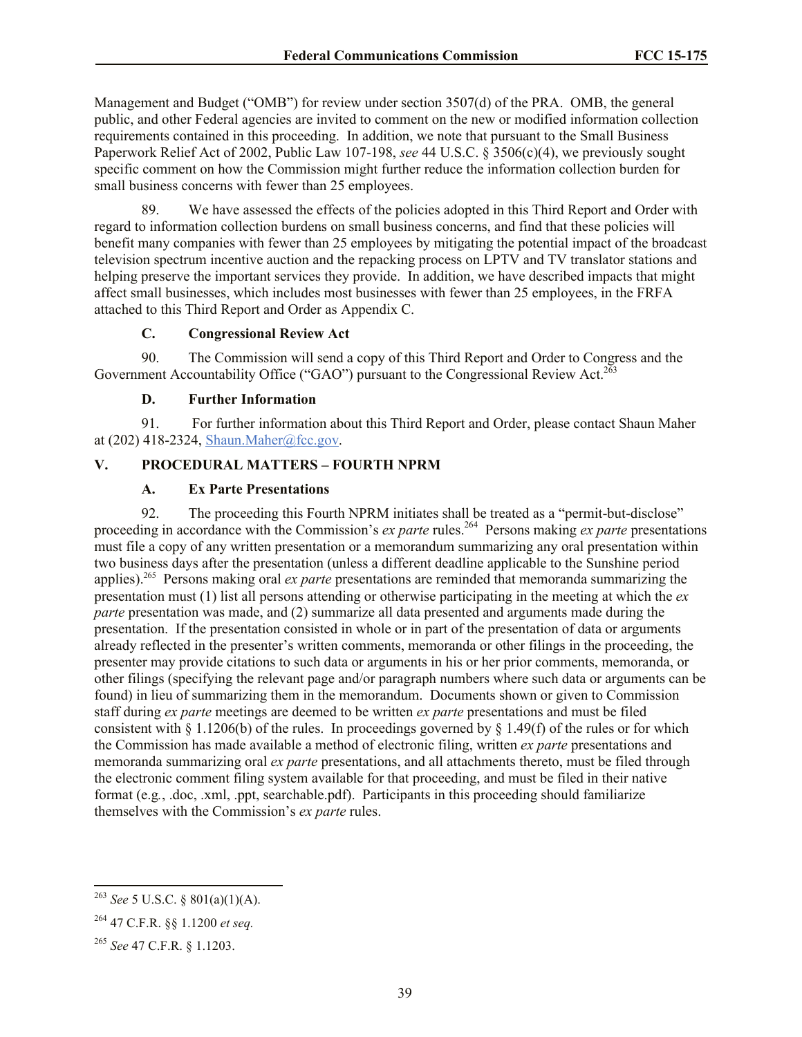Management and Budget ("OMB") for review under section 3507(d) of the PRA. OMB, the general public, and other Federal agencies are invited to comment on the new or modified information collection requirements contained in this proceeding. In addition, we note that pursuant to the Small Business Paperwork Relief Act of 2002, Public Law 107-198, *see* 44 U.S.C. § 3506(c)(4), we previously sought specific comment on how the Commission might further reduce the information collection burden for small business concerns with fewer than 25 employees.

89. We have assessed the effects of the policies adopted in this Third Report and Order with regard to information collection burdens on small business concerns, and find that these policies will benefit many companies with fewer than 25 employees by mitigating the potential impact of the broadcast television spectrum incentive auction and the repacking process on LPTV and TV translator stations and helping preserve the important services they provide. In addition, we have described impacts that might affect small businesses, which includes most businesses with fewer than 25 employees, in the FRFA attached to this Third Report and Order as Appendix C.

# **C. Congressional Review Act**

90. The Commission will send a copy of this Third Report and Order to Congress and the Government Accountability Office ("GAO") pursuant to the Congressional Review Act.<sup>263</sup>

#### **D. Further Information**

91. For further information about this Third Report and Order, please contact Shaun Maher at (202) 418-2324, Shaun.Maher@fcc.gov.

# **V. PROCEDURAL MATTERS – FOURTH NPRM**

#### **A. Ex Parte Presentations**

92. The proceeding this Fourth NPRM initiates shall be treated as a "permit-but-disclose" proceeding in accordance with the Commission's *ex parte* rules.<sup>264</sup> Persons making *ex parte* presentations must file a copy of any written presentation or a memorandum summarizing any oral presentation within two business days after the presentation (unless a different deadline applicable to the Sunshine period applies).<sup>265</sup> Persons making oral *ex parte* presentations are reminded that memoranda summarizing the presentation must (1) list all persons attending or otherwise participating in the meeting at which the *ex parte* presentation was made, and (2) summarize all data presented and arguments made during the presentation. If the presentation consisted in whole or in part of the presentation of data or arguments already reflected in the presenter's written comments, memoranda or other filings in the proceeding, the presenter may provide citations to such data or arguments in his or her prior comments, memoranda, or other filings (specifying the relevant page and/or paragraph numbers where such data or arguments can be found) in lieu of summarizing them in the memorandum. Documents shown or given to Commission staff during *ex parte* meetings are deemed to be written *ex parte* presentations and must be filed consistent with  $\S$  1.1206(b) of the rules. In proceedings governed by  $\S$  1.49(f) of the rules or for which the Commission has made available a method of electronic filing, written *ex parte* presentations and memoranda summarizing oral *ex parte* presentations, and all attachments thereto, must be filed through the electronic comment filing system available for that proceeding, and must be filed in their native format (e.g*.*, .doc, .xml, .ppt, searchable.pdf). Participants in this proceeding should familiarize themselves with the Commission's *ex parte* rules.

l

<sup>263</sup> *See* 5 U.S.C. § 801(a)(1)(A).

<sup>264</sup> 47 C.F.R. §§ 1.1200 *et seq.*

<sup>265</sup> *See* 47 C.F.R. § 1.1203.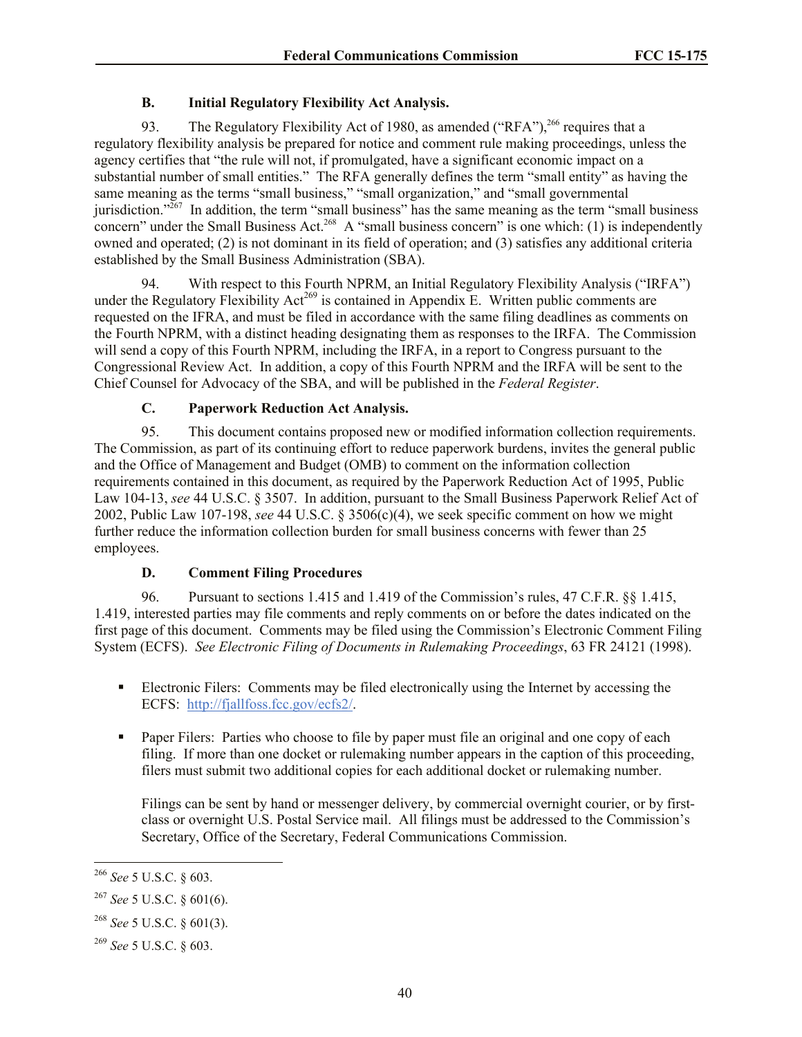# **B. Initial Regulatory Flexibility Act Analysis.**

93. The Regulatory Flexibility Act of 1980, as amended ("RFA"),<sup>266</sup> requires that a regulatory flexibility analysis be prepared for notice and comment rule making proceedings, unless the agency certifies that "the rule will not, if promulgated, have a significant economic impact on a substantial number of small entities." The RFA generally defines the term "small entity" as having the same meaning as the terms "small business," "small organization," and "small governmental jurisdiction." $^{267}$  In addition, the term "small business" has the same meaning as the term "small business" concern" under the Small Business Act.<sup>268</sup> A "small business concern" is one which: (1) is independently owned and operated; (2) is not dominant in its field of operation; and (3) satisfies any additional criteria established by the Small Business Administration (SBA).

94. With respect to this Fourth NPRM, an Initial Regulatory Flexibility Analysis ("IRFA") under the Regulatory Flexibility Act<sup>269</sup> is contained in Appendix E. Written public comments are requested on the IFRA, and must be filed in accordance with the same filing deadlines as comments on the Fourth NPRM, with a distinct heading designating them as responses to the IRFA. The Commission will send a copy of this Fourth NPRM, including the IRFA, in a report to Congress pursuant to the Congressional Review Act. In addition, a copy of this Fourth NPRM and the IRFA will be sent to the Chief Counsel for Advocacy of the SBA, and will be published in the *Federal Register*.

# **C. Paperwork Reduction Act Analysis.**

95. This document contains proposed new or modified information collection requirements. The Commission, as part of its continuing effort to reduce paperwork burdens, invites the general public and the Office of Management and Budget (OMB) to comment on the information collection requirements contained in this document, as required by the Paperwork Reduction Act of 1995, Public Law 104-13, *see* 44 U.S.C. § 3507. In addition, pursuant to the Small Business Paperwork Relief Act of 2002, Public Law 107-198, *see* 44 U.S.C. § 3506(c)(4), we seek specific comment on how we might further reduce the information collection burden for small business concerns with fewer than 25 employees.

# **D. Comment Filing Procedures**

96. Pursuant to sections 1.415 and 1.419 of the Commission's rules, 47 C.F.R. §§ 1.415, 1.419, interested parties may file comments and reply comments on or before the dates indicated on the first page of this document. Comments may be filed using the Commission's Electronic Comment Filing System (ECFS). *See Electronic Filing of Documents in Rulemaking Proceedings*, 63 FR 24121 (1998).

- Electronic Filers: Comments may be filed electronically using the Internet by accessing the ECFS: http://fjallfoss.fcc.gov/ecfs2/.
- **Paper Filers:** Parties who choose to file by paper must file an original and one copy of each filing. If more than one docket or rulemaking number appears in the caption of this proceeding, filers must submit two additional copies for each additional docket or rulemaking number.

Filings can be sent by hand or messenger delivery, by commercial overnight courier, or by firstclass or overnight U.S. Postal Service mail. All filings must be addressed to the Commission's Secretary, Office of the Secretary, Federal Communications Commission.

l

<sup>266</sup> *See* 5 U.S.C. § 603.

<sup>267</sup> *See* 5 U.S.C. § 601(6).

<sup>268</sup> *See* 5 U.S.C. § 601(3).

<sup>269</sup> *See* 5 U.S.C. § 603.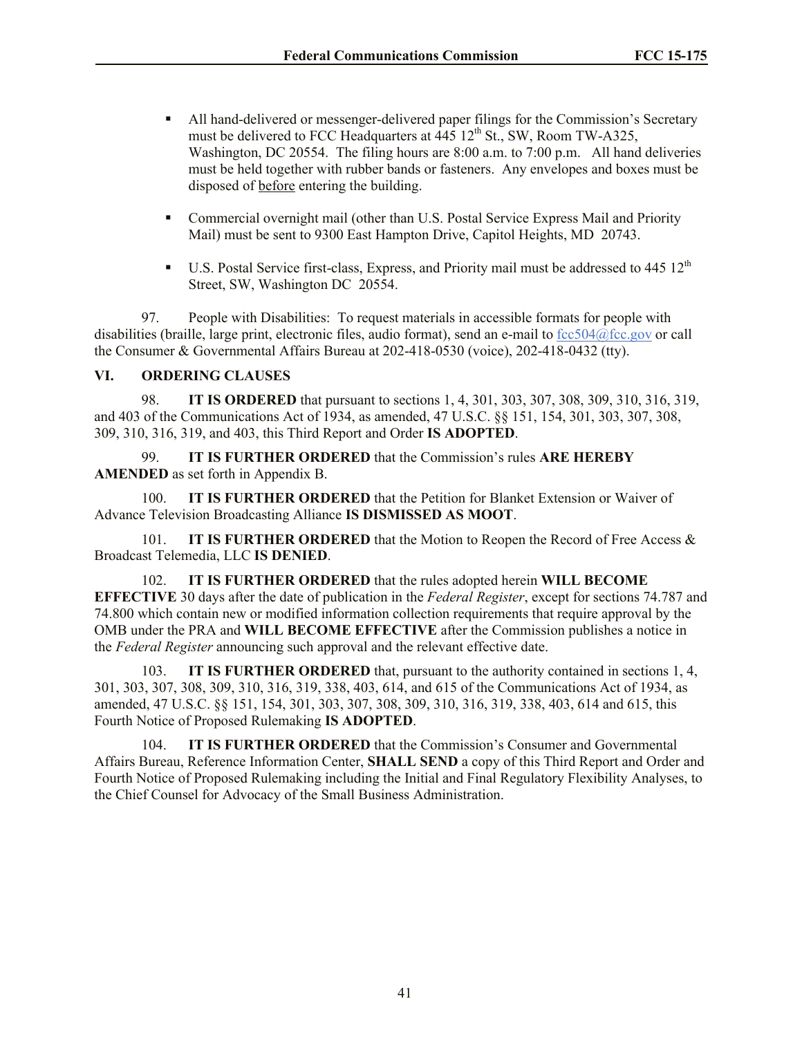- All hand-delivered or messenger-delivered paper filings for the Commission's Secretary must be delivered to FCC Headquarters at  $\overline{445}$  12<sup>th</sup> St., SW, Room TW-A325, Washington, DC 20554. The filing hours are 8:00 a.m. to 7:00 p.m. All hand deliveries must be held together with rubber bands or fasteners. Any envelopes and boxes must be disposed of before entering the building.
- Commercial overnight mail (other than U.S. Postal Service Express Mail and Priority Mail) must be sent to 9300 East Hampton Drive, Capitol Heights, MD 20743.
- $\blacksquare$  U.S. Postal Service first-class, Express, and Priority mail must be addressed to 445 12<sup>th</sup> Street, SW, Washington DC 20554.

97. People with Disabilities: To request materials in accessible formats for people with disabilities (braille, large print, electronic files, audio format), send an e-mail to fcc504@fcc.gov or call the Consumer & Governmental Affairs Bureau at 202-418-0530 (voice), 202-418-0432 (tty).

#### **VI. ORDERING CLAUSES**

98. **IT IS ORDERED** that pursuant to sections 1, 4, 301, 303, 307, 308, 309, 310, 316, 319, and 403 of the Communications Act of 1934, as amended, 47 U.S.C. §§ 151, 154, 301, 303, 307, 308, 309, 310, 316, 319, and 403, this Third Report and Order **IS ADOPTED**.

99. **IT IS FURTHER ORDERED** that the Commission's rules **ARE HEREBY AMENDED** as set forth in Appendix B.

100. **IT IS FURTHER ORDERED** that the Petition for Blanket Extension or Waiver of Advance Television Broadcasting Alliance **IS DISMISSED AS MOOT**.

101. **IT IS FURTHER ORDERED** that the Motion to Reopen the Record of Free Access & Broadcast Telemedia, LLC **IS DENIED**.

102. **IT IS FURTHER ORDERED** that the rules adopted herein **WILL BECOME EFFECTIVE** 30 days after the date of publication in the *Federal Register*, except for sections 74.787 and 74.800 which contain new or modified information collection requirements that require approval by the OMB under the PRA and **WILL BECOME EFFECTIVE** after the Commission publishes a notice in the *Federal Register* announcing such approval and the relevant effective date.

103. **IT IS FURTHER ORDERED** that, pursuant to the authority contained in sections 1, 4, 301, 303, 307, 308, 309, 310, 316, 319, 338, 403, 614, and 615 of the Communications Act of 1934, as amended, 47 U.S.C. §§ 151, 154, 301, 303, 307, 308, 309, 310, 316, 319, 338, 403, 614 and 615, this Fourth Notice of Proposed Rulemaking **IS ADOPTED**.

104. **IT IS FURTHER ORDERED** that the Commission's Consumer and Governmental Affairs Bureau, Reference Information Center, **SHALL SEND** a copy of this Third Report and Order and Fourth Notice of Proposed Rulemaking including the Initial and Final Regulatory Flexibility Analyses, to the Chief Counsel for Advocacy of the Small Business Administration.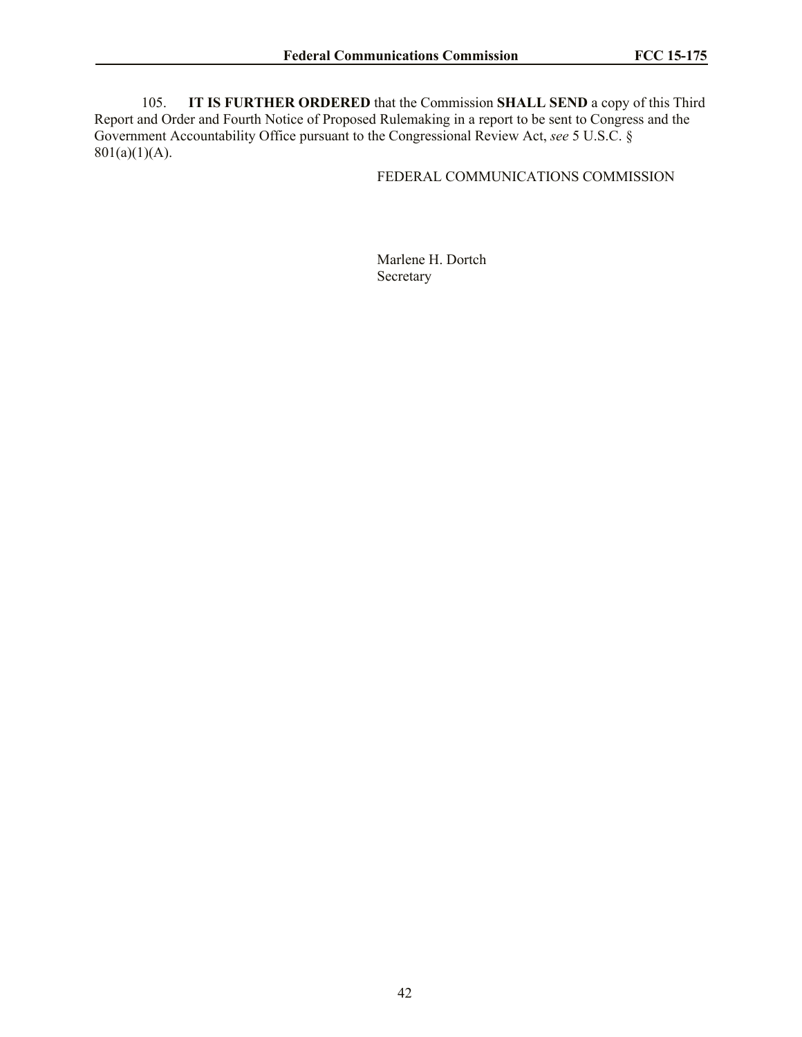105. **IT IS FURTHER ORDERED** that the Commission **SHALL SEND** a copy of this Third Report and Order and Fourth Notice of Proposed Rulemaking in a report to be sent to Congress and the Government Accountability Office pursuant to the Congressional Review Act, *see* 5 U.S.C. §  $801(a)(1)(A)$ .

### FEDERAL COMMUNICATIONS COMMISSION

Marlene H. Dortch Secretary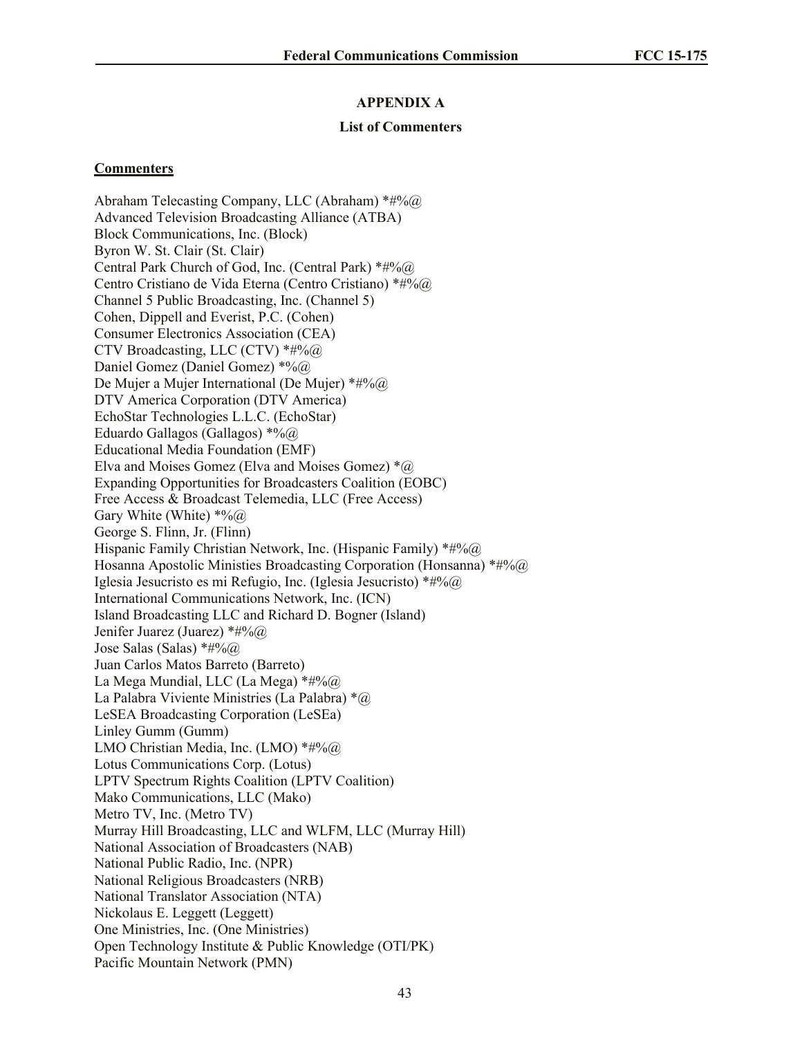#### **APPENDIX A**

#### **List of Commenters**

#### **Commenters**

Abraham Telecasting Company, LLC (Abraham) \*#%@ Advanced Television Broadcasting Alliance (ATBA) Block Communications, Inc. (Block) Byron W. St. Clair (St. Clair) Central Park Church of God, Inc. (Central Park)  $*#9/6@$ Centro Cristiano de Vida Eterna (Centro Cristiano) \*#%@ Channel 5 Public Broadcasting, Inc. (Channel 5) Cohen, Dippell and Everist, P.C. (Cohen) Consumer Electronics Association (CEA) CTV Broadcasting, LLC (CTV)  $*#%@@$ Daniel Gomez (Daniel Gomez) \*%@ De Mujer a Mujer International (De Mujer) \*#%@ DTV America Corporation (DTV America) EchoStar Technologies L.L.C. (EchoStar) Eduardo Gallagos (Gallagos)  $*%$ Educational Media Foundation (EMF) Elva and Moises Gomez (Elva and Moises Gomez)  $*$  (a) Expanding Opportunities for Broadcasters Coalition (EOBC) Free Access & Broadcast Telemedia, LLC (Free Access) Gary White (White)  $*%$   $\omega$ George S. Flinn, Jr. (Flinn) Hispanic Family Christian Network, Inc. (Hispanic Family) \*#%@ Hosanna Apostolic Ministies Broadcasting Corporation (Honsanna)  $*#%@@$ Iglesia Jesucristo es mi Refugio, Inc. (Iglesia Jesucristo) \*#% $@$ International Communications Network, Inc. (ICN) Island Broadcasting LLC and Richard D. Bogner (Island) Jenifer Juarez (Juarez) \*#%@ Jose Salas (Salas)  $*#%@@$ Juan Carlos Matos Barreto (Barreto) La Mega Mundial, LLC (La Mega)  $*#96@$ La Palabra Viviente Ministries (La Palabra) \*@ LeSEA Broadcasting Corporation (LeSEa) Linley Gumm (Gumm) LMO Christian Media, Inc. (LMO) \*#%@ Lotus Communications Corp. (Lotus) LPTV Spectrum Rights Coalition (LPTV Coalition) Mako Communications, LLC (Mako) Metro TV, Inc. (Metro TV) Murray Hill Broadcasting, LLC and WLFM, LLC (Murray Hill) National Association of Broadcasters (NAB) National Public Radio, Inc. (NPR) National Religious Broadcasters (NRB) National Translator Association (NTA) Nickolaus E. Leggett (Leggett) One Ministries, Inc. (One Ministries) Open Technology Institute & Public Knowledge (OTI/PK) Pacific Mountain Network (PMN)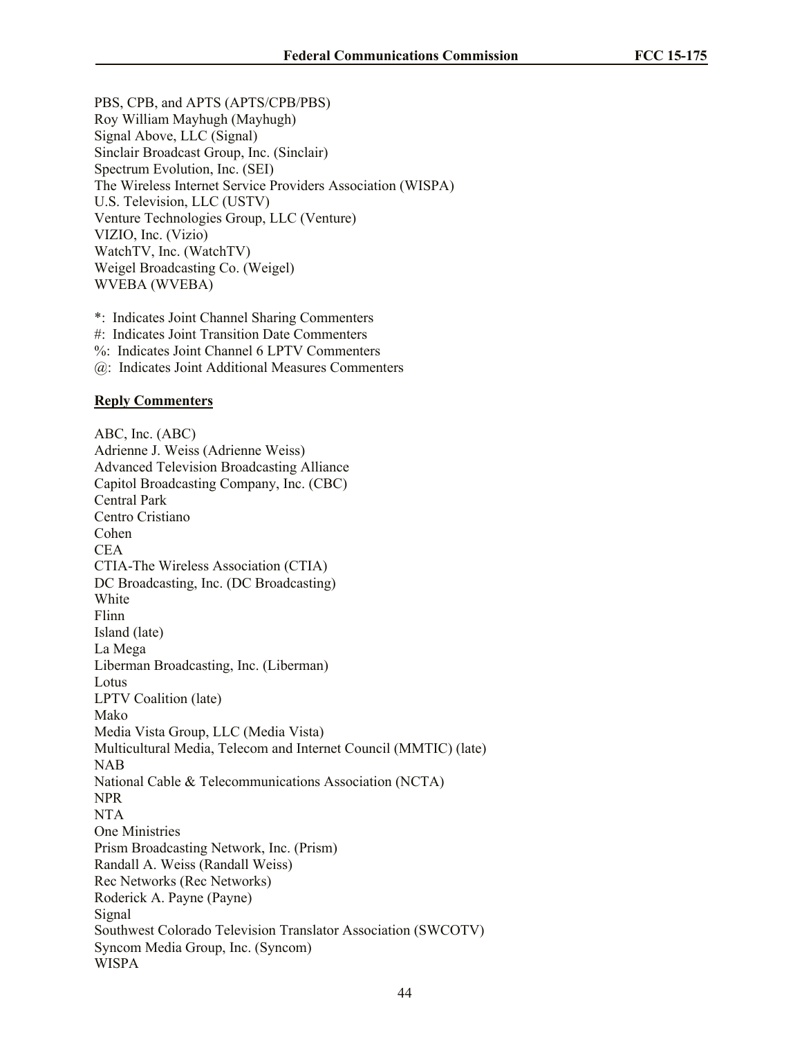PBS, CPB, and APTS (APTS/CPB/PBS) Roy William Mayhugh (Mayhugh) Signal Above, LLC (Signal) Sinclair Broadcast Group, Inc. (Sinclair) Spectrum Evolution, Inc. (SEI) The Wireless Internet Service Providers Association (WISPA) U.S. Television, LLC (USTV) Venture Technologies Group, LLC (Venture) VIZIO, Inc. (Vizio) WatchTV, Inc. (WatchTV) Weigel Broadcasting Co. (Weigel) WVEBA (WVEBA)

\*: Indicates Joint Channel Sharing Commenters #: Indicates Joint Transition Date Commenters %: Indicates Joint Channel 6 LPTV Commenters

@: Indicates Joint Additional Measures Commenters

#### **Reply Commenters**

ABC, Inc. (ABC) Adrienne J. Weiss (Adrienne Weiss) Advanced Television Broadcasting Alliance Capitol Broadcasting Company, Inc. (CBC) Central Park Centro Cristiano Cohen CEA CTIA-The Wireless Association (CTIA) DC Broadcasting, Inc. (DC Broadcasting) White Flinn Island (late) La Mega Liberman Broadcasting, Inc. (Liberman) Lotus LPTV Coalition (late) Mako Media Vista Group, LLC (Media Vista) Multicultural Media, Telecom and Internet Council (MMTIC) (late) NAB National Cable & Telecommunications Association (NCTA) NPR NTA One Ministries Prism Broadcasting Network, Inc. (Prism) Randall A. Weiss (Randall Weiss) Rec Networks (Rec Networks) Roderick A. Payne (Payne) Signal Southwest Colorado Television Translator Association (SWCOTV) Syncom Media Group, Inc. (Syncom) WISPA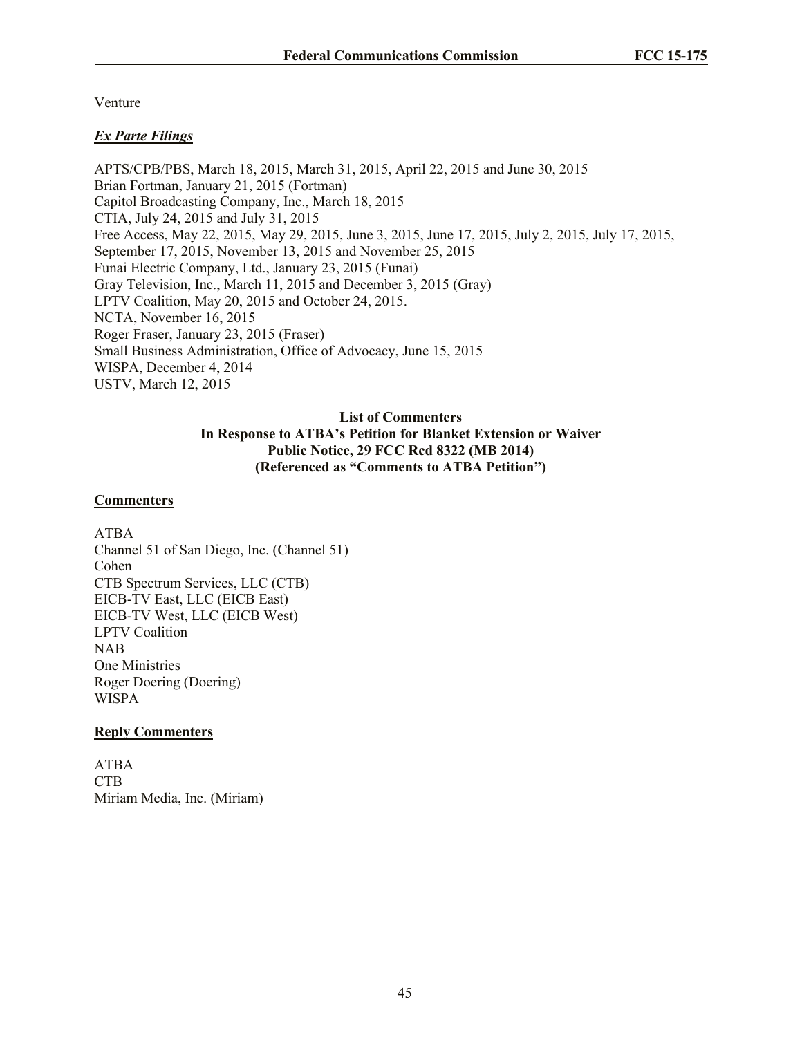Venture

# *Ex Parte Filings*

APTS/CPB/PBS, March 18, 2015, March 31, 2015, April 22, 2015 and June 30, 2015 Brian Fortman, January 21, 2015 (Fortman) Capitol Broadcasting Company, Inc., March 18, 2015 CTIA, July 24, 2015 and July 31, 2015 Free Access, May 22, 2015, May 29, 2015, June 3, 2015, June 17, 2015, July 2, 2015, July 17, 2015, September 17, 2015, November 13, 2015 and November 25, 2015 Funai Electric Company, Ltd., January 23, 2015 (Funai) Gray Television, Inc., March 11, 2015 and December 3, 2015 (Gray) LPTV Coalition, May 20, 2015 and October 24, 2015. NCTA, November 16, 2015 Roger Fraser, January 23, 2015 (Fraser) Small Business Administration, Office of Advocacy, June 15, 2015 WISPA, December 4, 2014 USTV, March 12, 2015

# **List of Commenters In Response to ATBA's Petition for Blanket Extension or Waiver Public Notice, 29 FCC Rcd 8322 (MB 2014) (Referenced as "Comments to ATBA Petition")**

# **Commenters**

ATBA Channel 51 of San Diego, Inc. (Channel 51) Cohen CTB Spectrum Services, LLC (CTB) EICB-TV East, LLC (EICB East) EICB-TV West, LLC (EICB West) LPTV Coalition NAB One Ministries Roger Doering (Doering) WISPA

# **Reply Commenters**

ATBA CTB Miriam Media, Inc. (Miriam)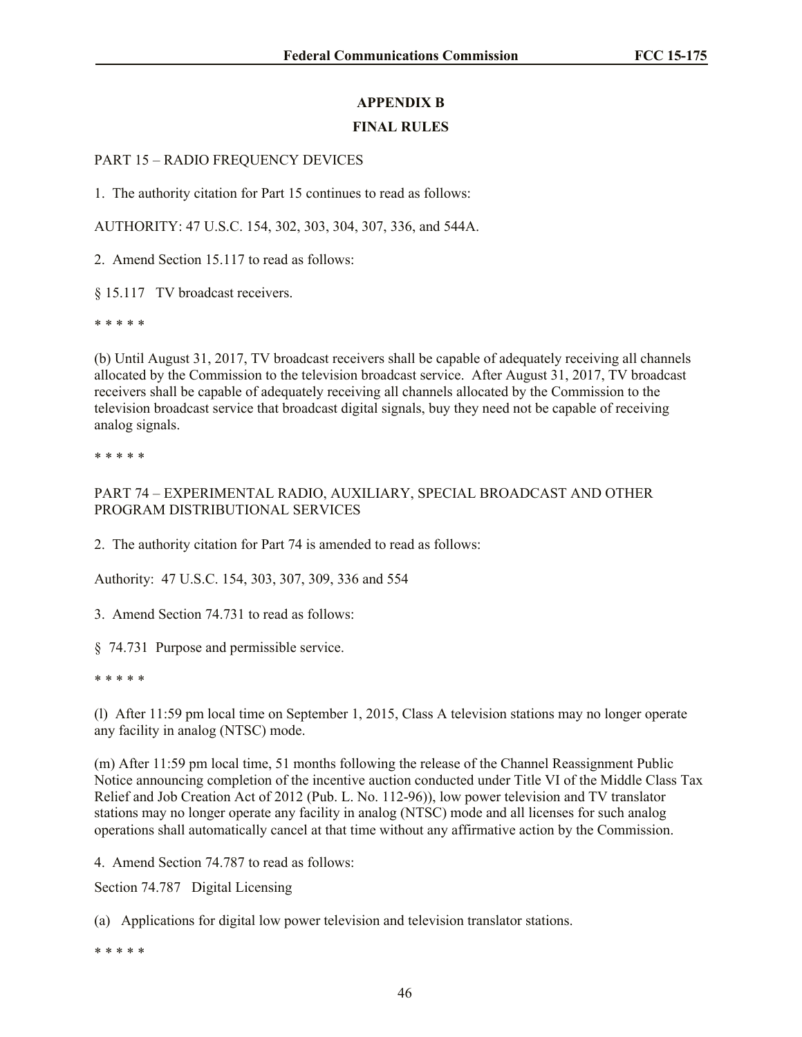# **APPENDIX B**

# **FINAL RULES**

# PART 15 – RADIO FREQUENCY DEVICES

1. The authority citation for Part 15 continues to read as follows:

AUTHORITY: 47 U.S.C. 154, 302, 303, 304, 307, 336, and 544A.

2. Amend Section 15.117 to read as follows:

§ 15.117 TV broadcast receivers.

\* \* \* \* \*

(b) Until August 31, 2017, TV broadcast receivers shall be capable of adequately receiving all channels allocated by the Commission to the television broadcast service. After August 31, 2017, TV broadcast receivers shall be capable of adequately receiving all channels allocated by the Commission to the television broadcast service that broadcast digital signals, buy they need not be capable of receiving analog signals.

\* \* \* \* \*

# PART 74 – EXPERIMENTAL RADIO, AUXILIARY, SPECIAL BROADCAST AND OTHER PROGRAM DISTRIBUTIONAL SERVICES

2. The authority citation for Part 74 is amended to read as follows:

Authority: 47 U.S.C. 154, 303, 307, 309, 336 and 554

3. Amend Section 74.731 to read as follows:

§ 74.731 Purpose and permissible service.

\* \* \* \* \*

(l) After 11:59 pm local time on September 1, 2015, Class A television stations may no longer operate any facility in analog (NTSC) mode.

(m) After 11:59 pm local time, 51 months following the release of the Channel Reassignment Public Notice announcing completion of the incentive auction conducted under Title VI of the Middle Class Tax Relief and Job Creation Act of 2012 (Pub. L. No. 112-96)), low power television and TV translator stations may no longer operate any facility in analog (NTSC) mode and all licenses for such analog operations shall automatically cancel at that time without any affirmative action by the Commission.

4. Amend Section 74.787 to read as follows:

Section 74.787 Digital Licensing

(a) Applications for digital low power television and television translator stations.

\* \* \* \* \*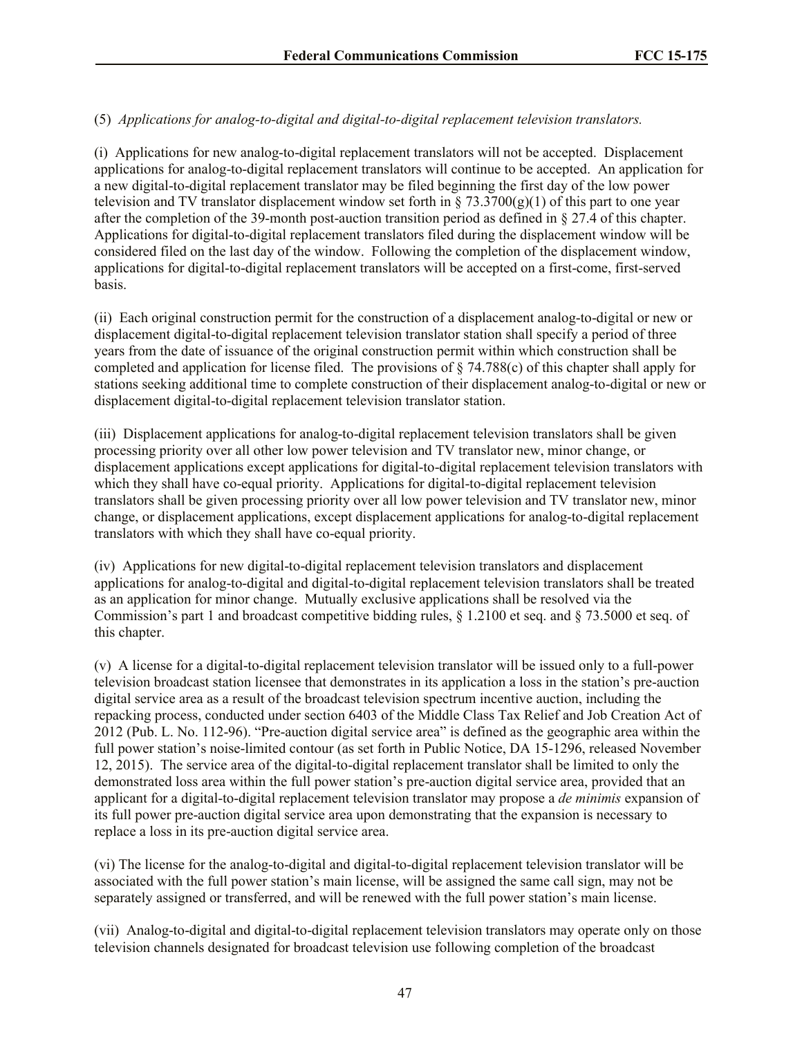# (5) *Applications for analog-to-digital and digital-to-digital replacement television translators.*

(i) Applications for new analog-to-digital replacement translators will not be accepted. Displacement applications for analog-to-digital replacement translators will continue to be accepted. An application for a new digital-to-digital replacement translator may be filed beginning the first day of the low power television and TV translator displacement window set forth in  $\S$  73.3700(g)(1) of this part to one year after the completion of the 39-month post-auction transition period as defined in § 27.4 of this chapter. Applications for digital-to-digital replacement translators filed during the displacement window will be considered filed on the last day of the window. Following the completion of the displacement window, applications for digital-to-digital replacement translators will be accepted on a first-come, first-served basis.

(ii) Each original construction permit for the construction of a displacement analog-to-digital or new or displacement digital-to-digital replacement television translator station shall specify a period of three years from the date of issuance of the original construction permit within which construction shall be completed and application for license filed. The provisions of § 74.788(c) of this chapter shall apply for stations seeking additional time to complete construction of their displacement analog-to-digital or new or displacement digital-to-digital replacement television translator station.

(iii) Displacement applications for analog-to-digital replacement television translators shall be given processing priority over all other low power television and TV translator new, minor change, or displacement applications except applications for digital-to-digital replacement television translators with which they shall have co-equal priority. Applications for digital-to-digital replacement television translators shall be given processing priority over all low power television and TV translator new, minor change, or displacement applications, except displacement applications for analog-to-digital replacement translators with which they shall have co-equal priority.

(iv) Applications for new digital-to-digital replacement television translators and displacement applications for analog-to-digital and digital-to-digital replacement television translators shall be treated as an application for minor change. Mutually exclusive applications shall be resolved via the Commission's part 1 and broadcast competitive bidding rules, § 1.2100 et seq. and § 73.5000 et seq. of this chapter.

(v) A license for a digital-to-digital replacement television translator will be issued only to a full-power television broadcast station licensee that demonstrates in its application a loss in the station's pre-auction digital service area as a result of the broadcast television spectrum incentive auction, including the repacking process, conducted under section 6403 of the Middle Class Tax Relief and Job Creation Act of 2012 (Pub. L. No. 112-96). "Pre-auction digital service area" is defined as the geographic area within the full power station's noise-limited contour (as set forth in Public Notice, DA 15-1296, released November 12, 2015). The service area of the digital-to-digital replacement translator shall be limited to only the demonstrated loss area within the full power station's pre-auction digital service area, provided that an applicant for a digital-to-digital replacement television translator may propose a *de minimis* expansion of its full power pre-auction digital service area upon demonstrating that the expansion is necessary to replace a loss in its pre-auction digital service area.

(vi) The license for the analog-to-digital and digital-to-digital replacement television translator will be associated with the full power station's main license, will be assigned the same call sign, may not be separately assigned or transferred, and will be renewed with the full power station's main license.

(vii) Analog-to-digital and digital-to-digital replacement television translators may operate only on those television channels designated for broadcast television use following completion of the broadcast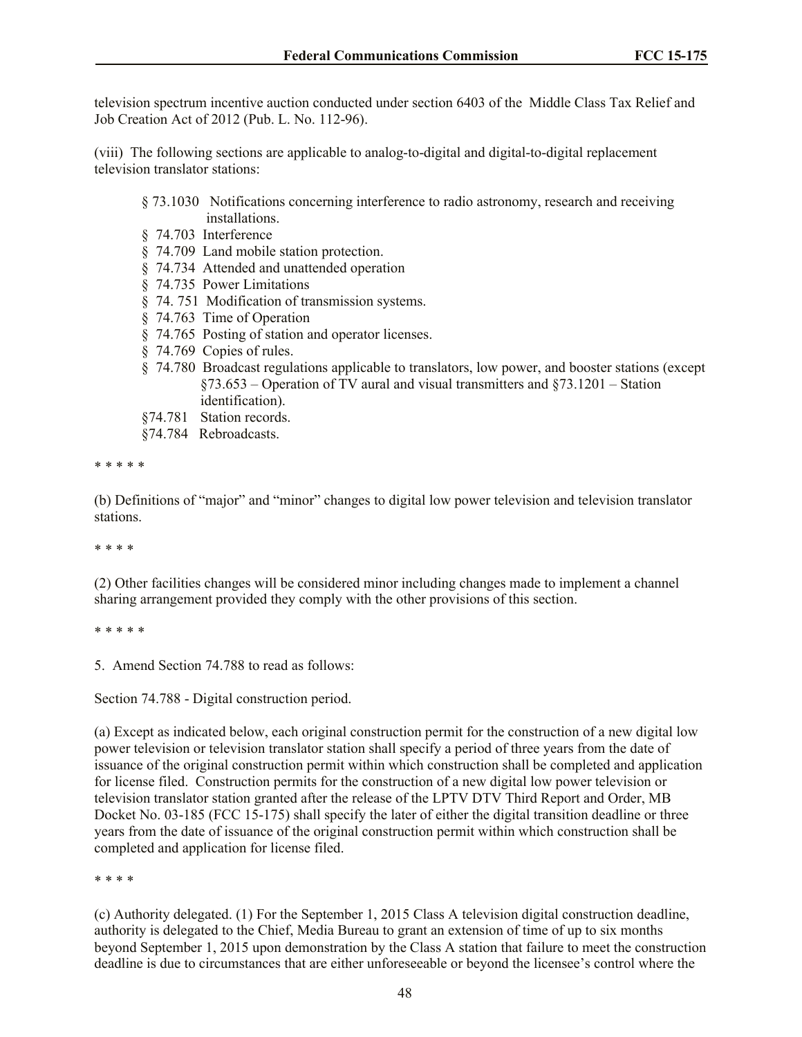television spectrum incentive auction conducted under section 6403 of the Middle Class Tax Relief and Job Creation Act of 2012 (Pub. L. No. 112-96).

(viii) The following sections are applicable to analog-to-digital and digital-to-digital replacement television translator stations:

# § 73.1030 Notifications concerning interference to radio astronomy, research and receiving installations.

- § 74.703 Interference
- § 74.709 Land mobile station protection.
- § 74.734 Attended and unattended operation
- § 74.735 Power Limitations
- § 74. 751 Modification of transmission systems.
- § 74.763 Time of Operation
- § 74.765 Posting of station and operator licenses.
- § 74.769 Copies of rules.
- § 74.780 Broadcast regulations applicable to translators, low power, and booster stations (except §73.653 – Operation of TV aural and visual transmitters and §73.1201 – Station identification).
- §74.781 Station records.
- §74.784 Rebroadcasts.

\* \* \* \* \*

(b) Definitions of "major" and "minor" changes to digital low power television and television translator stations.

\* \* \* \*

(2) Other facilities changes will be considered minor including changes made to implement a channel sharing arrangement provided they comply with the other provisions of this section.

\* \* \* \* \*

5. Amend Section 74.788 to read as follows:

Section 74.788 - Digital construction period.

(a) Except as indicated below, each original construction permit for the construction of a new digital low power television or television translator station shall specify a period of three years from the date of issuance of the original construction permit within which construction shall be completed and application for license filed. Construction permits for the construction of a new digital low power television or television translator station granted after the release of the LPTV DTV Third Report and Order, MB Docket No. 03-185 (FCC 15-175) shall specify the later of either the digital transition deadline or three years from the date of issuance of the original construction permit within which construction shall be completed and application for license filed.

\* \* \* \*

(c) Authority delegated. (1) For the September 1, 2015 Class A television digital construction deadline, authority is delegated to the Chief, Media Bureau to grant an extension of time of up to six months beyond September 1, 2015 upon demonstration by the Class A station that failure to meet the construction deadline is due to circumstances that are either unforeseeable or beyond the licensee's control where the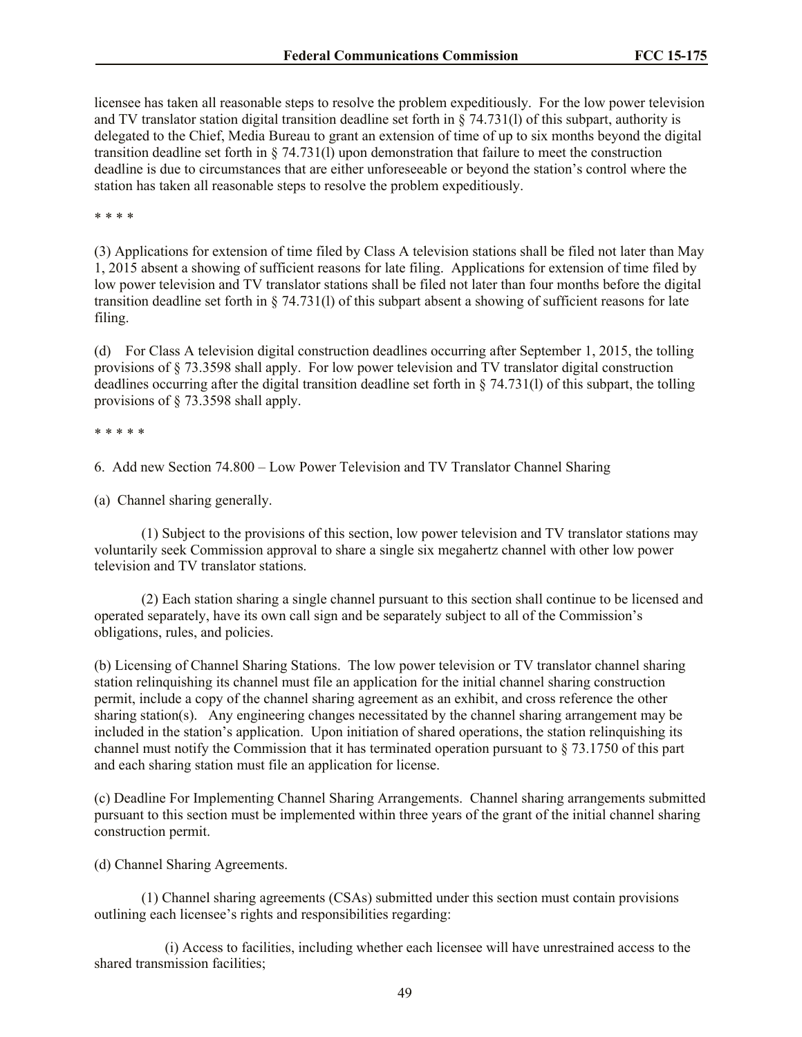licensee has taken all reasonable steps to resolve the problem expeditiously. For the low power television and TV translator station digital transition deadline set forth in § 74.731(l) of this subpart, authority is delegated to the Chief, Media Bureau to grant an extension of time of up to six months beyond the digital transition deadline set forth in § 74.731(l) upon demonstration that failure to meet the construction deadline is due to circumstances that are either unforeseeable or beyond the station's control where the station has taken all reasonable steps to resolve the problem expeditiously.

\* \* \* \*

(3) Applications for extension of time filed by Class A television stations shall be filed not later than May 1, 2015 absent a showing of sufficient reasons for late filing. Applications for extension of time filed by low power television and TV translator stations shall be filed not later than four months before the digital transition deadline set forth in § 74.731(l) of this subpart absent a showing of sufficient reasons for late filing.

(d) For Class A television digital construction deadlines occurring after September 1, 2015, the tolling provisions of § 73.3598 shall apply. For low power television and TV translator digital construction deadlines occurring after the digital transition deadline set forth in § 74.731(l) of this subpart, the tolling provisions of § 73.3598 shall apply.

\* \* \* \* \*

6. Add new Section 74.800 – Low Power Television and TV Translator Channel Sharing

(a) Channel sharing generally.

(1) Subject to the provisions of this section, low power television and TV translator stations may voluntarily seek Commission approval to share a single six megahertz channel with other low power television and TV translator stations.

(2) Each station sharing a single channel pursuant to this section shall continue to be licensed and operated separately, have its own call sign and be separately subject to all of the Commission's obligations, rules, and policies.

(b) Licensing of Channel Sharing Stations. The low power television or TV translator channel sharing station relinquishing its channel must file an application for the initial channel sharing construction permit, include a copy of the channel sharing agreement as an exhibit, and cross reference the other sharing station(s). Any engineering changes necessitated by the channel sharing arrangement may be included in the station's application. Upon initiation of shared operations, the station relinquishing its channel must notify the Commission that it has terminated operation pursuant to § 73.1750 of this part and each sharing station must file an application for license.

(c) Deadline For Implementing Channel Sharing Arrangements. Channel sharing arrangements submitted pursuant to this section must be implemented within three years of the grant of the initial channel sharing construction permit.

(d) Channel Sharing Agreements.

(1) Channel sharing agreements (CSAs) submitted under this section must contain provisions outlining each licensee's rights and responsibilities regarding:

(i) Access to facilities, including whether each licensee will have unrestrained access to the shared transmission facilities;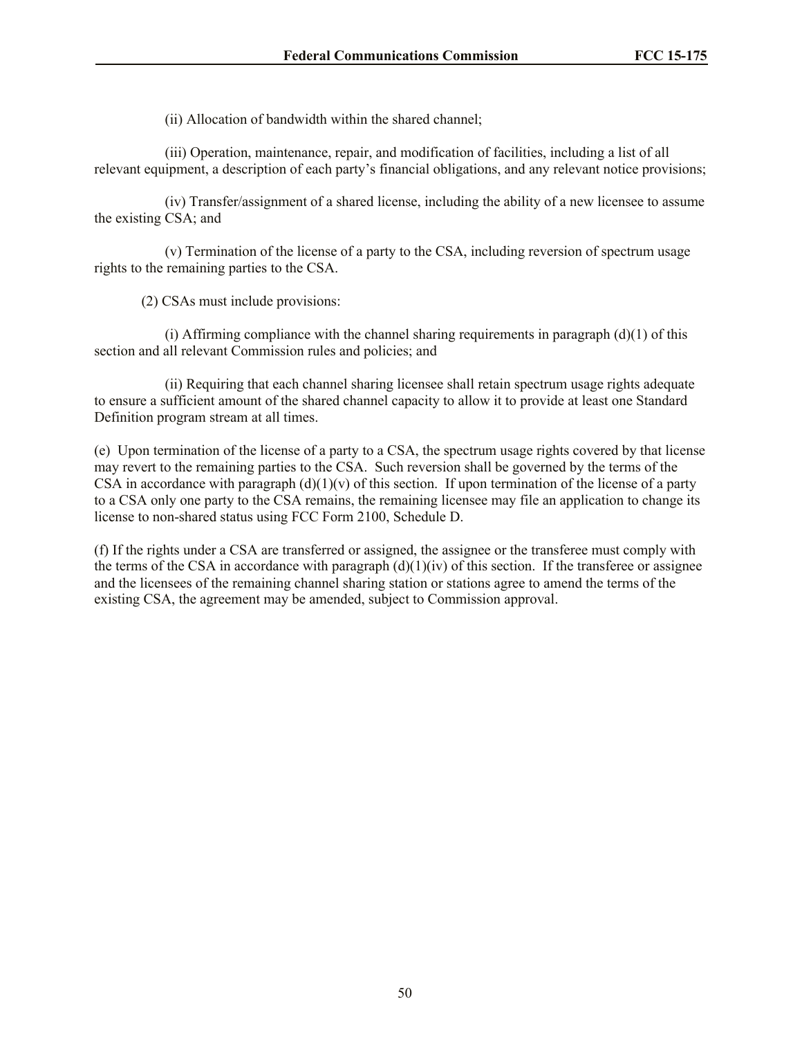(ii) Allocation of bandwidth within the shared channel;

(iii) Operation, maintenance, repair, and modification of facilities, including a list of all relevant equipment, a description of each party's financial obligations, and any relevant notice provisions;

(iv) Transfer/assignment of a shared license, including the ability of a new licensee to assume the existing CSA; and

(v) Termination of the license of a party to the CSA, including reversion of spectrum usage rights to the remaining parties to the CSA.

(2) CSAs must include provisions:

(i) Affirming compliance with the channel sharing requirements in paragraph  $(d)(1)$  of this section and all relevant Commission rules and policies; and

(ii) Requiring that each channel sharing licensee shall retain spectrum usage rights adequate to ensure a sufficient amount of the shared channel capacity to allow it to provide at least one Standard Definition program stream at all times.

(e) Upon termination of the license of a party to a CSA, the spectrum usage rights covered by that license may revert to the remaining parties to the CSA. Such reversion shall be governed by the terms of the CSA in accordance with paragraph  $(d)(1)(v)$  of this section. If upon termination of the license of a party to a CSA only one party to the CSA remains, the remaining licensee may file an application to change its license to non-shared status using FCC Form 2100, Schedule D.

(f) If the rights under a CSA are transferred or assigned, the assignee or the transferee must comply with the terms of the CSA in accordance with paragraph  $(d)(1)(iv)$  of this section. If the transferee or assignee and the licensees of the remaining channel sharing station or stations agree to amend the terms of the existing CSA, the agreement may be amended, subject to Commission approval.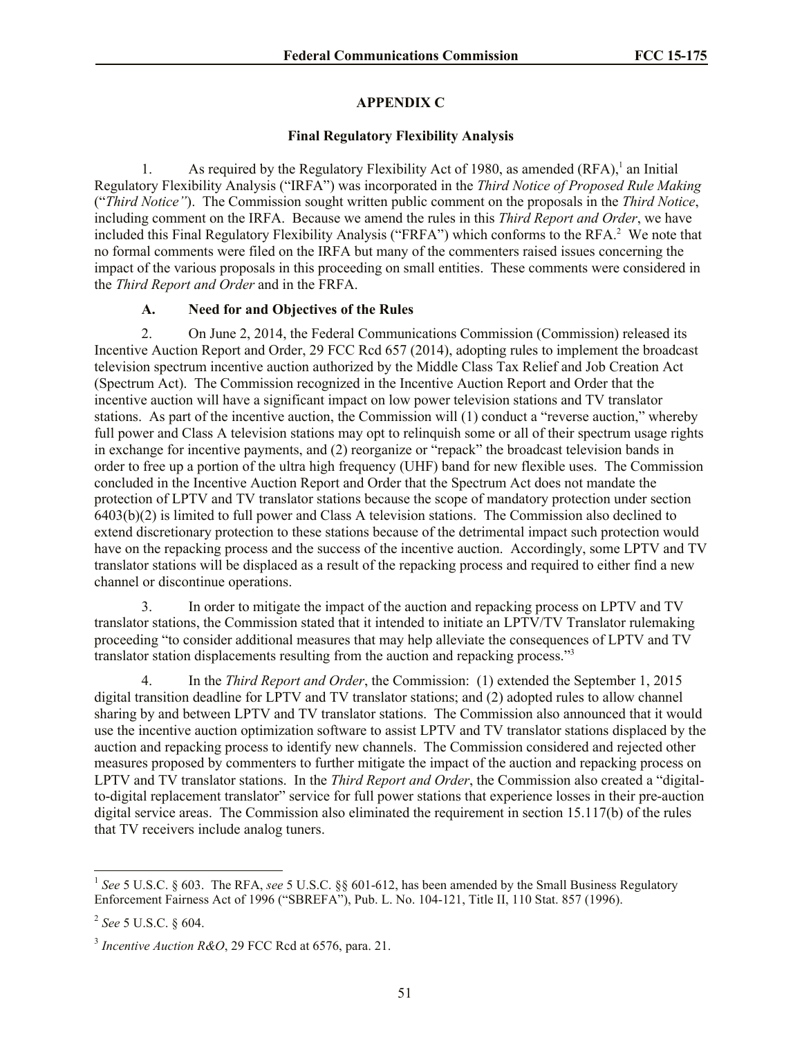## **APPENDIX C**

### **Final Regulatory Flexibility Analysis**

1. As required by the Regulatory Flexibility Act of 1980, as amended  $(RFA)$ ,<sup>1</sup> an Initial Regulatory Flexibility Analysis ("IRFA") was incorporated in the *Third Notice of Proposed Rule Making* ("*Third Notice"*). The Commission sought written public comment on the proposals in the *Third Notice*, including comment on the IRFA. Because we amend the rules in this *Third Report and Order*, we have included this Final Regulatory Flexibility Analysis ("FRFA") which conforms to the RFA.<sup>2</sup> We note that no formal comments were filed on the IRFA but many of the commenters raised issues concerning the impact of the various proposals in this proceeding on small entities. These comments were considered in the *Third Report and Order* and in the FRFA.

# **A. Need for and Objectives of the Rules**

2. On June 2, 2014, the Federal Communications Commission (Commission) released its Incentive Auction Report and Order, 29 FCC Rcd 657 (2014), adopting rules to implement the broadcast television spectrum incentive auction authorized by the Middle Class Tax Relief and Job Creation Act (Spectrum Act). The Commission recognized in the Incentive Auction Report and Order that the incentive auction will have a significant impact on low power television stations and TV translator stations. As part of the incentive auction, the Commission will (1) conduct a "reverse auction," whereby full power and Class A television stations may opt to relinquish some or all of their spectrum usage rights in exchange for incentive payments, and (2) reorganize or "repack" the broadcast television bands in order to free up a portion of the ultra high frequency (UHF) band for new flexible uses. The Commission concluded in the Incentive Auction Report and Order that the Spectrum Act does not mandate the protection of LPTV and TV translator stations because the scope of mandatory protection under section 6403(b)(2) is limited to full power and Class A television stations. The Commission also declined to extend discretionary protection to these stations because of the detrimental impact such protection would have on the repacking process and the success of the incentive auction. Accordingly, some LPTV and TV translator stations will be displaced as a result of the repacking process and required to either find a new channel or discontinue operations.

3. In order to mitigate the impact of the auction and repacking process on LPTV and TV translator stations, the Commission stated that it intended to initiate an LPTV/TV Translator rulemaking proceeding "to consider additional measures that may help alleviate the consequences of LPTV and TV translator station displacements resulting from the auction and repacking process."<sup>3</sup>

4. In the *Third Report and Order*, the Commission: (1) extended the September 1, 2015 digital transition deadline for LPTV and TV translator stations; and (2) adopted rules to allow channel sharing by and between LPTV and TV translator stations. The Commission also announced that it would use the incentive auction optimization software to assist LPTV and TV translator stations displaced by the auction and repacking process to identify new channels. The Commission considered and rejected other measures proposed by commenters to further mitigate the impact of the auction and repacking process on LPTV and TV translator stations. In the *Third Report and Order*, the Commission also created a "digitalto-digital replacement translator" service for full power stations that experience losses in their pre-auction digital service areas. The Commission also eliminated the requirement in section 15.117(b) of the rules that TV receivers include analog tuners.

l

<sup>&</sup>lt;sup>1</sup> See 5 U.S.C. § 603. The RFA, see 5 U.S.C. §§ 601-612, has been amended by the Small Business Regulatory Enforcement Fairness Act of 1996 ("SBREFA"), Pub. L. No. 104-121, Title II, 110 Stat. 857 (1996).

<sup>2</sup> *See* 5 U.S.C. § 604.

<sup>3</sup> *Incentive Auction R&O*, 29 FCC Rcd at 6576, para. 21.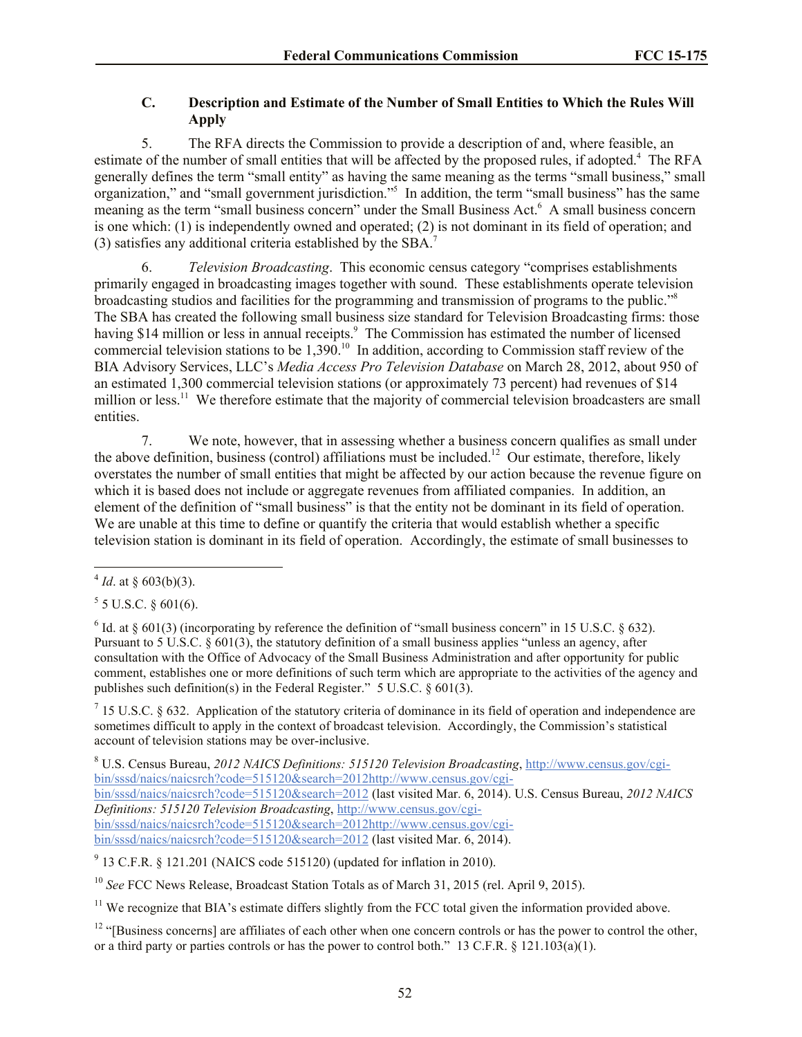# **C. Description and Estimate of the Number of Small Entities to Which the Rules Will Apply**

5. The RFA directs the Commission to provide a description of and, where feasible, an estimate of the number of small entities that will be affected by the proposed rules, if adopted.<sup>4</sup> The RFA generally defines the term "small entity" as having the same meaning as the terms "small business," small organization," and "small government jurisdiction."<sup>5</sup> In addition, the term "small business" has the same meaning as the term "small business concern" under the Small Business Act.<sup>6</sup> A small business concern is one which: (1) is independently owned and operated; (2) is not dominant in its field of operation; and (3) satisfies any additional criteria established by the SBA.<sup>7</sup>

6. *Television Broadcasting*. This economic census category "comprises establishments primarily engaged in broadcasting images together with sound. These establishments operate television broadcasting studios and facilities for the programming and transmission of programs to the public."<sup>8</sup> The SBA has created the following small business size standard for Television Broadcasting firms: those having \$14 million or less in annual receipts.<sup>9</sup> The Commission has estimated the number of licensed commercial television stations to be 1,390.<sup>10</sup> In addition, according to Commission staff review of the BIA Advisory Services, LLC's *Media Access Pro Television Database* on March 28, 2012, about 950 of an estimated 1,300 commercial television stations (or approximately 73 percent) had revenues of \$14 million or less.<sup>11</sup> We therefore estimate that the majority of commercial television broadcasters are small entities.

7. We note, however, that in assessing whether a business concern qualifies as small under the above definition, business (control) affiliations must be included.<sup>12</sup> Our estimate, therefore, likely overstates the number of small entities that might be affected by our action because the revenue figure on which it is based does not include or aggregate revenues from affiliated companies. In addition, an element of the definition of "small business" is that the entity not be dominant in its field of operation. We are unable at this time to define or quantify the criteria that would establish whether a specific television station is dominant in its field of operation. Accordingly, the estimate of small businesses to

l

<sup>6</sup> Id. at  $\S$  601(3) (incorporating by reference the definition of "small business concern" in 15 U.S.C.  $\S$  632). Pursuant to 5 U.S.C. § 601(3), the statutory definition of a small business applies "unless an agency, after consultation with the Office of Advocacy of the Small Business Administration and after opportunity for public comment, establishes one or more definitions of such term which are appropriate to the activities of the agency and publishes such definition(s) in the Federal Register." 5 U.S.C. § 601(3).

 $<sup>7</sup>$  15 U.S.C. § 632. Application of the statutory criteria of dominance in its field of operation and independence are</sup> sometimes difficult to apply in the context of broadcast television. Accordingly, the Commission's statistical account of television stations may be over-inclusive.

<sup>8</sup> U.S. Census Bureau, *2012 NAICS Definitions: 515120 Television Broadcasting*, http://www.census.gov/cgibin/sssd/naics/naicsrch?code=515120&search=2012http://www.census.gov/cgibin/sssd/naics/naicsrch?code=515120&search=2012 (last visited Mar. 6, 2014). U.S. Census Bureau, *2012 NAICS Definitions: 515120 Television Broadcasting*, http://www.census.gov/cgibin/sssd/naics/naicsrch?code=515120&search=2012http://www.census.gov/cgibin/sssd/naics/naicsrch?code=515120&search=2012 (last visited Mar. 6, 2014).

 $9$  13 C.F.R. § 121.201 (NAICS code 515120) (updated for inflation in 2010).

<sup>10</sup> See FCC News Release, Broadcast Station Totals as of March 31, 2015 (rel. April 9, 2015).

<sup>11</sup> We recognize that BIA's estimate differs slightly from the FCC total given the information provided above.

 $12$  "[Business concerns] are affiliates of each other when one concern controls or has the power to control the other, or a third party or parties controls or has the power to control both." 13 C.F.R. § 121.103(a)(1).

 $4$  *Id.* at § 603(b)(3).

 $5$  5 U.S.C. § 601(6).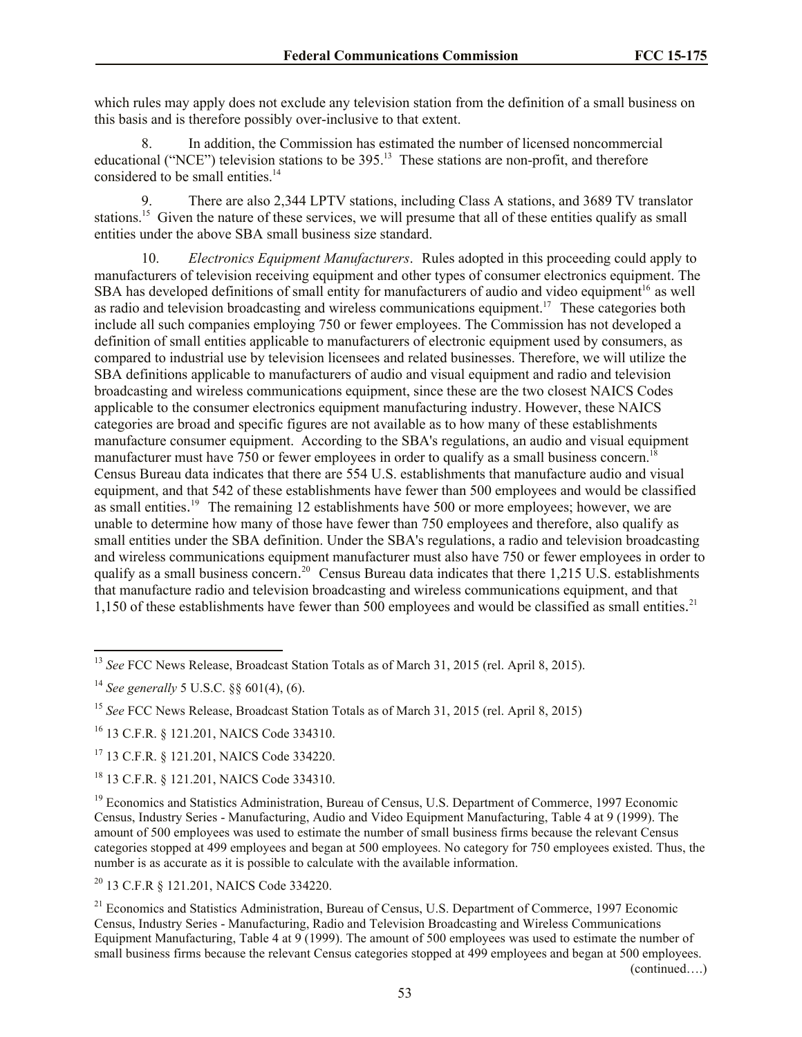which rules may apply does not exclude any television station from the definition of a small business on this basis and is therefore possibly over-inclusive to that extent.

8. In addition, the Commission has estimated the number of licensed noncommercial educational ("NCE") television stations to be 395.<sup>13</sup> These stations are non-profit, and therefore considered to be small entities. $14$ 

9. There are also 2,344 LPTV stations, including Class A stations, and 3689 TV translator stations.<sup>15</sup> Given the nature of these services, we will presume that all of these entities qualify as small entities under the above SBA small business size standard.

10. *Electronics Equipment Manufacturers*. Rules adopted in this proceeding could apply to manufacturers of television receiving equipment and other types of consumer electronics equipment. The SBA has developed definitions of small entity for manufacturers of audio and video equipment<sup>16</sup> as well as radio and television broadcasting and wireless communications equipment.<sup>17</sup> These categories both include all such companies employing 750 or fewer employees. The Commission has not developed a definition of small entities applicable to manufacturers of electronic equipment used by consumers, as compared to industrial use by television licensees and related businesses. Therefore, we will utilize the SBA definitions applicable to manufacturers of audio and visual equipment and radio and television broadcasting and wireless communications equipment, since these are the two closest NAICS Codes applicable to the consumer electronics equipment manufacturing industry. However, these NAICS categories are broad and specific figures are not available as to how many of these establishments manufacture consumer equipment. According to the SBA's regulations, an audio and visual equipment manufacturer must have 750 or fewer employees in order to qualify as a small business concern.<sup>1</sup> Census Bureau data indicates that there are 554 U.S. establishments that manufacture audio and visual equipment, and that 542 of these establishments have fewer than 500 employees and would be classified as small entities.<sup>19</sup> The remaining 12 establishments have 500 or more employees; however, we are unable to determine how many of those have fewer than 750 employees and therefore, also qualify as small entities under the SBA definition. Under the SBA's regulations, a radio and television broadcasting and wireless communications equipment manufacturer must also have 750 or fewer employees in order to qualify as a small business concern.<sup>20</sup> Census Bureau data indicates that there 1,215 U.S. establishments that manufacture radio and television broadcasting and wireless communications equipment, and that 1,150 of these establishments have fewer than 500 employees and would be classified as small entities. 21

l

<sup>17</sup> 13 C.F.R. § 121.201, NAICS Code 334220.

<sup>18</sup> 13 C.F.R. § 121.201, NAICS Code 334310.

<sup>19</sup> Economics and Statistics Administration, Bureau of Census, U.S. Department of Commerce, 1997 Economic Census, Industry Series - Manufacturing, Audio and Video Equipment Manufacturing, Table 4 at 9 (1999). The amount of 500 employees was used to estimate the number of small business firms because the relevant Census categories stopped at 499 employees and began at 500 employees. No category for 750 employees existed. Thus, the number is as accurate as it is possible to calculate with the available information.

<sup>20</sup> 13 C.F.R § 121.201, NAICS Code 334220.

<sup>21</sup> Economics and Statistics Administration, Bureau of Census, U.S. Department of Commerce, 1997 Economic Census, Industry Series - Manufacturing, Radio and Television Broadcasting and Wireless Communications Equipment Manufacturing, Table 4 at 9 (1999). The amount of 500 employees was used to estimate the number of small business firms because the relevant Census categories stopped at 499 employees and began at 500 employees.

(continued….)

<sup>&</sup>lt;sup>13</sup> See FCC News Release, Broadcast Station Totals as of March 31, 2015 (rel. April 8, 2015).

<sup>14</sup> *See generally* 5 U.S.C. §§ 601(4), (6).

<sup>15</sup> *See* FCC News Release, Broadcast Station Totals as of March 31, 2015 (rel. April 8, 2015)

<sup>16</sup> 13 C.F.R. § 121.201, NAICS Code 334310.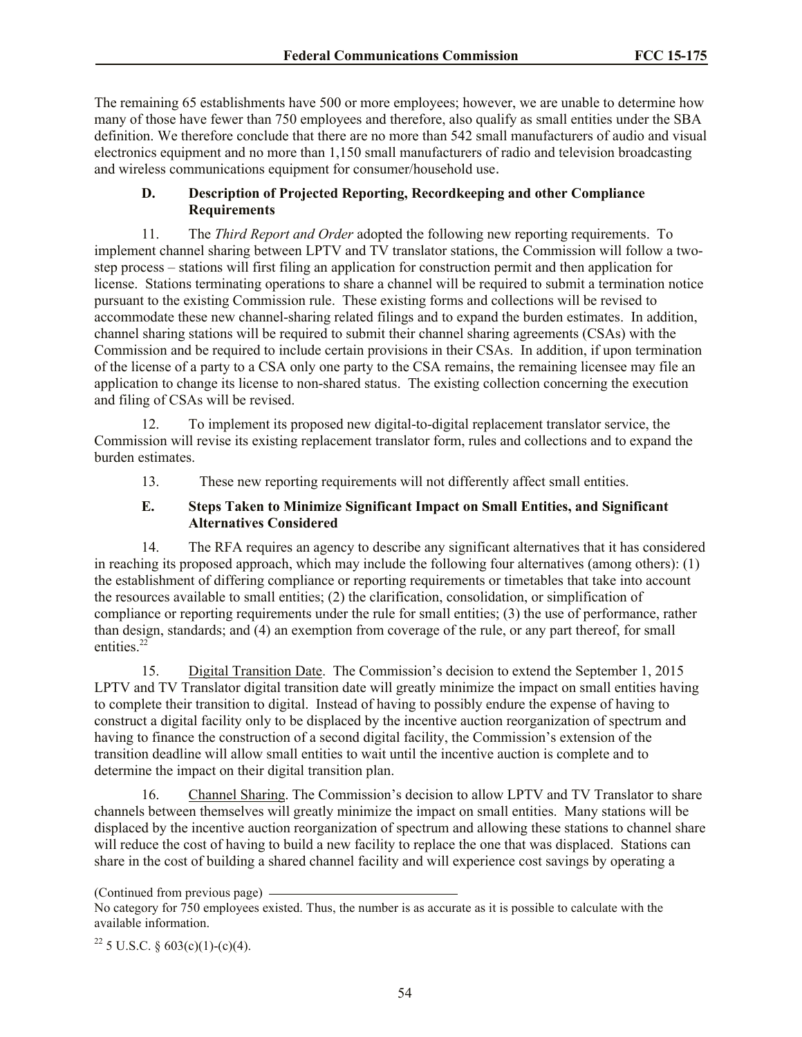The remaining 65 establishments have 500 or more employees; however, we are unable to determine how many of those have fewer than 750 employees and therefore, also qualify as small entities under the SBA definition. We therefore conclude that there are no more than 542 small manufacturers of audio and visual electronics equipment and no more than 1,150 small manufacturers of radio and television broadcasting and wireless communications equipment for consumer/household use.

## **D. Description of Projected Reporting, Recordkeeping and other Compliance Requirements**

11. The *Third Report and Order* adopted the following new reporting requirements. To implement channel sharing between LPTV and TV translator stations, the Commission will follow a twostep process – stations will first filing an application for construction permit and then application for license. Stations terminating operations to share a channel will be required to submit a termination notice pursuant to the existing Commission rule. These existing forms and collections will be revised to accommodate these new channel-sharing related filings and to expand the burden estimates. In addition, channel sharing stations will be required to submit their channel sharing agreements (CSAs) with the Commission and be required to include certain provisions in their CSAs. In addition, if upon termination of the license of a party to a CSA only one party to the CSA remains, the remaining licensee may file an application to change its license to non-shared status. The existing collection concerning the execution and filing of CSAs will be revised.

12. To implement its proposed new digital-to-digital replacement translator service, the Commission will revise its existing replacement translator form, rules and collections and to expand the burden estimates.

13. These new reporting requirements will not differently affect small entities.

### **E. Steps Taken to Minimize Significant Impact on Small Entities, and Significant Alternatives Considered**

14. The RFA requires an agency to describe any significant alternatives that it has considered in reaching its proposed approach, which may include the following four alternatives (among others): (1) the establishment of differing compliance or reporting requirements or timetables that take into account the resources available to small entities; (2) the clarification, consolidation, or simplification of compliance or reporting requirements under the rule for small entities; (3) the use of performance, rather than design, standards; and (4) an exemption from coverage of the rule, or any part thereof, for small entities.<sup>22</sup>

15. Digital Transition Date. The Commission's decision to extend the September 1, 2015 LPTV and TV Translator digital transition date will greatly minimize the impact on small entities having to complete their transition to digital. Instead of having to possibly endure the expense of having to construct a digital facility only to be displaced by the incentive auction reorganization of spectrum and having to finance the construction of a second digital facility, the Commission's extension of the transition deadline will allow small entities to wait until the incentive auction is complete and to determine the impact on their digital transition plan.

16. Channel Sharing. The Commission's decision to allow LPTV and TV Translator to share channels between themselves will greatly minimize the impact on small entities. Many stations will be displaced by the incentive auction reorganization of spectrum and allowing these stations to channel share will reduce the cost of having to build a new facility to replace the one that was displaced. Stations can share in the cost of building a shared channel facility and will experience cost savings by operating a

<sup>(</sup>Continued from previous page)

No category for 750 employees existed. Thus, the number is as accurate as it is possible to calculate with the available information.

<sup>&</sup>lt;sup>22</sup> 5 U.S.C. § 603(c)(1)-(c)(4).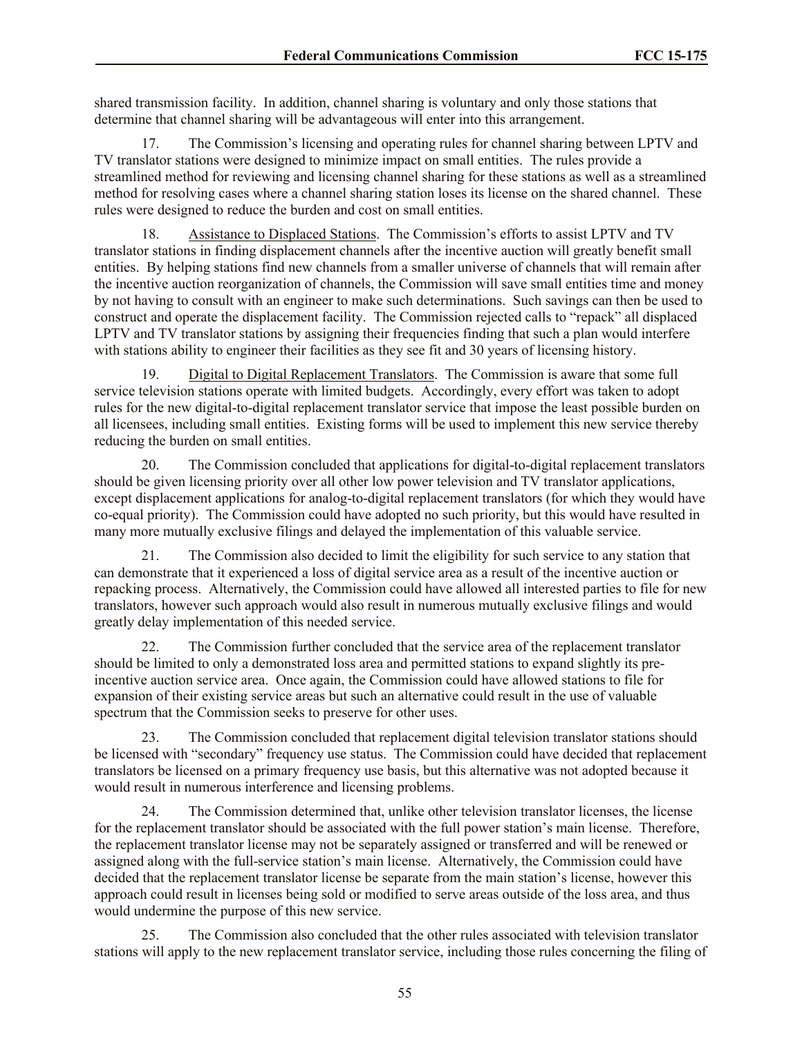shared transmission facility. In addition, channel sharing is voluntary and only those stations that determine that channel sharing will be advantageous will enter into this arrangement.

17. The Commission's licensing and operating rules for channel sharing between LPTV and TV translator stations were designed to minimize impact on small entities. The rules provide a streamlined method for reviewing and licensing channel sharing for these stations as well as a streamlined method for resolving cases where a channel sharing station loses its license on the shared channel. These rules were designed to reduce the burden and cost on small entities.

18. Assistance to Displaced Stations. The Commission's efforts to assist LPTV and TV translator stations in finding displacement channels after the incentive auction will greatly benefit small entities. By helping stations find new channels from a smaller universe of channels that will remain after the incentive auction reorganization of channels, the Commission will save small entities time and money by not having to consult with an engineer to make such determinations. Such savings can then be used to construct and operate the displacement facility. The Commission rejected calls to "repack" all displaced LPTV and TV translator stations by assigning their frequencies finding that such a plan would interfere with stations ability to engineer their facilities as they see fit and 30 years of licensing history.

19. Digital to Digital Replacement Translators. The Commission is aware that some full service television stations operate with limited budgets. Accordingly, every effort was taken to adopt rules for the new digital-to-digital replacement translator service that impose the least possible burden on all licensees, including small entities. Existing forms will be used to implement this new service thereby reducing the burden on small entities.

20. The Commission concluded that applications for digital-to-digital replacement translators should be given licensing priority over all other low power television and TV translator applications, except displacement applications for analog-to-digital replacement translators (for which they would have co-equal priority). The Commission could have adopted no such priority, but this would have resulted in many more mutually exclusive filings and delayed the implementation of this valuable service.

21. The Commission also decided to limit the eligibility for such service to any station that can demonstrate that it experienced a loss of digital service area as a result of the incentive auction or repacking process. Alternatively, the Commission could have allowed all interested parties to file for new translators, however such approach would also result in numerous mutually exclusive filings and would greatly delay implementation of this needed service.

22. The Commission further concluded that the service area of the replacement translator should be limited to only a demonstrated loss area and permitted stations to expand slightly its preincentive auction service area. Once again, the Commission could have allowed stations to file for expansion of their existing service areas but such an alternative could result in the use of valuable spectrum that the Commission seeks to preserve for other uses.

23. The Commission concluded that replacement digital television translator stations should be licensed with "secondary" frequency use status. The Commission could have decided that replacement translators be licensed on a primary frequency use basis, but this alternative was not adopted because it would result in numerous interference and licensing problems.

24. The Commission determined that, unlike other television translator licenses, the license for the replacement translator should be associated with the full power station's main license. Therefore, the replacement translator license may not be separately assigned or transferred and will be renewed or assigned along with the full-service station's main license. Alternatively, the Commission could have decided that the replacement translator license be separate from the main station's license, however this approach could result in licenses being sold or modified to serve areas outside of the loss area, and thus would undermine the purpose of this new service.

25. The Commission also concluded that the other rules associated with television translator stations will apply to the new replacement translator service, including those rules concerning the filing of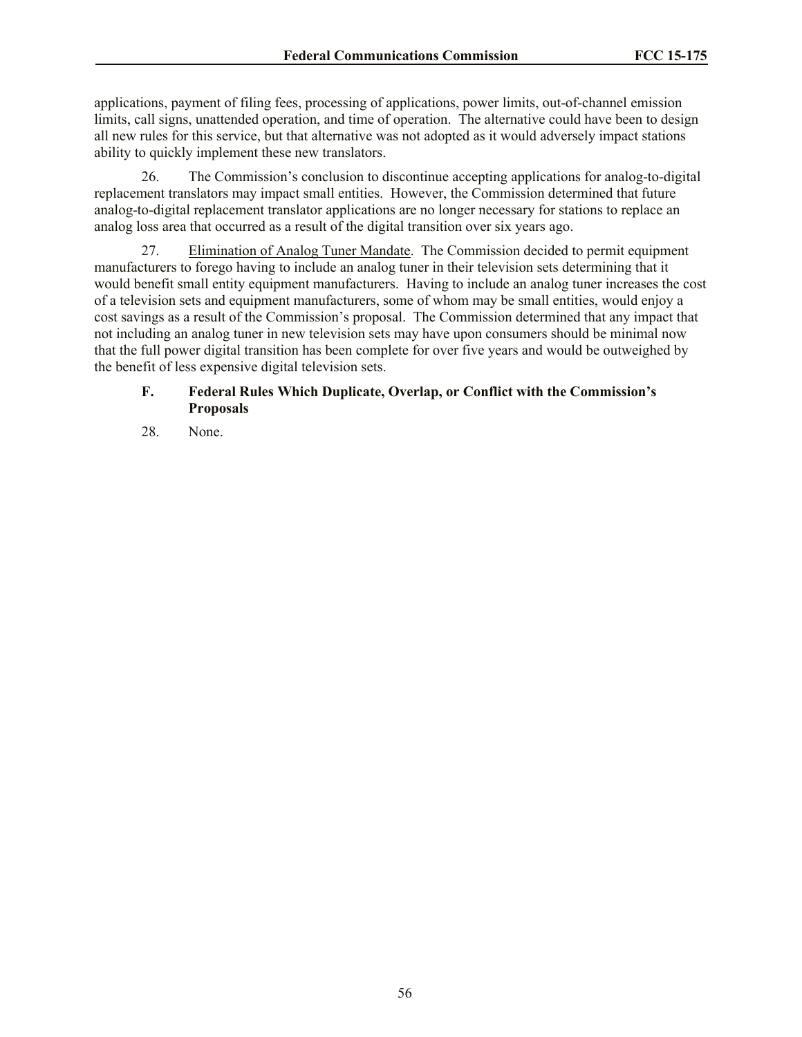applications, payment of filing fees, processing of applications, power limits, out-of-channel emission limits, call signs, unattended operation, and time of operation. The alternative could have been to design all new rules for this service, but that alternative was not adopted as it would adversely impact stations ability to quickly implement these new translators.

26. The Commission's conclusion to discontinue accepting applications for analog-to-digital replacement translators may impact small entities. However, the Commission determined that future analog-to-digital replacement translator applications are no longer necessary for stations to replace an analog loss area that occurred as a result of the digital transition over six years ago.

27. Elimination of Analog Tuner Mandate. The Commission decided to permit equipment manufacturers to forego having to include an analog tuner in their television sets determining that it would benefit small entity equipment manufacturers. Having to include an analog tuner increases the cost of a television sets and equipment manufacturers, some of whom may be small entities, would enjoy a cost savings as a result of the Commission's proposal. The Commission determined that any impact that not including an analog tuner in new television sets may have upon consumers should be minimal now that the full power digital transition has been complete for over five years and would be outweighed by the benefit of less expensive digital television sets.

# **F. Federal Rules Which Duplicate, Overlap, or Conflict with the Commission's Proposals**

28. None.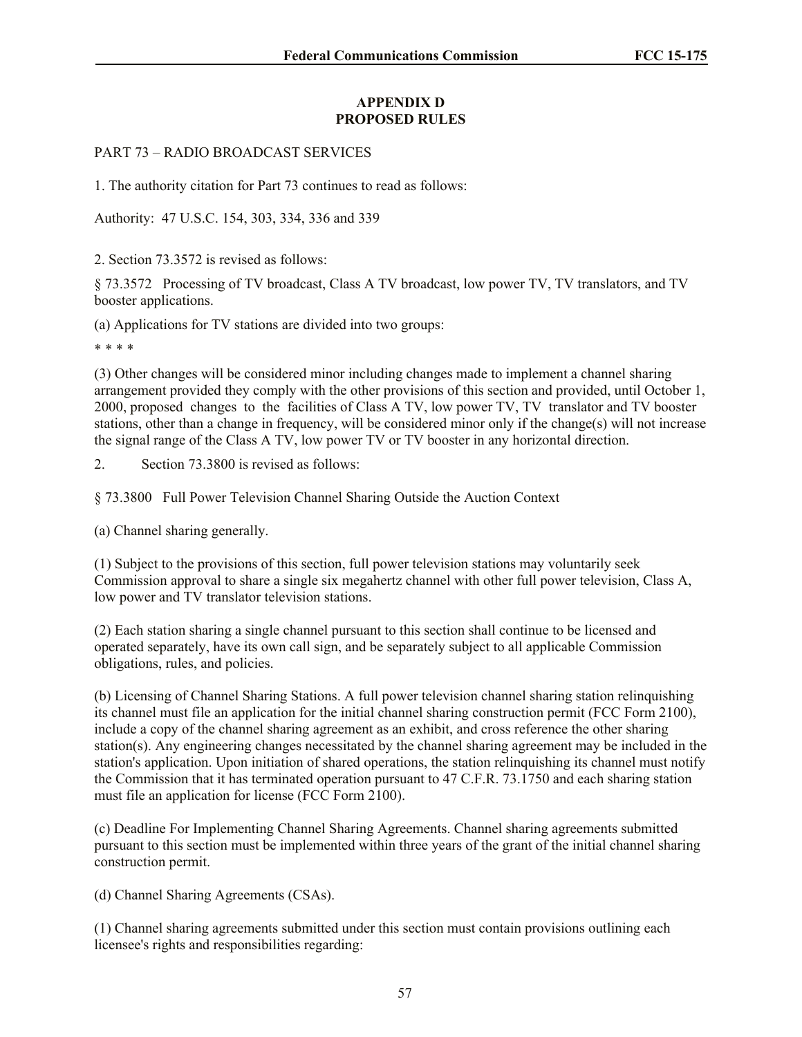### **APPENDIX D PROPOSED RULES**

#### PART 73 – RADIO BROADCAST SERVICES

1. The authority citation for Part 73 continues to read as follows:

Authority: 47 U.S.C. 154, 303, 334, 336 and 339

2. Section 73.3572 is revised as follows:

§ 73.3572 Processing of TV broadcast, Class A TV broadcast, low power TV, TV translators, and TV booster applications.

(a) Applications for TV stations are divided into two groups:

\* \* \* \*

(3) Other changes will be considered minor including changes made to implement a channel sharing arrangement provided they comply with the other provisions of this section and provided, until October 1, 2000, proposed changes to the facilities of Class A TV, low power TV, TV translator and TV booster stations, other than a change in frequency, will be considered minor only if the change(s) will not increase the signal range of the Class A TV, low power TV or TV booster in any horizontal direction.

2. Section 73.3800 is revised as follows:

§ 73.3800 Full Power Television Channel Sharing Outside the Auction Context

(a) Channel sharing generally.

(1) Subject to the provisions of this section, full power television stations may voluntarily seek Commission approval to share a single six megahertz channel with other full power television, Class A, low power and TV translator television stations.

(2) Each station sharing a single channel pursuant to this section shall continue to be licensed and operated separately, have its own call sign, and be separately subject to all applicable Commission obligations, rules, and policies.

(b) Licensing of Channel Sharing Stations. A full power television channel sharing station relinquishing its channel must file an application for the initial channel sharing construction permit (FCC Form 2100), include a copy of the channel sharing agreement as an exhibit, and cross reference the other sharing station(s). Any engineering changes necessitated by the channel sharing agreement may be included in the station's application. Upon initiation of shared operations, the station relinquishing its channel must notify the Commission that it has terminated operation pursuant to 47 C.F.R. 73.1750 and each sharing station must file an application for license (FCC Form 2100).

(c) Deadline For Implementing Channel Sharing Agreements. Channel sharing agreements submitted pursuant to this section must be implemented within three years of the grant of the initial channel sharing construction permit.

(d) Channel Sharing Agreements (CSAs).

(1) Channel sharing agreements submitted under this section must contain provisions outlining each licensee's rights and responsibilities regarding: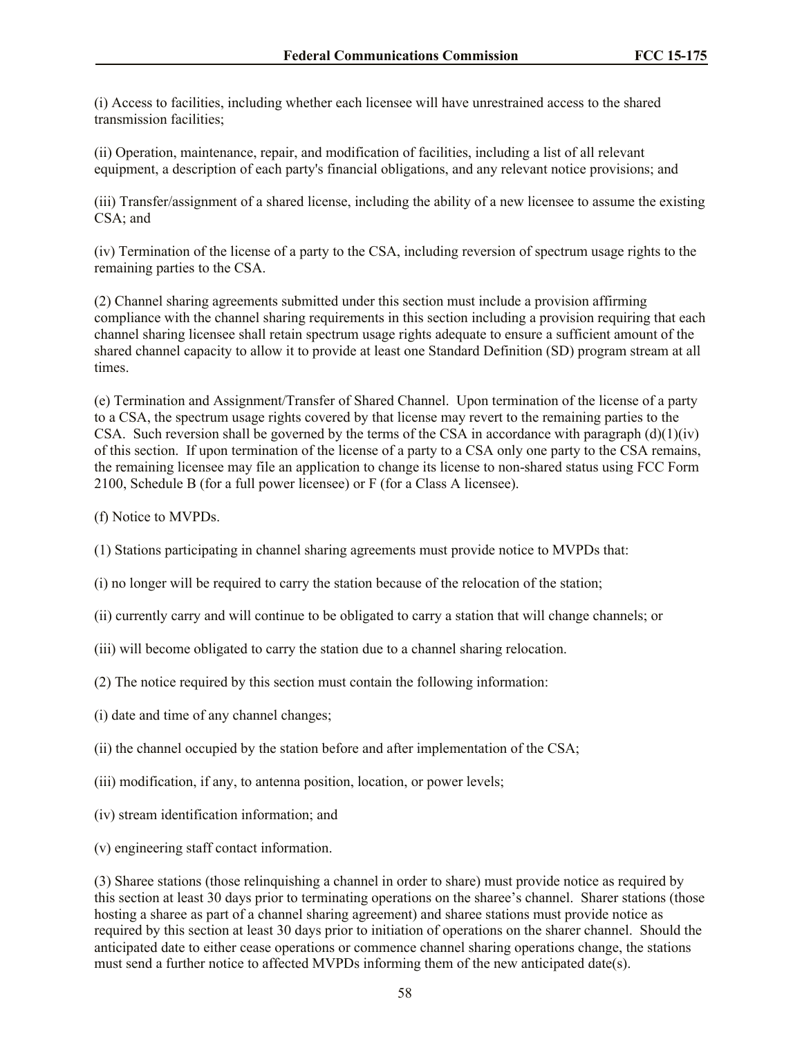(i) Access to facilities, including whether each licensee will have unrestrained access to the shared transmission facilities;

(ii) Operation, maintenance, repair, and modification of facilities, including a list of all relevant equipment, a description of each party's financial obligations, and any relevant notice provisions; and

(iii) Transfer/assignment of a shared license, including the ability of a new licensee to assume the existing CSA; and

(iv) Termination of the license of a party to the CSA, including reversion of spectrum usage rights to the remaining parties to the CSA.

(2) Channel sharing agreements submitted under this section must include a provision affirming compliance with the channel sharing requirements in this section including a provision requiring that each channel sharing licensee shall retain spectrum usage rights adequate to ensure a sufficient amount of the shared channel capacity to allow it to provide at least one Standard Definition (SD) program stream at all times.

(e) Termination and Assignment/Transfer of Shared Channel. Upon termination of the license of a party to a CSA, the spectrum usage rights covered by that license may revert to the remaining parties to the CSA. Such reversion shall be governed by the terms of the CSA in accordance with paragraph  $(d)(1)(iv)$ of this section. If upon termination of the license of a party to a CSA only one party to the CSA remains, the remaining licensee may file an application to change its license to non-shared status using FCC Form 2100, Schedule B (for a full power licensee) or F (for a Class A licensee).

(f) Notice to MVPDs.

- (1) Stations participating in channel sharing agreements must provide notice to MVPDs that:
- (i) no longer will be required to carry the station because of the relocation of the station;
- (ii) currently carry and will continue to be obligated to carry a station that will change channels; or
- (iii) will become obligated to carry the station due to a channel sharing relocation.
- (2) The notice required by this section must contain the following information:
- (i) date and time of any channel changes;
- (ii) the channel occupied by the station before and after implementation of the CSA;
- (iii) modification, if any, to antenna position, location, or power levels;
- (iv) stream identification information; and
- (v) engineering staff contact information.

(3) Sharee stations (those relinquishing a channel in order to share) must provide notice as required by this section at least 30 days prior to terminating operations on the sharee's channel. Sharer stations (those hosting a sharee as part of a channel sharing agreement) and sharee stations must provide notice as required by this section at least 30 days prior to initiation of operations on the sharer channel. Should the anticipated date to either cease operations or commence channel sharing operations change, the stations must send a further notice to affected MVPDs informing them of the new anticipated date(s).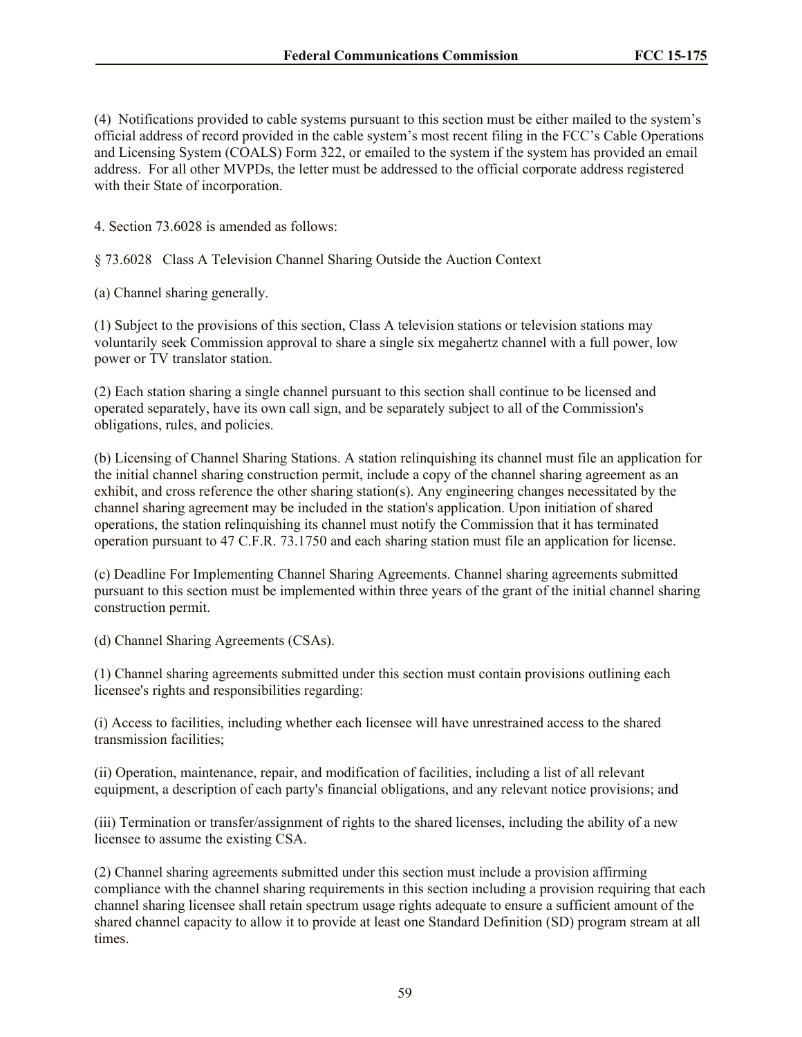(4) Notifications provided to cable systems pursuant to this section must be either mailed to the system's official address of record provided in the cable system's most recent filing in the FCC's Cable Operations and Licensing System (COALS) Form 322, or emailed to the system if the system has provided an email address. For all other MVPDs, the letter must be addressed to the official corporate address registered with their State of incorporation.

4. Section 73.6028 is amended as follows:

§ 73.6028 Class A Television Channel Sharing Outside the Auction Context

(a) Channel sharing generally.

(1) Subject to the provisions of this section, Class A television stations or television stations may voluntarily seek Commission approval to share a single six megahertz channel with a full power, low power or TV translator station.

(2) Each station sharing a single channel pursuant to this section shall continue to be licensed and operated separately, have its own call sign, and be separately subject to all of the Commission's obligations, rules, and policies.

(b) Licensing of Channel Sharing Stations. A station relinquishing its channel must file an application for the initial channel sharing construction permit, include a copy of the channel sharing agreement as an exhibit, and cross reference the other sharing station(s). Any engineering changes necessitated by the channel sharing agreement may be included in the station's application. Upon initiation of shared operations, the station relinquishing its channel must notify the Commission that it has terminated operation pursuant to 47 C.F.R. 73.1750 and each sharing station must file an application for license.

(c) Deadline For Implementing Channel Sharing Agreements. Channel sharing agreements submitted pursuant to this section must be implemented within three years of the grant of the initial channel sharing construction permit.

(d) Channel Sharing Agreements (CSAs).

(1) Channel sharing agreements submitted under this section must contain provisions outlining each licensee's rights and responsibilities regarding:

(i) Access to facilities, including whether each licensee will have unrestrained access to the shared transmission facilities;

(ii) Operation, maintenance, repair, and modification of facilities, including a list of all relevant equipment, a description of each party's financial obligations, and any relevant notice provisions; and

(iii) Termination or transfer/assignment of rights to the shared licenses, including the ability of a new licensee to assume the existing CSA.

(2) Channel sharing agreements submitted under this section must include a provision affirming compliance with the channel sharing requirements in this section including a provision requiring that each channel sharing licensee shall retain spectrum usage rights adequate to ensure a sufficient amount of the shared channel capacity to allow it to provide at least one Standard Definition (SD) program stream at all times.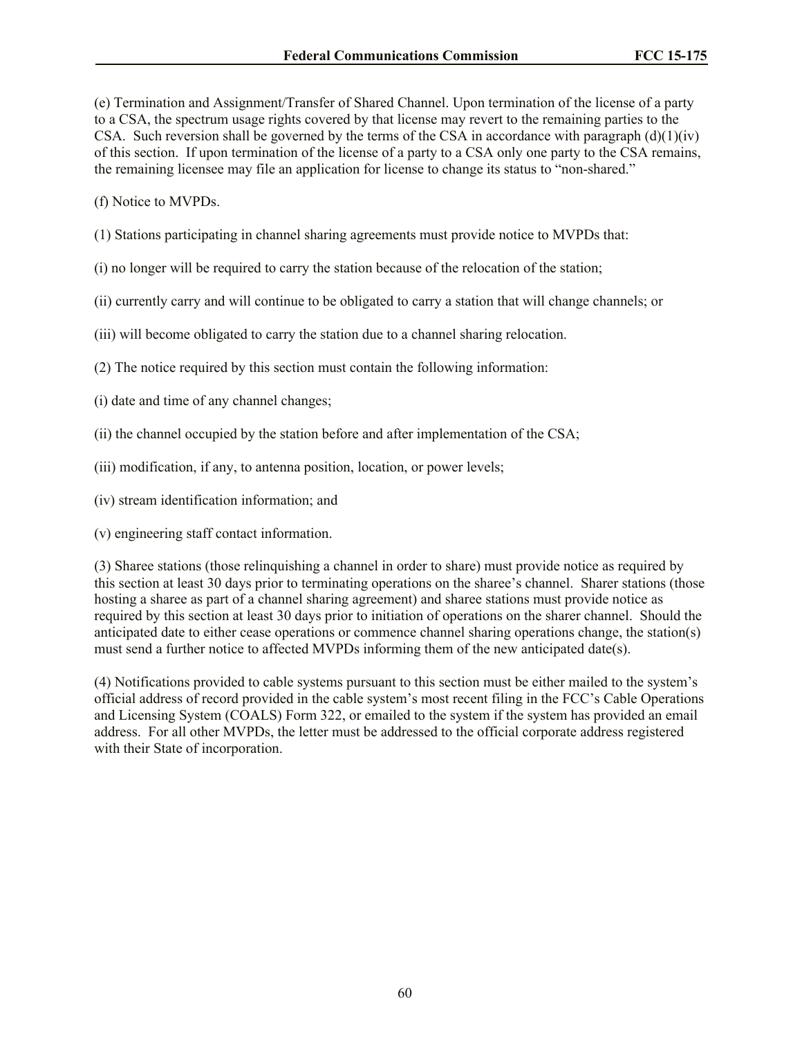(e) Termination and Assignment/Transfer of Shared Channel. Upon termination of the license of a party to a CSA, the spectrum usage rights covered by that license may revert to the remaining parties to the CSA. Such reversion shall be governed by the terms of the CSA in accordance with paragraph  $(d)(1)(iv)$ of this section. If upon termination of the license of a party to a CSA only one party to the CSA remains, the remaining licensee may file an application for license to change its status to "non-shared."

(f) Notice to MVPDs.

- (1) Stations participating in channel sharing agreements must provide notice to MVPDs that:
- (i) no longer will be required to carry the station because of the relocation of the station;
- (ii) currently carry and will continue to be obligated to carry a station that will change channels; or
- (iii) will become obligated to carry the station due to a channel sharing relocation.
- (2) The notice required by this section must contain the following information:
- (i) date and time of any channel changes;
- (ii) the channel occupied by the station before and after implementation of the CSA;
- (iii) modification, if any, to antenna position, location, or power levels;
- (iv) stream identification information; and
- (v) engineering staff contact information.

(3) Sharee stations (those relinquishing a channel in order to share) must provide notice as required by this section at least 30 days prior to terminating operations on the sharee's channel. Sharer stations (those hosting a sharee as part of a channel sharing agreement) and sharee stations must provide notice as required by this section at least 30 days prior to initiation of operations on the sharer channel. Should the anticipated date to either cease operations or commence channel sharing operations change, the station(s) must send a further notice to affected MVPDs informing them of the new anticipated date(s).

(4) Notifications provided to cable systems pursuant to this section must be either mailed to the system's official address of record provided in the cable system's most recent filing in the FCC's Cable Operations and Licensing System (COALS) Form 322, or emailed to the system if the system has provided an email address. For all other MVPDs, the letter must be addressed to the official corporate address registered with their State of incorporation.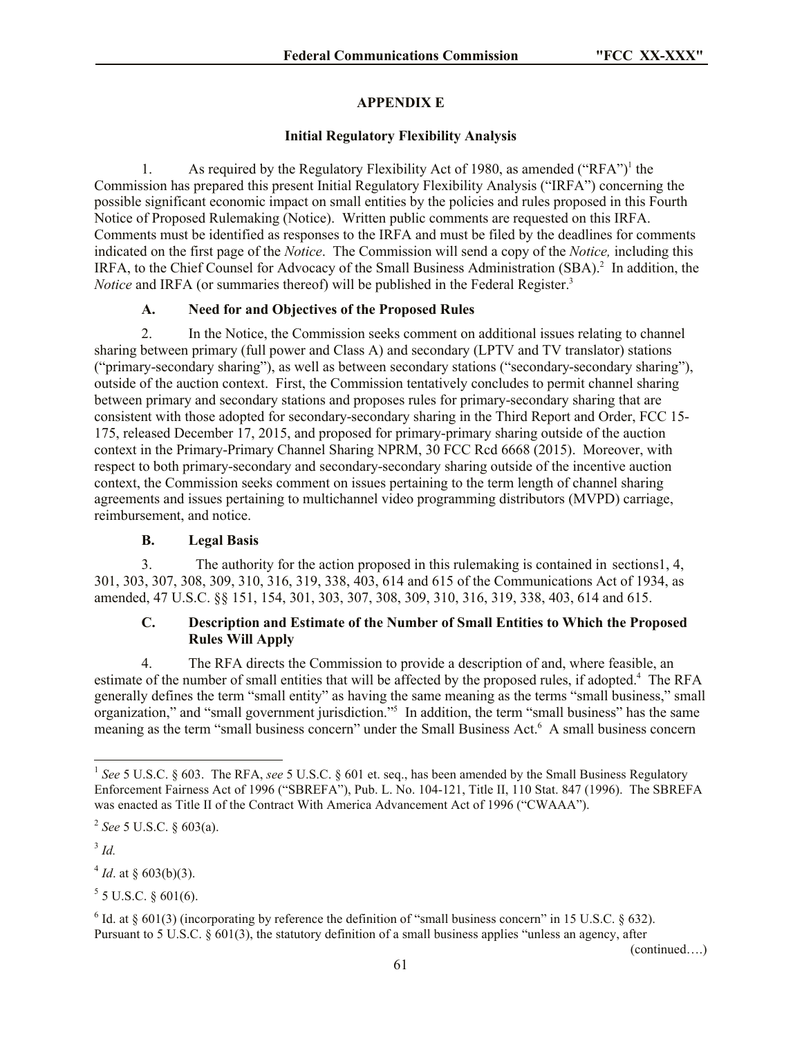# **APPENDIX E**

### **Initial Regulatory Flexibility Analysis**

1. As required by the Regulatory Flexibility Act of 1980, as amended ("RFA")<sup>1</sup> the Commission has prepared this present Initial Regulatory Flexibility Analysis ("IRFA") concerning the possible significant economic impact on small entities by the policies and rules proposed in this Fourth Notice of Proposed Rulemaking (Notice). Written public comments are requested on this IRFA. Comments must be identified as responses to the IRFA and must be filed by the deadlines for comments indicated on the first page of the *Notice*. The Commission will send a copy of the *Notice,* including this IRFA, to the Chief Counsel for Advocacy of the Small Business Administration (SBA).<sup>2</sup> In addition, the *Notice* and IRFA (or summaries thereof) will be published in the Federal Register.<sup>3</sup>

# **A. Need for and Objectives of the Proposed Rules**

2. In the Notice, the Commission seeks comment on additional issues relating to channel sharing between primary (full power and Class A) and secondary (LPTV and TV translator) stations ("primary-secondary sharing"), as well as between secondary stations ("secondary-secondary sharing"), outside of the auction context. First, the Commission tentatively concludes to permit channel sharing between primary and secondary stations and proposes rules for primary-secondary sharing that are consistent with those adopted for secondary-secondary sharing in the Third Report and Order, FCC 15- 175, released December 17, 2015, and proposed for primary-primary sharing outside of the auction context in the Primary-Primary Channel Sharing NPRM, 30 FCC Rcd 6668 (2015). Moreover, with respect to both primary-secondary and secondary-secondary sharing outside of the incentive auction context, the Commission seeks comment on issues pertaining to the term length of channel sharing agreements and issues pertaining to multichannel video programming distributors (MVPD) carriage, reimbursement, and notice.

# **B. Legal Basis**

3. The authority for the action proposed in this rulemaking is contained in sections1, 4, 301, 303, 307, 308, 309, 310, 316, 319, 338, 403, 614 and 615 of the Communications Act of 1934, as amended, 47 U.S.C. §§ 151, 154, 301, 303, 307, 308, 309, 310, 316, 319, 338, 403, 614 and 615.

### **C. Description and Estimate of the Number of Small Entities to Which the Proposed Rules Will Apply**

4. The RFA directs the Commission to provide a description of and, where feasible, an estimate of the number of small entities that will be affected by the proposed rules, if adopted.<sup>4</sup> The RFA generally defines the term "small entity" as having the same meaning as the terms "small business," small organization," and "small government jurisdiction."<sup>5</sup> In addition, the term "small business" has the same meaning as the term "small business concern" under the Small Business Act.<sup>6</sup> A small business concern

3 *Id.*

l

 $4$  *Id.* at § 603(b)(3).

 $5$  5 U.S.C. § 601(6).

(continued….)

<sup>&</sup>lt;sup>1</sup> See 5 U.S.C. § 603. The RFA, see 5 U.S.C. § 601 et. seq., has been amended by the Small Business Regulatory Enforcement Fairness Act of 1996 ("SBREFA"), Pub. L. No. 104-121, Title II, 110 Stat. 847 (1996). The SBREFA was enacted as Title II of the Contract With America Advancement Act of 1996 ("CWAAA").

<sup>2</sup> *See* 5 U.S.C. § 603(a).

<sup>&</sup>lt;sup>6</sup> Id. at  $\S$  601(3) (incorporating by reference the definition of "small business concern" in 15 U.S.C.  $\S$  632). Pursuant to 5 U.S.C. § 601(3), the statutory definition of a small business applies "unless an agency, after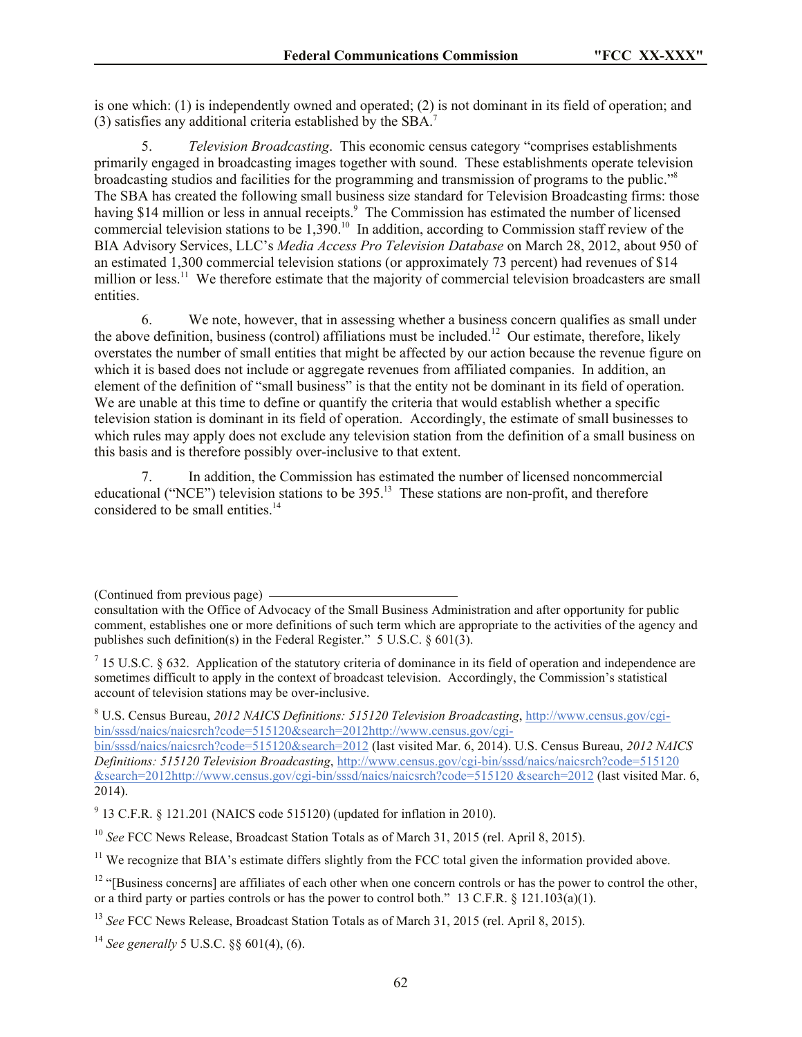is one which: (1) is independently owned and operated; (2) is not dominant in its field of operation; and (3) satisfies any additional criteria established by the SBA.<sup>7</sup>

5. *Television Broadcasting*. This economic census category "comprises establishments primarily engaged in broadcasting images together with sound. These establishments operate television broadcasting studios and facilities for the programming and transmission of programs to the public."<sup>8</sup> The SBA has created the following small business size standard for Television Broadcasting firms: those having \$14 million or less in annual receipts.<sup>9</sup> The Commission has estimated the number of licensed commercial television stations to be 1,390. 10 In addition, according to Commission staff review of the BIA Advisory Services, LLC's *Media Access Pro Television Database* on March 28, 2012, about 950 of an estimated 1,300 commercial television stations (or approximately 73 percent) had revenues of \$14 million or less.<sup>11</sup> We therefore estimate that the majority of commercial television broadcasters are small entities.

6. We note, however, that in assessing whether a business concern qualifies as small under the above definition, business (control) affiliations must be included.<sup>12</sup> Our estimate, therefore, likely overstates the number of small entities that might be affected by our action because the revenue figure on which it is based does not include or aggregate revenues from affiliated companies. In addition, an element of the definition of "small business" is that the entity not be dominant in its field of operation. We are unable at this time to define or quantify the criteria that would establish whether a specific television station is dominant in its field of operation. Accordingly, the estimate of small businesses to which rules may apply does not exclude any television station from the definition of a small business on this basis and is therefore possibly over-inclusive to that extent.

7. In addition, the Commission has estimated the number of licensed noncommercial educational ("NCE") television stations to be 395.<sup>13</sup> These stations are non-profit, and therefore considered to be small entities.<sup>14</sup>

bin/sssd/naics/naicsrch?code=515120&search=2012 (last visited Mar. 6, 2014). U.S. Census Bureau, *2012 NAICS Definitions: 515120 Television Broadcasting*, http://www.census.gov/cgi-bin/sssd/naics/naicsrch?code=515120 &search=2012http://www.census.gov/cgi-bin/sssd/naics/naicsrch?code=515120 &search=2012 (last visited Mar. 6, 2014).

 $9$  13 C.F.R. § 121.201 (NAICS code 515120) (updated for inflation in 2010).

<sup>10</sup> *See* FCC News Release, Broadcast Station Totals as of March 31, 2015 (rel. April 8, 2015).

<sup>11</sup> We recognize that BIA's estimate differs slightly from the FCC total given the information provided above.

 $12$  "[Business concerns] are affiliates of each other when one concern controls or has the power to control the other, or a third party or parties controls or has the power to control both." 13 C.F.R. § 121.103(a)(1).

<sup>13</sup> *See* FCC News Release, Broadcast Station Totals as of March 31, 2015 (rel. April 8, 2015).

<sup>14</sup> *See generally* 5 U.S.C. §§ 601(4), (6).

<sup>(</sup>Continued from previous page)

consultation with the Office of Advocacy of the Small Business Administration and after opportunity for public comment, establishes one or more definitions of such term which are appropriate to the activities of the agency and publishes such definition(s) in the Federal Register." 5 U.S.C. § 601(3).

<sup>&</sup>lt;sup>7</sup> 15 U.S.C. § 632. Application of the statutory criteria of dominance in its field of operation and independence are sometimes difficult to apply in the context of broadcast television. Accordingly, the Commission's statistical account of television stations may be over-inclusive.

<sup>8</sup> U.S. Census Bureau, *2012 NAICS Definitions: 515120 Television Broadcasting*, http://www.census.gov/cgibin/sssd/naics/naicsrch?code=515120&search=2012http://www.census.gov/cgi-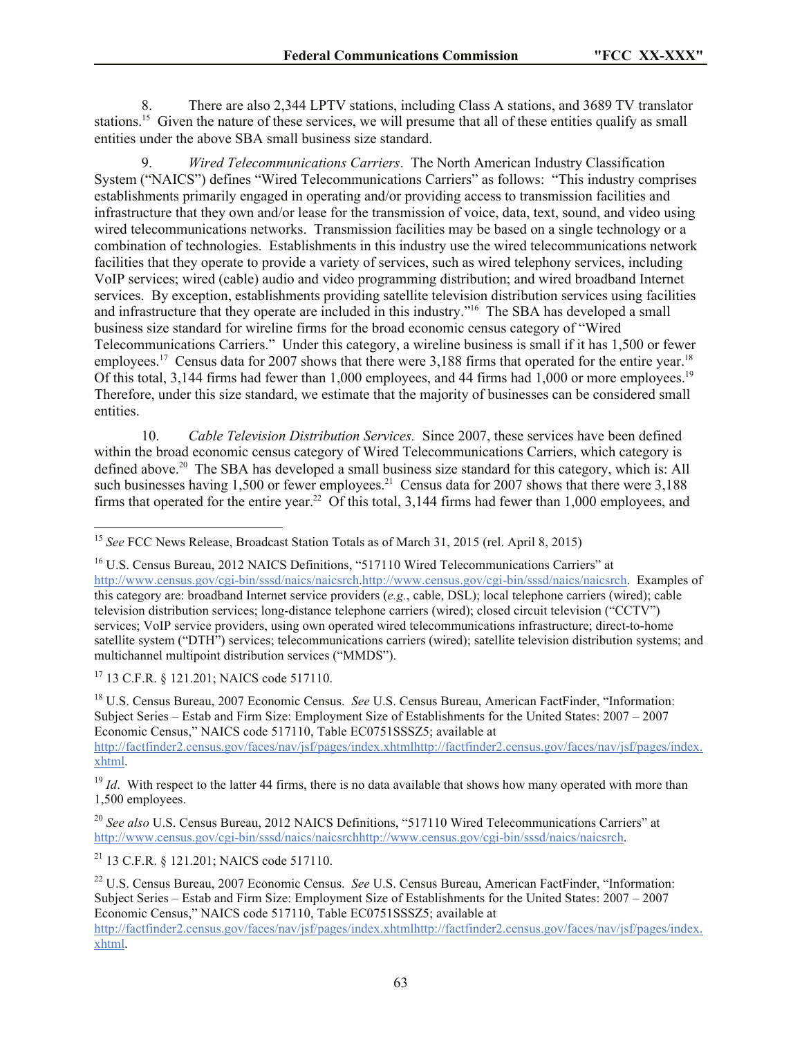8. There are also 2,344 LPTV stations, including Class A stations, and 3689 TV translator stations.<sup>15</sup> Given the nature of these services, we will presume that all of these entities qualify as small entities under the above SBA small business size standard.

9. *Wired Telecommunications Carriers*. The North American Industry Classification System ("NAICS") defines "Wired Telecommunications Carriers" as follows: "This industry comprises establishments primarily engaged in operating and/or providing access to transmission facilities and infrastructure that they own and/or lease for the transmission of voice, data, text, sound, and video using wired telecommunications networks. Transmission facilities may be based on a single technology or a combination of technologies. Establishments in this industry use the wired telecommunications network facilities that they operate to provide a variety of services, such as wired telephony services, including VoIP services; wired (cable) audio and video programming distribution; and wired broadband Internet services. By exception, establishments providing satellite television distribution services using facilities and infrastructure that they operate are included in this industry."<sup>16</sup> The SBA has developed a small business size standard for wireline firms for the broad economic census category of "Wired Telecommunications Carriers." Under this category, a wireline business is small if it has 1,500 or fewer employees.<sup>17</sup> Census data for 2007 shows that there were 3,188 firms that operated for the entire year.<sup>18</sup> Of this total, 3,144 firms had fewer than 1,000 employees, and 44 firms had 1,000 or more employees.<sup>19</sup> Therefore, under this size standard, we estimate that the majority of businesses can be considered small entities.

10. *Cable Television Distribution Services.* Since 2007, these services have been defined within the broad economic census category of Wired Telecommunications Carriers, which category is defined above.<sup>20</sup> The SBA has developed a small business size standard for this category, which is: All such businesses having 1,500 or fewer employees.<sup>21</sup> Census data for 2007 shows that there were  $3,188$ firms that operated for the entire year.<sup>22</sup> Of this total,  $3,144$  firms had fewer than 1,000 employees, and

l

<sup>18</sup> U.S. Census Bureau, 2007 Economic Census. *See* U.S. Census Bureau, American FactFinder, "Information: Subject Series – Estab and Firm Size: Employment Size of Establishments for the United States: 2007 – 2007 Economic Census," NAICS code 517110, Table EC0751SSSZ5; available at http://factfinder2.census.gov/faces/nav/jsf/pages/index.xhtmlhttp://factfinder2.census.gov/faces/nav/jsf/pages/index. xhtml.

 $19$  *Id*. With respect to the latter 44 firms, there is no data available that shows how many operated with more than 1,500 employees.

<sup>20</sup> *See also* U.S. Census Bureau, 2012 NAICS Definitions, "517110 Wired Telecommunications Carriers" at http://www.census.gov/cgi-bin/sssd/naics/naicsrchhttp://www.census.gov/cgi-bin/sssd/naics/naicsrch.

<sup>21</sup> 13 C.F.R. § 121.201; NAICS code 517110.

<sup>22</sup> U.S. Census Bureau, 2007 Economic Census. *See* U.S. Census Bureau, American FactFinder, "Information: Subject Series – Estab and Firm Size: Employment Size of Establishments for the United States: 2007 – 2007 Economic Census," NAICS code 517110, Table EC0751SSSZ5; available at

<sup>15</sup> *See* FCC News Release, Broadcast Station Totals as of March 31, 2015 (rel. April 8, 2015)

<sup>&</sup>lt;sup>16</sup> U.S. Census Bureau, 2012 NAICS Definitions, "517110 Wired Telecommunications Carriers" at http://www.census.gov/cgi-bin/sssd/naics/naicsrch.http://www.census.gov/cgi-bin/sssd/naics/naicsrch. Examples of this category are: broadband Internet service providers (*e.g.*, cable, DSL); local telephone carriers (wired); cable television distribution services; long-distance telephone carriers (wired); closed circuit television ("CCTV") services; VoIP service providers, using own operated wired telecommunications infrastructure; direct-to-home satellite system ("DTH") services; telecommunications carriers (wired); satellite television distribution systems; and multichannel multipoint distribution services ("MMDS").

<sup>17</sup> 13 C.F.R. § 121.201; NAICS code 517110.

http://factfinder2.census.gov/faces/nav/jsf/pages/index.xhtmlhttp://factfinder2.census.gov/faces/nav/jsf/pages/index. xhtml.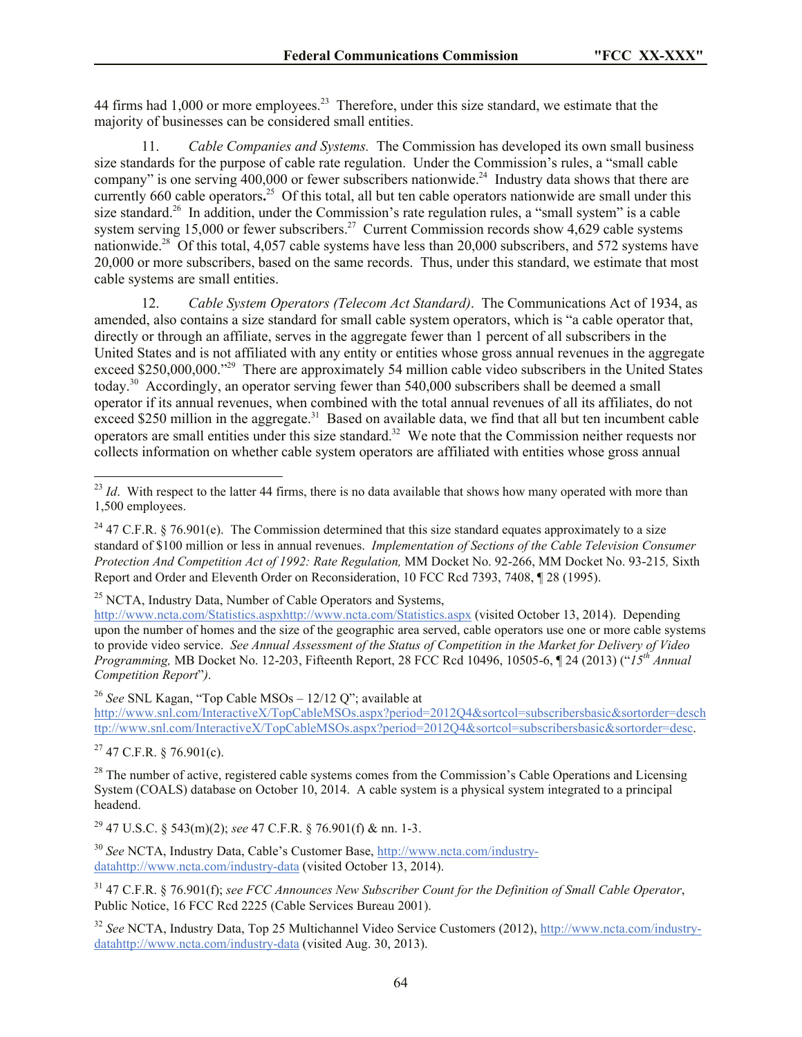44 firms had 1,000 or more employees.<sup>23</sup> Therefore, under this size standard, we estimate that the majority of businesses can be considered small entities.

11. *Cable Companies and Systems.* The Commission has developed its own small business size standards for the purpose of cable rate regulation. Under the Commission's rules, a "small cable company" is one serving  $400,000$  or fewer subscribers nationwide.<sup>24</sup> Industry data shows that there are currently 660 cable operators.<sup>25</sup> Of this total, all but ten cable operators nationwide are small under this size standard.<sup>26</sup> In addition, under the Commission's rate regulation rules, a "small system" is a cable system serving  $15,000$  or fewer subscribers.<sup>27</sup> Current Commission records show  $4,629$  cable systems nationwide.<sup>28</sup> Of this total, 4,057 cable systems have less than  $20,000$  subscribers, and 572 systems have 20,000 or more subscribers, based on the same records. Thus, under this standard, we estimate that most cable systems are small entities.

12. *Cable System Operators (Telecom Act Standard)*.The Communications Act of 1934, as amended, also contains a size standard for small cable system operators, which is "a cable operator that, directly or through an affiliate, serves in the aggregate fewer than 1 percent of all subscribers in the United States and is not affiliated with any entity or entities whose gross annual revenues in the aggregate exceed \$250,000,000."<sup>29</sup> There are approximately 54 million cable video subscribers in the United States today.<sup>30</sup> Accordingly, an operator serving fewer than 540,000 subscribers shall be deemed a small operator if its annual revenues, when combined with the total annual revenues of all its affiliates, do not exceed \$250 million in the aggregate.<sup>31</sup> Based on available data, we find that all but ten incumbent cable operators are small entities under this size standard.<sup>32</sup> We note that the Commission neither requests nor collects information on whether cable system operators are affiliated with entities whose gross annual

 $25$  NCTA, Industry Data, Number of Cable Operators and Systems.

http://www.ncta.com/Statistics.aspxhttp://www.ncta.com/Statistics.aspx (visited October 13, 2014). Depending upon the number of homes and the size of the geographic area served, cable operators use one or more cable systems to provide video service. *See Annual Assessment of the Status of Competition in the Market for Delivery of Video Programming,* MB Docket No. 12-203, Fifteenth Report, 28 FCC Rcd 10496, 10505-6, ¶ 24 (2013) ("*15th Annual Competition Report*"*)*.

<sup>26</sup> *See* SNL Kagan, "Top Cable MSOs – 12/12 Q"; available at

http://www.snl.com/InteractiveX/TopCableMSOs.aspx?period=2012Q4&sortcol=subscribersbasic&sortorder=desch ttp://www.snl.com/InteractiveX/TopCableMSOs.aspx?period=2012Q4&sortcol=subscribersbasic&sortorder=desc.

 $27$  47 C.F.R. § 76.901(c).

l

 $^{28}$  The number of active, registered cable systems comes from the Commission's Cable Operations and Licensing System (COALS) database on October 10, 2014. A cable system is a physical system integrated to a principal headend.

<sup>29</sup> 47 U.S.C. § 543(m)(2); *see* 47 C.F.R. § 76.901(f) & nn. 1-3.

<sup>30</sup> *See* NCTA, Industry Data, Cable's Customer Base, http://www.ncta.com/industrydatahttp://www.ncta.com/industry-data (visited October 13, 2014).

<sup>32</sup> *See* NCTA, Industry Data, Top 25 Multichannel Video Service Customers (2012), http://www.ncta.com/industrydatahttp://www.ncta.com/industry-data (visited Aug. 30, 2013).

 $^{23}$  *Id*. With respect to the latter 44 firms, there is no data available that shows how many operated with more than 1,500 employees.

<sup>&</sup>lt;sup>24</sup> 47 C.F.R. § 76.901(e). The Commission determined that this size standard equates approximately to a size standard of \$100 million or less in annual revenues. *Implementation of Sections of the Cable Television Consumer Protection And Competition Act of 1992: Rate Regulation,* MM Docket No. 92-266, MM Docket No. 93-215*,* Sixth Report and Order and Eleventh Order on Reconsideration, 10 FCC Rcd 7393, 7408, ¶ 28 (1995).

<sup>31</sup> 47 C.F.R. § 76.901(f); *see FCC Announces New Subscriber Count for the Definition of Small Cable Operator*, Public Notice, 16 FCC Rcd 2225 (Cable Services Bureau 2001).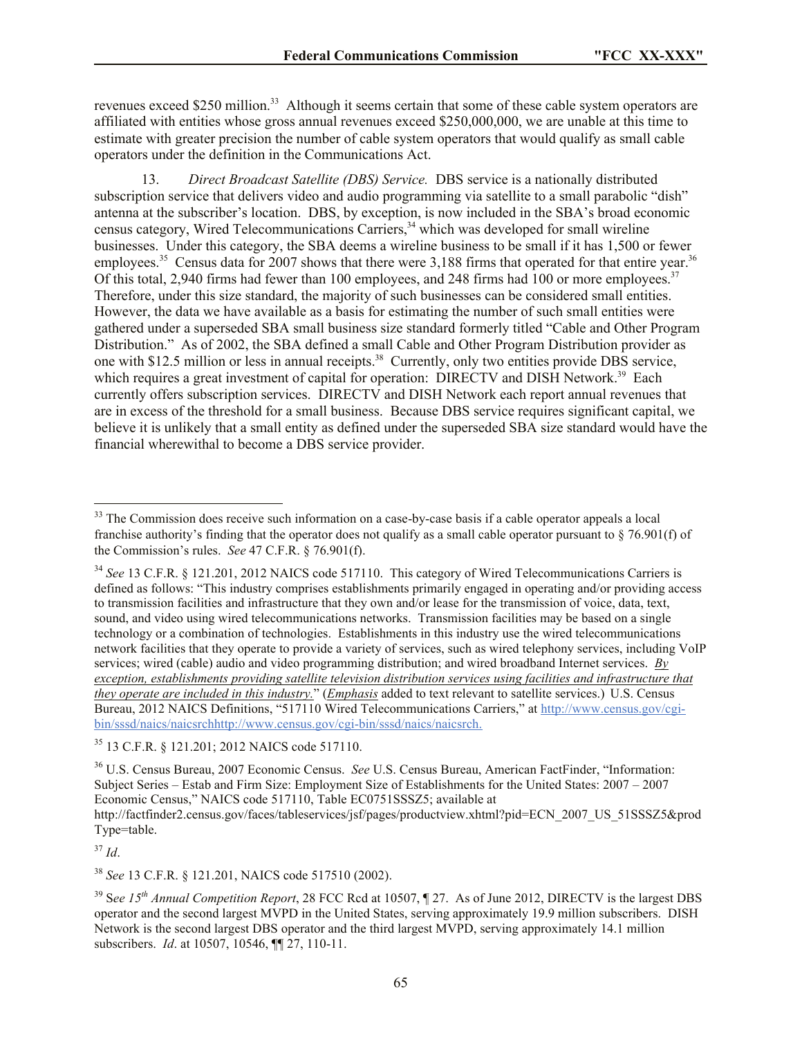revenues exceed \$250 million.<sup>33</sup> Although it seems certain that some of these cable system operators are affiliated with entities whose gross annual revenues exceed \$250,000,000, we are unable at this time to estimate with greater precision the number of cable system operators that would qualify as small cable operators under the definition in the Communications Act.

13. *Direct Broadcast Satellite (DBS) Service.* DBS service is a nationally distributed subscription service that delivers video and audio programming via satellite to a small parabolic "dish" antenna at the subscriber's location. DBS, by exception, is now included in the SBA's broad economic census category, Wired Telecommunications Carriers,<sup>34</sup> which was developed for small wireline businesses. Under this category, the SBA deems a wireline business to be small if it has 1,500 or fewer employees.<sup>35</sup> Census data for 2007 shows that there were 3,188 firms that operated for that entire year.<sup>36</sup> Of this total, 2,940 firms had fewer than 100 employees, and 248 firms had 100 or more employees. $37$ Therefore, under this size standard, the majority of such businesses can be considered small entities. However, the data we have available as a basis for estimating the number of such small entities were gathered under a superseded SBA small business size standard formerly titled "Cable and Other Program Distribution." As of 2002, the SBA defined a small Cable and Other Program Distribution provider as one with \$12.5 million or less in annual receipts.<sup>38</sup> Currently, only two entities provide DBS service, which requires a great investment of capital for operation: DIRECTV and DISH Network.<sup>39</sup> Each currently offers subscription services. DIRECTV and DISH Network each report annual revenues that are in excess of the threshold for a small business. Because DBS service requires significant capital, we believe it is unlikely that a small entity as defined under the superseded SBA size standard would have the financial wherewithal to become a DBS service provider.

<sup>37</sup> *Id*.

l

<sup>38</sup> *See* 13 C.F.R. § 121.201, NAICS code 517510 (2002).

<sup>&</sup>lt;sup>33</sup> The Commission does receive such information on a case-by-case basis if a cable operator appeals a local franchise authority's finding that the operator does not qualify as a small cable operator pursuant to  $\S$  76.901(f) of the Commission's rules. *See* 47 C.F.R. § 76.901(f).

<sup>&</sup>lt;sup>34</sup> See 13 C.F.R. § 121.201, 2012 NAICS code 517110. This category of Wired Telecommunications Carriers is defined as follows: "This industry comprises establishments primarily engaged in operating and/or providing access to transmission facilities and infrastructure that they own and/or lease for the transmission of voice, data, text, sound, and video using wired telecommunications networks. Transmission facilities may be based on a single technology or a combination of technologies. Establishments in this industry use the wired telecommunications network facilities that they operate to provide a variety of services, such as wired telephony services, including VoIP services; wired (cable) audio and video programming distribution; and wired broadband Internet services. *By exception, establishments providing satellite television distribution services using facilities and infrastructure that they operate are included in this industry.*" (*Emphasis* added to text relevant to satellite services.) U.S. Census Bureau, 2012 NAICS Definitions, "517110 Wired Telecommunications Carriers," at http://www.census.gov/cgibin/sssd/naics/naicsrchhttp://www.census.gov/cgi-bin/sssd/naics/naicsrch.

<sup>35</sup> 13 C.F.R. § 121.201; 2012 NAICS code 517110.

<sup>36</sup> U.S. Census Bureau, 2007 Economic Census. *See* U.S. Census Bureau, American FactFinder, "Information: Subject Series – Estab and Firm Size: Employment Size of Establishments for the United States: 2007 – 2007 Economic Census," NAICS code 517110, Table EC0751SSSZ5; available at http://factfinder2.census.gov/faces/tableservices/jsf/pages/productview.xhtml?pid=ECN\_2007\_US\_51SSSZ5&prod Type=table.

<sup>39</sup> S*ee 15th Annual Competition Report*, 28 FCC Rcd at 10507, ¶ 27. As of June 2012, DIRECTV is the largest DBS operator and the second largest MVPD in the United States, serving approximately 19.9 million subscribers. DISH Network is the second largest DBS operator and the third largest MVPD, serving approximately 14.1 million subscribers. *Id*. at 10507, 10546, ¶¶ 27, 110-11.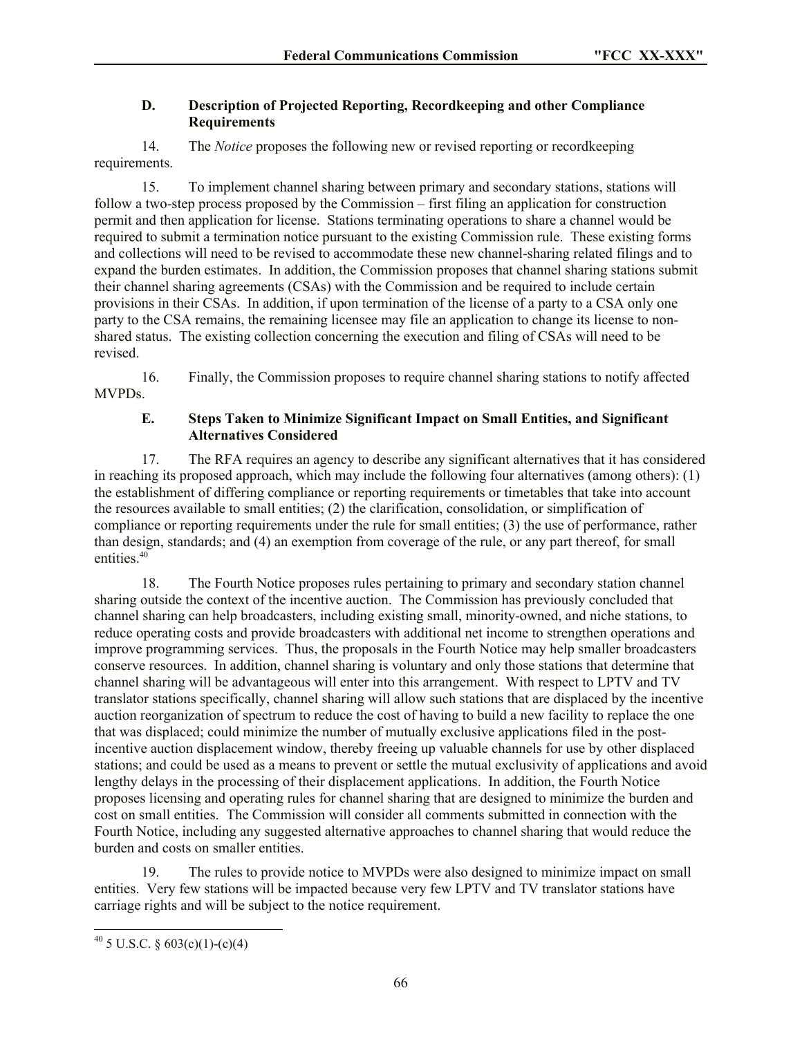# **D. Description of Projected Reporting, Recordkeeping and other Compliance Requirements**

14. The *Notice* proposes the following new or revised reporting or recordkeeping requirements.

15. To implement channel sharing between primary and secondary stations, stations will follow a two-step process proposed by the Commission – first filing an application for construction permit and then application for license. Stations terminating operations to share a channel would be required to submit a termination notice pursuant to the existing Commission rule. These existing forms and collections will need to be revised to accommodate these new channel-sharing related filings and to expand the burden estimates. In addition, the Commission proposes that channel sharing stations submit their channel sharing agreements (CSAs) with the Commission and be required to include certain provisions in their CSAs. In addition, if upon termination of the license of a party to a CSA only one party to the CSA remains, the remaining licensee may file an application to change its license to nonshared status. The existing collection concerning the execution and filing of CSAs will need to be revised.

16. Finally, the Commission proposes to require channel sharing stations to notify affected MVPDs.

## **E. Steps Taken to Minimize Significant Impact on Small Entities, and Significant Alternatives Considered**

17. The RFA requires an agency to describe any significant alternatives that it has considered in reaching its proposed approach, which may include the following four alternatives (among others): (1) the establishment of differing compliance or reporting requirements or timetables that take into account the resources available to small entities; (2) the clarification, consolidation, or simplification of compliance or reporting requirements under the rule for small entities; (3) the use of performance, rather than design, standards; and (4) an exemption from coverage of the rule, or any part thereof, for small entities.<sup>40</sup>

18. The Fourth Notice proposes rules pertaining to primary and secondary station channel sharing outside the context of the incentive auction. The Commission has previously concluded that channel sharing can help broadcasters, including existing small, minority-owned, and niche stations, to reduce operating costs and provide broadcasters with additional net income to strengthen operations and improve programming services. Thus, the proposals in the Fourth Notice may help smaller broadcasters conserve resources. In addition, channel sharing is voluntary and only those stations that determine that channel sharing will be advantageous will enter into this arrangement. With respect to LPTV and TV translator stations specifically, channel sharing will allow such stations that are displaced by the incentive auction reorganization of spectrum to reduce the cost of having to build a new facility to replace the one that was displaced; could minimize the number of mutually exclusive applications filed in the postincentive auction displacement window, thereby freeing up valuable channels for use by other displaced stations; and could be used as a means to prevent or settle the mutual exclusivity of applications and avoid lengthy delays in the processing of their displacement applications. In addition, the Fourth Notice proposes licensing and operating rules for channel sharing that are designed to minimize the burden and cost on small entities. The Commission will consider all comments submitted in connection with the Fourth Notice, including any suggested alternative approaches to channel sharing that would reduce the burden and costs on smaller entities.

19. The rules to provide notice to MVPDs were also designed to minimize impact on small entities. Very few stations will be impacted because very few LPTV and TV translator stations have carriage rights and will be subject to the notice requirement.

l

 $^{40}$  5 U.S.C. § 603(c)(1)-(c)(4)